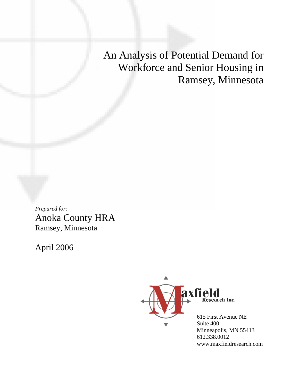An Analysis of Potential Demand for Workforce and Senior Housing in Ramsey, Minnesota

*Prepared for:* Anoka County HRA Ramsey, Minnesota

April 2006



Minneapolis, MN 55413 612.338.0012 www.maxfieldresearch.com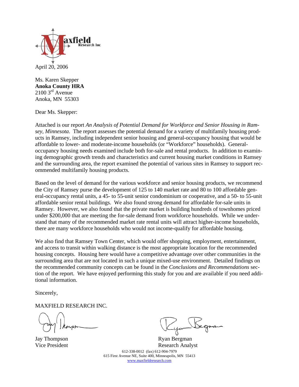

Ms. Karen Skepper **Anoka County HRA**  $2100 \,$ 3rd Avenue Anoka, MN 55303

Dear Ms. Skepper:

Attached is our report *An Analysis of Potential Demand for Workforce and Senior Housing in Ramsey, Minnesota*. The report assesses the potential demand for a variety of multifamily housing products in Ramsey, including independent senior housing and general-occupancy housing that would be affordable to lower- and moderate-income households (or "Workforce" households). Generaloccupancy housing needs examined include both for-sale and rental products. In addition to examining demographic growth trends and characteristics and current housing market conditions in Ramsey and the surrounding area, the report examined the potential of various sites in Ramsey to support recommended multifamily housing products.

Based on the level of demand for the various workforce and senior housing products, we recommend the City of Ramsey purse the development of 125 to 140 market rate and 80 to 100 affordable general-occupancy rental units, a 45- to 55-unit senior condominium or cooperative, and a 50- to 55-unit affordable senior rental buildings. We also found strong demand for affordable for-sale units in Ramsey. However, we also found that the private market is building hundreds of townhomes priced under \$200,000 that are meeting the for-sale demand from workforce households. While we understand that many of the recommended market rate rental units will attract higher-income households, there are many workforce households who would not income-qualify for affordable housing.

We also find that Ramsey Town Center, which would offer shopping, employment, entertainment, and access to transit within walking distance is the most appropriate location for the recommended housing concepts. Housing here would have a competitive advantage over other communities in the surrounding area that are not located in such a unique mixed-use environment. Detailed findings on the recommended community concepts can be found in the *Conclusions and Recommendations* section of the report. We have enjoyed performing this study for you and are available if you need additional information.

Sincerely,

MAXFIELD RESEARCH INC.

612-338-0012 (fax) 612-904-7979 615 First Avenue NE, Suite 400, Minneapolis, MN 55413 www.maxfieldresearch.com Jay Thompson<br>
Vice President<br>
Research Analy Research Analyst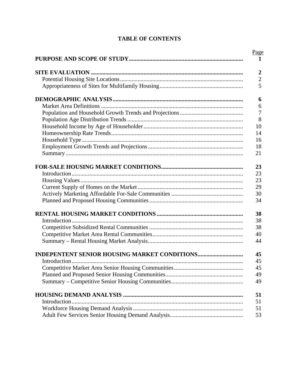## **TABLE OF CONTENTS**

| Page             |
|------------------|
| $\mathbf{1}$     |
| $\boldsymbol{2}$ |
| $\sqrt{2}$       |
| 5                |
| 6                |
| 6                |
| $\overline{7}$   |
| 8                |
| 10               |
| 14               |
| 16               |
| 18               |
| 21               |
| 23               |
| 23               |
| 23               |
| 29               |
| 30               |
| 34               |
| 38               |
| 38               |
| 38               |
| 40               |
| 44               |
| 45               |
| 45               |
| 45               |
| 49               |
| 49               |
| 51               |
| 51               |
| 51               |
| 53               |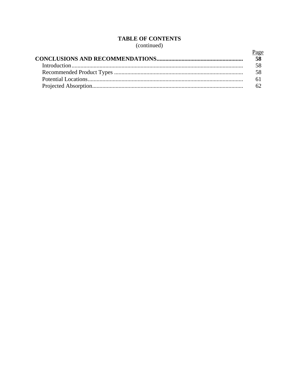# **TABLE OF CONTENTS**

(continued)

| Page |
|------|
|      |
|      |
|      |
|      |
|      |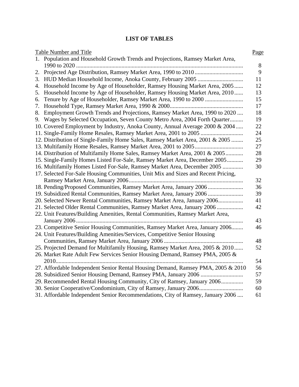# **LIST OF TABLES**

|    | <b>Table Number and Title</b>                                                     | Page |
|----|-----------------------------------------------------------------------------------|------|
|    | 1. Population and Household Growth Trends and Projections, Ramsey Market Area,    |      |
|    |                                                                                   | 8    |
| 2. |                                                                                   | 9    |
|    |                                                                                   | 11   |
| 4. | Household Income by Age of Householder, Ramsey Housing Market Area, 2005          | 12   |
| 5. | Household Income by Age of Householder, Ramsey Housing Market Area, 2010          | 13   |
| 6. |                                                                                   | 15   |
| 7. |                                                                                   | 17   |
| 8. | Employment Growth Trends and Projections, Ramsey Market Area, 1990 to 2020        | 18   |
|    | 9. Wages by Selected Occupation, Seven County Metro Area, 2004 Forth Quarter      | 19   |
|    | 10. Covered Employment by Industry, Anoka County, Annual Average 2000 & 2004      | 22   |
|    |                                                                                   | 24   |
|    | 12. Distribution of Single-Family Home Sales, Ramsey Market Area, 2001 & 2005     | 25   |
|    |                                                                                   | 27   |
|    | 14. Distribution of Multifamily Home Sales, Ramsey Market Area, 2001 & 2005       | 28   |
|    | 15. Single-Family Homes Listed For-Sale, Ramsey Market Area, December 2005        | 29   |
|    | 16. Multifamily Homes Listed For-Sale, Ramsey Market Area, December 2005          | 30   |
|    | 17. Selected For-Sale Housing Communities, Unit Mix and Sizes and Recent Pricing, |      |
|    |                                                                                   | 32   |
|    | 18. Pending/Proposed Communities, Ramsey Market Area, January 2006                | 36   |
|    | 19. Subsidized Rental Communities, Ramsey Market Area, January 2006               | 39   |
|    | 20. Selected Newer Rental Communities, Ramsey Market Area, January 2006           | 41   |
|    | 21. Selected Older Rental Communities, Ramsey Market Area, January 2006           | 42   |
|    | 22. Unit Features/Building Amenities, Rental Communities, Ramsey Market Area,     |      |
|    |                                                                                   | 43   |
|    | 23. Competitive Senior Housing Communities, Ramsey Market Area, January 2006      | 46   |
|    | 24. Unit Features/Building Amenities/Services, Competitive Senior Housing         |      |
|    |                                                                                   | 48   |
|    | 25. Projected Demand for Multifamily Housing, Ramsey Market Area, 2005 & 2010     | 52   |
|    | 26. Market Rate Adult Few Services Senior Housing Demand, Ramsey PMA, 2005 &      |      |
|    |                                                                                   | 54   |
|    | 27. Affordable Independent Senior Rental Housing Demand, Ramsey PMA, 2005 & 2010  | 56   |
|    |                                                                                   | 57   |
|    | 29. Recommended Rental Housing Community, City of Ramsey, January 2006            | 59   |
|    |                                                                                   | 60   |
|    | 31. Affordable Independent Senior Recommendations, City of Ramsey, January 2006   | 61   |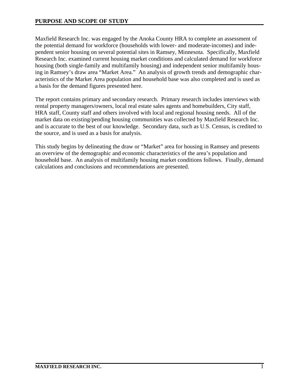Maxfield Research Inc. was engaged by the Anoka County HRA to complete an assessment of the potential demand for workforce (households with lower- and moderate-incomes) and independent senior housing on several potential sites in Ramsey, Minnesota. Specifically, Maxfield Research Inc. examined current housing market conditions and calculated demand for workforce housing (both single-family and multifamily housing) and independent senior multifamily housing in Ramsey's draw area "Market Area." An analysis of growth trends and demographic characteristics of the Market Area population and household base was also completed and is used as a basis for the demand figures presented here.

The report contains primary and secondary research. Primary research includes interviews with rental property managers/owners, local real estate sales agents and homebuilders, City staff, HRA staff, County staff and others involved with local and regional housing needs. All of the market data on existing/pending housing communities was collected by Maxfield Research Inc. and is accurate to the best of our knowledge. Secondary data, such as U.S. Census, is credited to the source, and is used as a basis for analysis.

This study begins by delineating the draw or "Market" area for housing in Ramsey and presents an overview of the demographic and economic characteristics of the area's population and household base. An analysis of multifamily housing market conditions follows. Finally, demand calculations and conclusions and recommendations are presented.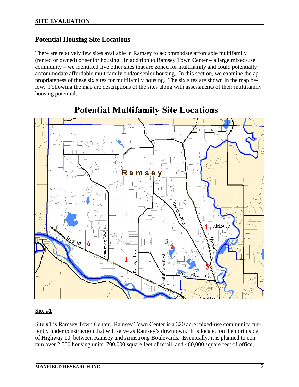### **Potential Housing Site Locations**

There are relatively few sites available in Ramsey to accommodate affordable multifamily (rented or owned) or senior housing. In addition to Ramsey Town Center – a large mixed-use community – we identified five other sites that are zoned for multifamily and could potentially accommodate affordable multifamily and/or senior housing. In this section, we examine the appropriateness of these six sites for multifamily housing. The six sites are shown in the map below. Following the map are descriptions of the sites along with assessments of their multifamily housing potential.



# **Potential Multifamily Site Locations**

#### **Site #1**

Site #1 is Ramsey Town Center. Ramsey Town Center is a 320 acre mixed-use community currently under construction that will serve as Ramsey's downtown. It is located on the north side of Highway 10, between Ramsey and Armstrong Boulevards. Eventually, it is planned to contain over 2,500 housing units, 700,000 square feet of retail, and 460,000 square feet of office,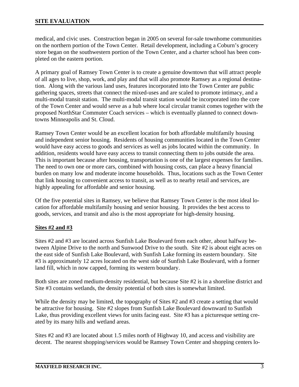medical, and civic uses. Construction began in 2005 on several for-sale townhome communities on the northern portion of the Town Center. Retail development, including a Coburn's grocery store began on the southwestern portion of the Town Center, and a charter school has been completed on the eastern portion.

A primary goal of Ramsey Town Center is to create a genuine downtown that will attract people of all ages to live, shop, work, and play and that will also promote Ramsey as a regional destination. Along with the various land uses, features incorporated into the Town Center are public gathering spaces, streets that connect the mixed-uses and are scaled to promote intimacy, and a multi-modal transit station. The multi-modal transit station would be incorporated into the core of the Town Center and would serve as a hub where local circular transit comes together with the proposed NorthStar Commuter Coach services – which is eventually planned to connect downtowns Minneapolis and St. Cloud.

Ramsey Town Center would be an excellent location for both affordable multifamily housing and independent senior housing. Residents of housing communities located in the Town Center would have easy access to goods and services as well as jobs located within the community. In addition, residents would have easy access to transit connecting them to jobs outside the area. This is important because after housing, transportation is one of the largest expenses for families. The need to own one or more cars, combined with housing costs, can place a heavy financial burden on many low and moderate income households. Thus, locations such as the Town Center that link housing to convenient access to transit, as well as to nearby retail and services, are highly appealing for affordable and senior housing.

Of the five potential sites in Ramsey, we believe that Ramsey Town Center is the most ideal location for affordable multifamily housing and senior housing. It provides the best access to goods, services, and transit and also is the most appropriate for high-density housing.

#### **Sites #2 and #3**

Sites #2 and #3 are located across Sunfish Lake Boulevard from each other, about halfway between Alpine Drive to the north and Sunwood Drive to the south. Site #2 is about eight acres on the east side of Sunfish Lake Boulevard, with Sunfish Lake forming its eastern boundary. Site #3 is approximately 12 acres located on the west side of Sunfish Lake Boulevard, with a former land fill, which in now capped, forming its western boundary.

Both sites are zoned medium-density residential, but because Site #2 is in a shoreline district and Site #3 contains wetlands, the density potential of both sites is somewhat limited.

While the density may be limited, the topography of Sites #2 and #3 create a setting that would be attractive for housing. Site #2 slopes from Sunfish Lake Boulevard downward to Sunfish Lake, thus providing excellent views for units facing east. Site #3 has a picturesque setting created by its many hills and wetland areas.

Sites #2 and #3 are located about 1.5 miles north of Highway 10, and access and visibility are decent. The nearest shopping/services would be Ramsey Town Center and shopping centers lo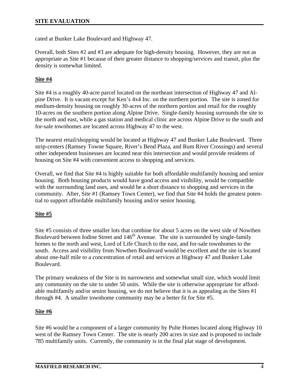cated at Bunker Lake Boulevard and Highway 47.

Overall, both Sites #2 and #3 are adequate for high-density housing. However, they are not as appropriate as Site #1 because of their greater distance to shopping/services and transit, plus the density is somewhat limited.

### **Site #4**

Site #4 is a roughly 40-acre parcel located on the northeast intersection of Highway 47 and Alpine Drive. It is vacant except for Ken's 4x4 Inc. on the northern portion. The site is zoned for medium-density housing on roughly 30-acres of the northern portion and retail for the roughly 10-acres on the southern portion along Alpine Drive. Single-family housing surrounds the site to the north and east, while a gas station and medical clinic are across Alpine Drive to the south and for-sale townhomes are located across Highway 47 to the west.

The nearest retail/shopping would be located at Highway 47 and Bunker Lake Boulevard. Three strip-centers (Ramsey Towne Square, River's Bend Plaza, and Rum River Crossings) and several other independent businesses are located near this intersection and would provide residents of housing on Site #4 with convenient access to shopping and services.

Overall, we find that Site #4 is highly suitable for both affordable multifamily housing and senior housing. Both housing products would have good access and visibility, would be compatible with the surrounding land uses, and would be a short distance to shopping and services in the community. After, Site #1 (Ramsey Town Center), we find that Site #4 holds the greatest potential to support affordable multifamily housing and/or senior housing.

#### **Site #5**

Site #5 consists of three smaller lots that combine for about 5 acres on the west side of Nowthen Boulevard between Iodine Street and 146<sup>th</sup> Avenue. The site is surrounded by single-family homes to the north and west, Lord of Life Church to the east, and for-sale townhomes to the south. Access and visibility from Nowthen Boulevard would be excellent and the site is located about one-half mile to a concentration of retail and services at Highway 47 and Bunker Lake Boulevard.

The primary weakness of the Site is its narrowness and somewhat small size, which would limit any community on the site to under 50 units. While the site is otherwise appropriate for affordable multifamily and/or senior housing, we do not believe that it is as appealing as the Sites #1 through #4. A smaller townhome community may be a better fit for Site #5.

#### **Site #6**

Site #6 would be a component of a larger community by Pulte Homes located along Highway 10 west of the Ramsey Town Center. The site is nearly 200 acres in size and is proposed to include 785 multifamily units. Currently, the community is in the final plat stage of development.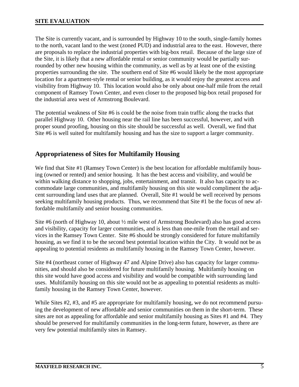The Site is currently vacant, and is surrounded by Highway 10 to the south, single-family homes to the north, vacant land to the west (zoned PUD) and industrial area to the east. However, there are proposals to replace the industrial properties with big-box retail. Because of the large size of the Site, it is likely that a new affordable rental or senior community would be partially surrounded by other new housing within the community, as well as by at least one of the existing properties surrounding the site. The southern end of Site #6 would likely be the most appropriate location for a apartment-style rental or senior building, as it would enjoy the greatest access and visibility from Highway 10. This location would also be only about one-half mile from the retail component of Ramsey Town Center, and even closer to the proposed big-box retail proposed for the industrial area west of Armstrong Boulevard.

The potential weakness of Site #6 is could be the noise from train traffic along the tracks that parallel Highway 10. Other housing near the rail line has been successful, however, and with proper sound proofing, housing on this site should be successful as well. Overall, we find that Site #6 is well suited for multifamily housing and has the size to support a larger community.

# **Appropriateness of Sites for Multifamily Housing**

We find that Site #1 (Ramsey Town Center) is the best location for affordable multifamily housing (owned or rented) and senior housing. It has the best access and visibility, and would be within walking distance to shopping, jobs, entertainment, and transit. It also has capacity to accommodate large communities, and multifamily housing on this site would compliment the adjacent surrounding land uses that are planned. Overall, Site #1 would be well received by persons seeking multifamily housing products. Thus, we recommend that Site #1 be the focus of new affordable multifamily and senior housing communities.

Site #6 (north of Highway 10, about ½ mile west of Armstrong Boulevard) also has good access and visibility, capacity for larger communities, and is less than one-mile from the retail and services in the Ramsey Town Center. Site #6 should be strongly considered for future multifamily housing, as we find it to be the second best potential location within the City. It would not be as appealing to potential residents as multifamily housing in the Ramsey Town Center, however.

Site #4 (northeast corner of Highway 47 and Alpine Drive) also has capacity for larger communities, and should also be considered for future multifamily housing. Multifamily housing on this site would have good access and visibility and would be compatible with surrounding land uses. Multifamily housing on this site would not be as appealing to potential residents as multifamily housing in the Ramsey Town Center, however.

While Sites #2, #3, and #5 are appropriate for multifamily housing, we do not recommend pursuing the development of new affordable and senior communities on them in the short-term. These sites are not as appealing for affordable and senior multifamily housing as Sites #1 and #4. They should be preserved for multifamily communities in the long-term future, however, as there are very few potential multifamily sites in Ramsey.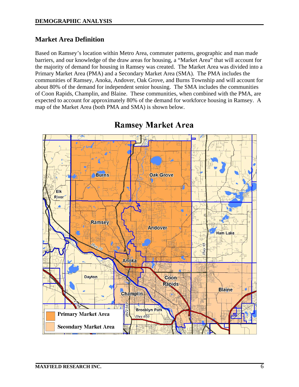# **Market Area Definition**

Based on Ramsey's location within Metro Area, commuter patterns, geographic and man made barriers, and our knowledge of the draw areas for housing, a "Market Area" that will account for the majority of demand for housing in Ramsey was created. The Market Area was divided into a Primary Market Area (PMA) and a Secondary Market Area (SMA). The PMA includes the communities of Ramsey, Anoka, Andover, Oak Grove, and Burns Township and will account for about 80% of the demand for independent senior housing. The SMA includes the communities of Coon Rapids, Champlin, and Blaine. These communities, when combined with the PMA, are expected to account for approximately 80% of the demand for workforce housing in Ramsey. A map of the Market Area (both PMA and SMA) is shown below.



# **Ramsey Market Area**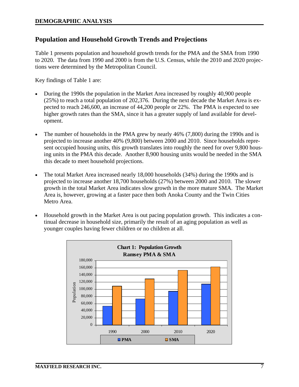# **Population and Household Growth Trends and Projections**

Table 1 presents population and household growth trends for the PMA and the SMA from 1990 to 2020. The data from 1990 and 2000 is from the U.S. Census, while the 2010 and 2020 projections were determined by the Metropolitan Council.

Key findings of Table 1 are:

- During the 1990s the population in the Market Area increased by roughly 40,900 people (25%) to reach a total population of 202,376. During the next decade the Market Area is expected to reach 246,600, an increase of 44,200 people or 22%. The PMA is expected to see higher growth rates than the SMA, since it has a greater supply of land available for development.
- The number of households in the PMA grew by nearly 46% (7,800) during the 1990s and is projected to increase another 40% (9,800) between 2000 and 2010. Since households represent occupied housing units, this growth translates into roughly the need for over 9,800 housing units in the PMA this decade. Another 8,900 housing units would be needed in the SMA this decade to meet household projections.
- The total Market Area increased nearly 18,000 households (34%) during the 1990s and is projected to increase another 18,700 households (27%) between 2000 and 2010. The slower growth in the total Market Area indicates slow growth in the more mature SMA. The Market Area is, however, growing at a faster pace then both Anoka County and the Twin Cities Metro Area.
- Household growth in the Market Area is out pacing population growth. This indicates a continual decrease in household size, primarily the result of an aging population as well as younger couples having fewer children or no children at all.

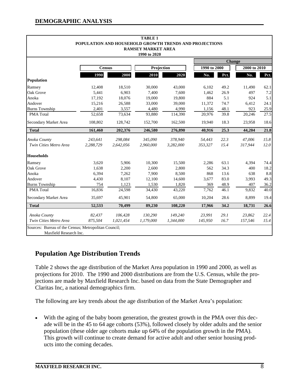|           |           | <b>TABLE 1</b> |           |                                         |      |                                                                        |               |
|-----------|-----------|----------------|-----------|-----------------------------------------|------|------------------------------------------------------------------------|---------------|
|           |           |                |           |                                         |      |                                                                        |               |
|           |           | 1990 to 2020   |           |                                         |      |                                                                        |               |
|           |           |                |           |                                         |      |                                                                        |               |
|           |           |                |           |                                         |      | 2000 to 2010                                                           |               |
| 1990      | 2000      | 2010           | 2020      | No.                                     | Pct. | No.                                                                    | Pct.          |
|           |           |                |           |                                         |      |                                                                        |               |
| 12,408    | 18,510    | 30,000         | 43,000    | 6,102                                   | 49.2 | 11,490                                                                 | 62.1          |
| 5,441     | 6,903     | 7,400          | 7,600     | 1,462                                   | 26.9 | 497                                                                    | 7.2           |
| 17,192    | 18,076    | 19,000         | 19,800    | 884                                     | 5.1  | 924                                                                    | 5.1           |
| 15,216    | 26,588    | 33,000         | 39,000    | 11,372                                  | 74.7 | 6,412                                                                  | 24.1          |
| 2,401     | 3,557     | 4,480          | 4,990     | 1,156                                   | 48.1 | 923                                                                    | 25.9          |
| 52,658    | 73,634    | 93,880         | 114,390   | 20,976                                  | 39.8 | 20,246                                                                 | 27.5          |
| 108,802   | 128,742   | 152,700        | 162,500   | 19,940                                  | 18.3 | 23,958                                                                 | 18.6          |
| 161,460   | 202,376   | 246,580        | 276,890   | 40,916                                  | 25.3 | 44,204                                                                 | 21.8          |
| 243,641   | 298,084   | 345,090        | 378,940   | 54,443                                  | 22.3 | 47,006                                                                 | 15.8          |
| 2,288,729 | 2,642,056 | 2.960.000      | 3,282,000 | 353,327                                 | 15.4 | 317,944                                                                | 12.0          |
|           |           |                |           |                                         |      |                                                                        |               |
| 3,620     | 5,906     | 10,300         | 15,500    | 2,286                                   | 63.1 | 4,394                                                                  | 74.4          |
| 1,638     | 2,200     | 2,600          | 2,800     | 562                                     | 34.3 | 400                                                                    | 18.2          |
| 6,394     | 7,262     | 7,900          | 8,500     | 868                                     | 13.6 | 638                                                                    | 8.8           |
| 4,430     | 8,107     | 12,100         | 14,600    | 3,677                                   | 83.0 | 3,993                                                                  | 49.3          |
| 754       | 1,123     | 1,530          | 1,820     | 369                                     | 48.9 | 407                                                                    | 36.2          |
| 16,836    | 24,598    | 34,430         | 43,220    | 7,762                                   | 46.1 | 9,832                                                                  | 40.0          |
| 35,697    | 45,901    | 54,800         | 65,000    | 10,204                                  | 28.6 | 8,899                                                                  | 19.4          |
| 52,533    | 70,499    | 89,230         | 108,220   | 17,966                                  | 34.2 | 18,731                                                                 | 26.6          |
| 82,437    | 106,428   | 130,290        | 149,240   | 23,991                                  | 29.1 | 23,862                                                                 | 22.4          |
| 875,504   | 1,021,454 | 1,179,000      | 1,344,000 | 145,950                                 | 16.7 | 157,546                                                                | 15.4          |
|           |           | <b>Census</b>  |           | <b>RAMSEY MARKET AREA</b><br>Projection |      | POPULATION AND HOUSEHOLD GROWTH TRENDS AND PROJECTIONS<br>1990 to 2000 | <b>Change</b> |

Maxfield Research Inc.

# **Population Age Distribution Trends**

Table 2 shows the age distribution of the Market Area population in 1990 and 2000, as well as projections for 2010. The 1990 and 2000 distributions are from the U.S. Census, while the projections are made by Maxfield Research Inc. based on data from the State Demographer and Claritas Inc, a national demographics firm.

The following are key trends about the age distribution of the Market Area's population:

• With the aging of the baby boom generation, the greatest growth in the PMA over this decade will be in the 45 to 64 age cohorts (53%), followed closely by older adults and the senior population (these older age cohorts make up 64% of the population growth in the PMA). This growth will continue to create demand for active adult and other senior housing products into the coming decades.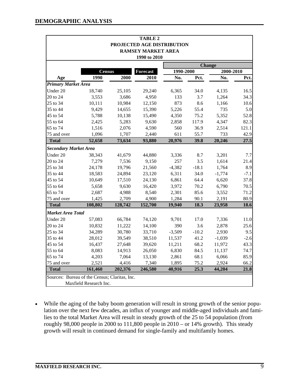|                                               |                        |         | <b>TABLE 2</b>             |           |         |               |        |
|-----------------------------------------------|------------------------|---------|----------------------------|-----------|---------|---------------|--------|
|                                               |                        |         | PROJECTED AGE DISTRIBUTION |           |         |               |        |
|                                               |                        |         | <b>RAMSEY MARKET AREA</b>  |           |         |               |        |
|                                               |                        |         | 1990 to 2010               |           |         |               |        |
|                                               |                        |         |                            |           |         | <b>Change</b> |        |
|                                               | <b>Census</b>          |         | <b>Forecast</b>            | 1990-2000 |         | 2000-2010     |        |
| Age                                           | 1990                   | 2000    | 2010                       | No.       | Pct.    | No.           | Pct.   |
| <b>Primary Market Area</b>                    |                        |         |                            |           |         |               |        |
| Under 20                                      | 18,740                 | 25,105  | 29,240                     | 6,365     | 34.0    | 4,135         | 16.5   |
| 20 to 24                                      | 3,553                  | 3,686   | 4,950                      | 133       | 3.7     | 1,264         | 34.3   |
| 25 to 34                                      | 10,111                 | 10,984  | 12,150                     | 873       | 8.6     | 1,166         | 10.6   |
| 35 to 44                                      | 9,429                  | 14,655  | 15,390                     | 5,226     | 55.4    | 735           | 5.0    |
| 45 to 54                                      | 5,788                  | 10,138  | 15,490                     | 4,350     | 75.2    | 5,352         | 52.8   |
| 55 to 64                                      | 2,425                  | 5,283   | 9,630                      | 2,858     | 117.9   | 4,347         | 82.3   |
| 65 to 74                                      | 1,516                  | 2,076   | 4,590                      | 560       | 36.9    | 2,514         | 121.1  |
| 75 and over                                   | 1,096                  | 1,707   | 2,440                      | 611       | 55.7    | 733           | 42.9   |
| <b>Total</b>                                  | 52,658                 | 73,634  | 93,880                     | 20,976    | 39.8    | 20,246        | 27.5   |
| <b>Secondary Market Area</b>                  |                        |         |                            |           |         |               |        |
| Under 20                                      | 38,343                 | 41,679  | 44,880                     | 3,336     | 8.7     | 3,201         | 7.7    |
| 20 to 24                                      | 7,279                  | 7,536   | 9,150                      | 257       | 3.5     | 1,614         | 21.4   |
| 25 to 34                                      | 24,178                 | 19,796  | 21,560                     | $-4,382$  | $-18.1$ | 1,764         | 8.9    |
| 35 to 44                                      | 18,583                 | 24,894  | 23,120                     | 6,311     | 34.0    | $-1,774$      | $-7.1$ |
| 45 to 54                                      | 10,649                 | 17,510  | 24,130                     | 6,861     | 64.4    | 6,620         | 37.8   |
| 55 to 64                                      | 5,658                  | 9,630   | 16,420                     | 3,972     | 70.2    | 6,790         | 70.5   |
| 65 to 74                                      | 2,687                  | 4,988   | 8,540                      | 2,301     | 85.6    | 3,552         | 71.2   |
| 75 and over                                   | 1,425                  | 2,709   | 4,900                      | 1,284     | 90.1    | 2,191         | 80.9   |
| <b>Total</b>                                  | 108,802                | 128,742 | 152,700                    | 19,940    | 18.3    | 23,958        | 18.6   |
| <b>Market Area Total</b>                      |                        |         |                            |           |         |               |        |
| Under 20                                      | 57,083                 | 66,784  | 74,120                     | 9,701     | 17.0    | 7,336         | 11.0   |
| 20 to 24                                      | 10,832                 | 11,222  | 14,100                     | 390       | 3.6     | 2,878         | 25.6   |
| 25 to 34                                      | 34,289                 | 30,780  | 33,710                     | $-3,509$  | $-10.2$ | 2,930         | 9.5    |
| 35 to 44                                      | 28,012                 | 39,549  | 38,510                     | 11,537    | 41.2    | $-1,039$      | $-2.6$ |
| 45 to 54                                      | 16,437                 | 27,648  | 39,620                     | 11,211    | 68.2    | 11,972        | 43.3   |
| 55 to 64                                      | 8,083                  | 14,913  | 26,050                     | 6,830     | 84.5    | 11,137        | 74.7   |
| 65 to 74                                      | 4,203                  | 7,064   | 13,130                     | 2,861     | 68.1    | 6,066         | 85.9   |
| 75 and over                                   | 2,521                  | 4,416   | 7,340                      | 1,895     | 75.2    | 2,924         | 66.2   |
| <b>Total</b>                                  | 161,460                | 202,376 | 246,580                    | 40,916    | 25.3    | 44,204        | 21.8   |
| Sources: Bureau of the Census; Claritas, Inc. |                        |         |                            |           |         |               |        |
|                                               | Maxfield Research Inc. |         |                            |           |         |               |        |

• While the aging of the baby boom generation will result in strong growth of the senior population over the next few decades, an influx of younger and middle-aged individuals and families to the total Market Area will result in steady growth of the 25 to 54 population (from roughly 98,000 people in 2000 to 111,800 people in  $2010 -$  or  $14\%$  growth). This steady growth will result in continued demand for single-family and multifamily homes.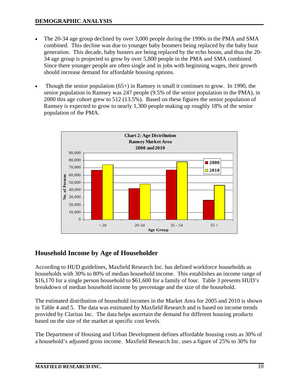- The 20-34 age group declined by over 3,000 people during the 1990s in the PMA and SMA combined. This decline was due to younger baby boomers being replaced by the baby bust generation. This decade, baby busters are being replaced by the echo boom, and thus the 20- 34 age group is projected to grow by over 5,800 people in the PMA and SMA combined. Since there younger people are often single and in jobs with beginning wages, their growth should increase demand for affordable housing options.
- Though the senior population (65+) in Ramsey is small it continues to grow. In 1990, the senior population in Ramsey was 247 people (9.5% of the senior population in the PMA), in 2000 this age cohort grew to 512 (13.5%). Based on these figures the senior population of Ramsey is expected to grow to nearly 1,300 people making up roughly 18% of the senior population of the PMA.



# **Household Income by Age of Householder**

According to HUD guidelines, Maxfield Research Inc. has defined workforce households as households with 30% to 80% of median household income. This establishes an income range of \$16,170 for a single person household to \$61,600 for a family of four. Table 3 presents HUD's breakdown of median household income by percentage and the size of the household.

The estimated distribution of household incomes in the Market Area for 2005 and 2010 is shown in Table 4 and 5. The data was estimated by Maxfield Research and is based on income trends provided by Claritas Inc. The data helps ascertain the demand for different housing products based on the size of the market at specific cost levels.

The Department of Housing and Urban Development defines affordable housing costs as 30% of a household's adjusted gross income. Maxfield Research Inc. uses a figure of 25% to 30% for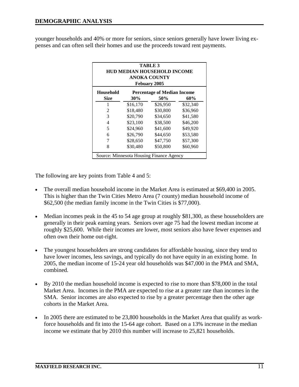younger households and 40% or more for seniors, since seniors generally have lower living expenses and can often sell their homes and use the proceeds toward rent payments.

| <b>TABLE 3</b><br><b>HUD MEDIAN HOUSEHOLD INCOME</b><br><b>ANOKA COUNTY</b><br>Febuary 2005 |          |                                          |          |  |  |  |  |  |  |  |  |  |
|---------------------------------------------------------------------------------------------|----------|------------------------------------------|----------|--|--|--|--|--|--|--|--|--|
| <b>Household</b><br><b>Percentage of Median Income</b><br>Size<br>30%<br>50%<br>60%         |          |                                          |          |  |  |  |  |  |  |  |  |  |
| 1                                                                                           | \$16,170 | \$26,950                                 | \$32,340 |  |  |  |  |  |  |  |  |  |
| $\mathfrak{D}$                                                                              | \$18,480 | \$30,800                                 | \$36,960 |  |  |  |  |  |  |  |  |  |
| 3                                                                                           | \$20,790 | \$34,650                                 | \$41,580 |  |  |  |  |  |  |  |  |  |
| 4                                                                                           | \$23,100 | \$38,500                                 | \$46,200 |  |  |  |  |  |  |  |  |  |
| 5                                                                                           | \$24,960 | \$41,600                                 | \$49,920 |  |  |  |  |  |  |  |  |  |
| 6                                                                                           | \$26,790 | \$44,650                                 | \$53,580 |  |  |  |  |  |  |  |  |  |
| 7                                                                                           | \$28,650 | \$47,750                                 | \$57,300 |  |  |  |  |  |  |  |  |  |
| 8                                                                                           | \$30,480 | \$50,800                                 | \$60,960 |  |  |  |  |  |  |  |  |  |
|                                                                                             |          | Source: Minnesota Housing Finance Agency |          |  |  |  |  |  |  |  |  |  |

The following are key points from Table 4 and 5:

- The overall median household income in the Market Area is estimated at \$69,400 in 2005. This is higher than the Twin Cities Metro Area (7 county) median household income of \$62,500 (the median family income in the Twin Cities is \$77,000).
- Median incomes peak in the 45 to 54 age group at roughly \$81,300, as these householders are generally in their peak earning years. Seniors over age 75 had the lowest median income at roughly \$25,600. While their incomes are lower, most seniors also have fewer expenses and often own their home out-right.
- The youngest householders are strong candidates for affordable housing, since they tend to have lower incomes, less savings, and typically do not have equity in an existing home. In 2005, the median income of 15-24 year old households was \$47,000 in the PMA and SMA, combined.
- By 2010 the median household income is expected to rise to more than \$78,000 in the total Market Area. Incomes in the PMA are expected to rise at a greater rate than incomes in the SMA. Senior incomes are also expected to rise by a greater percentage then the other age cohorts in the Market Area.
- In 2005 there are estimated to be 23,800 households in the Market Area that qualify as workforce households and fit into the 15-64 age cohort. Based on a 13% increase in the median income we estimate that by 2010 this number will increase to 25,821 households.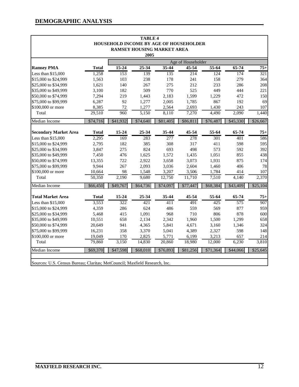|                              |              |           | <b>TABLE 4</b> |                                        |                    |          |           |          |
|------------------------------|--------------|-----------|----------------|----------------------------------------|--------------------|----------|-----------|----------|
|                              |              |           |                | HOUSEHOLD INCOME BY AGE OF HOUSEHOLDER |                    |          |           |          |
|                              |              |           |                | <b>RAMSEY HOUSING MARKET AREA</b>      |                    |          |           |          |
|                              |              |           | 2005           |                                        |                    |          |           |          |
|                              |              |           |                |                                        | Age of Householder |          |           |          |
| <b>Ramsey PMA</b>            | <b>Total</b> | $15 - 24$ | $25 - 34$      | 35-44                                  | 45-54              | $55-64$  | $65 - 74$ | $75+$    |
| Less than \$15,000           | 1,258        | 153       | 139            | 135                                    | 214                | 124      | 174       | 321      |
| \$15,000 to \$24,999         | 1,563        | 103       | 238            | 178                                    | 241                | 158      | 279       | 364      |
| \$25,000 to \$34,999         | 1,621        | 140       | 267            | 275                                    | 212                | 233      | 286       | 208      |
| \$35,000 to \$49,999         | 3,100        | 182       | 509            | 770                                    | 525                | 449      | 444       | 221      |
| \$50,000 to \$74,999         | 7,294        | 219       | 1,443          | 2,183                                  | 1,599              | 1,229    | 472       | 150      |
| \$75,000 to \$99,999         | 6,287        | 92        | 1,277          | 2,005                                  | 1,785              | 867      | 192       | 69       |
| \$100,000 or more            | 8,385        | 72        | 1,277          | 2,564                                  | 2,693              | 1,430    | 243       | 107      |
| Total                        | 29,510       | 960       | 5,150          | 8,110                                  | 7,270              | 4,490    | 2,090     | 1,440    |
| Median Income                | \$74,716     | \$41,932  | \$74,640       | \$81,405                               | \$86,811           | \$76,487 | \$45,330  | \$26,667 |
| <b>Secondary Market Area</b> | <b>Total</b> | 15-24     | 25-34          | 35-44                                  | 45-54              | 55-64    | 65-74     | $75+$    |
| Less than \$15,000           | 2,295        | 169       | 283            | 277                                    | 278                | 301      | 401       | 586      |
| \$15,000 to \$24,999         | 2,795        | 182       | 385            | 308                                    | 317                | 411      | 598       | 595      |
| \$25,000 to \$34,999         | 3,847        | 275       | 824            | 693                                    | 498                | 573      | 592       | 392      |
| \$35,000 to \$49,999         | 7,450        | 476       | 1,625          | 1,572                                  | 1,435              | 1,051    | 855       | 438      |
| \$50,000 to \$74,999         | 13,355       | 722       | 2,922          | 3,658                                  | 3,073              | 1,931    | 875       | 174      |
| \$75,000 to \$99,999         | 9,944        | 267       | 2,093          | 3,036                                  | 2,604              | 1,460    | 406       | 78       |
| \$100,000 or more            | 10,664       | 98        | 1,548          | 3,207                                  | 3,506              | 1,784    | 414       | 107      |
| Total                        | 50,350       | 2,190     | 9,680          | 12,750                                 | 11,710             | 7,510    | 4,140     | 2,370    |
|                              |              |           |                |                                        |                    |          |           |          |
| <b>Median Income</b>         | \$66,450     | \$49,767  | \$64,736       | \$74,097                               | \$77,447           | \$68,384 | \$43,409  | \$25,104 |
| <b>Total Market Area</b>     | <b>Total</b> | 15-24     | 25-34          | 35-44                                  | 45-54              | 55-64    | 65-74     | $75+$    |
| Less than \$15,000           | 3,553        | 322       | 421            | $\overline{411}$                       | 491                | 425      | 575       | 907      |
| \$15,000 to \$24,999         | 4,359        | 286       | 624            | 486                                    | 559                | 569      | 877       | 959      |
| \$25,000 to \$34,999         | 5,468        | 415       | 1,091          | 968                                    | 710                | 806      | 878       | 600      |
| \$35,000 to \$49,999         | 10,551       | 658       | 2,134          | 2,342                                  | 1,960              | 1,500    | 1,299     | 658      |
| \$50,000 to \$74,999         | 20,649       | 941       | 4,365          | 5,841                                  | 4,671              | 3,160    | 1,346     | 324      |
| \$75,000 to \$99,999         | 16,231       | 358       | 3,370          | 5,041                                  | 4,389              | 2,327    | 598       | 148      |
| \$100,000 or more            | 19,049       | 170       | 2,825          | 5,771                                  | 6,199              | 3,213    | 657       | 214      |
| Total                        | 79,860       | 3,150     | 14,830         | 20,860                                 | 18,980             | 12,000   | 6,230     | 3,810    |
| Median Income                | \$69,370     | \$47,598  | \$68,010       | \$76,893                               | \$81,256           | \$71,364 | \$44,066  | \$25,645 |

Sources: U.S. Census Bureau; Claritas; MetCouncil; Maxfield Research, Inc.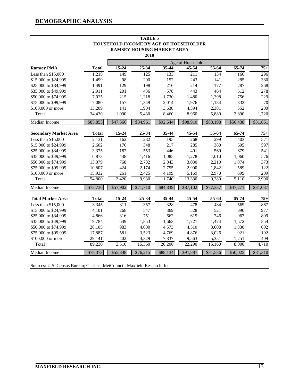|                                                                            |                  |                    | <b>TABLE 5</b> |                                   |                                        |                |                |                  |
|----------------------------------------------------------------------------|------------------|--------------------|----------------|-----------------------------------|----------------------------------------|----------------|----------------|------------------|
|                                                                            |                  |                    |                |                                   | HOUSEHOLD INCOME BY AGE OF HOUSEHOLDER |                |                |                  |
|                                                                            |                  |                    |                | <b>RAMSEY HOUSING MARKET AREA</b> |                                        |                |                |                  |
|                                                                            |                  |                    | 2010           |                                   |                                        |                |                |                  |
|                                                                            |                  |                    |                |                                   | Age of Householder                     |                |                |                  |
| <b>Ramsey PMA</b>                                                          | <b>Total</b>     | $15 - 24$          | 25-34          | $35 - 44$                         | 45-54                                  | $55-64$        | $65 - 74$      | $75+$            |
| Less than \$15,000                                                         | 1,215            | 149                | 125            | 133                               | 211                                    | 134            | 166            | 296              |
| \$15,000 to \$24,999                                                       | 1,499            | 98                 | 200            | 152                               | 243                                    | 141            | 285            | 380              |
| \$25,000 to \$34,999                                                       | 1,491            | 129                | 198            | 216                               | 214                                    | 177            | 287            | 268              |
| \$35,000 to \$49,999                                                       | 2,911            | 201                | 436            | 578                               | 443                                    | 464            | 512            | 278              |
| \$50,000 to \$74,999                                                       | 7,025            | 215                | 1,218          | 1,730                             | 1,480                                  | 1,398          | 756            | 229              |
| \$75,000 to \$99,999                                                       | 7,080            | 157                | 1,349          | 2,014                             | 1,976                                  | 1,184          | 332            | 70               |
| \$100,000 or more                                                          | 13,209           | 141                | 1,904          | 3,638                             | 4,394                                  | 2,381          | 552            | 200              |
| Total                                                                      | 34,430           | 1,090              | 5,430          | 8,460                             | 8,960                                  | 5,880          | 2,890          | 1,720            |
| Median Income                                                              | \$85,855         | \$47,566           | \$84,961       | \$92,644                          | \$98,910                               | \$88,198       | \$56,438       | \$31,861         |
| <b>Secondary Market Area</b>                                               | <b>Total</b>     | 15-24              | 25-34          | 35-44                             | 45-54                                  | 55-64          | 65-74          | $75+$            |
| Less than \$15,000                                                         | 2,131            | 162                | 232            | 195                               | 268                                    | 299            | 403            | $\overline{571}$ |
| \$15,000 to \$24,999                                                       |                  | 170                | 348            | 217                               | 285                                    | 380            |                | 597              |
| \$25,000 to \$34,999                                                       | 2,602<br>3,375   | 187                | 553            | 446                               | 401                                    | 569            | 605<br>679     | 541              |
| \$35,000 to \$49,999                                                       | 6,873            |                    | 1,416          |                                   |                                        | 1,010          |                | 576              |
| \$50,000 to \$74,999                                                       | 13,079           | 448<br>768         |                | 1,085                             | 1,278<br>3,030                         |                | 1,060<br>1,074 | 373              |
| \$75,000 to \$99,999                                                       | 10,807           | 424                | 2,782<br>2,174 | 2,843                             |                                        | 2,210<br>1,842 | 589            | 122              |
|                                                                            |                  |                    |                | 2,755                             | 2,900                                  |                |                |                  |
| \$100,000 or more<br>Total                                                 | 15,932<br>54,800 | 261                | 2,425<br>9,930 | 4,199<br>11,740                   | 5,169                                  | 2,970          | 699<br>5,110   | 209<br>2,990     |
|                                                                            |                  | $\overline{2,}420$ |                |                                   | 13,330                                 | 9,280          |                |                  |
| Median Income                                                              | \$73,736         | \$57,902           | \$71,710       | \$84,839                          | \$87,102                               | \$77,337       | \$47,271       | \$31,037         |
| <b>Total Market Area</b>                                                   | <b>Total</b>     | 15-24              | 25-34          | 35-44                             | 45-54                                  | 55-64          | 65-74          | $75+$            |
| Less than \$15,000                                                         | 3,345            | $\overline{311}$   | 357            | 328                               | 478                                    | 434            | 569            | 867              |
| \$15,000 to \$24,999                                                       | 4,101            | 268                | 547            | 369                               | 528                                    | 521            | 890            | 977              |
| \$25,000 to \$34,999                                                       | 4,866            | 316                | 751            | 662                               | 615                                    | 746            | 967            | 809              |
| \$35,000 to \$49,999                                                       | 9,784            | 649                | 1,853          | 1,663                             | 1,721                                  | 1,474          | 1,572          | 854              |
| \$50,000 to \$74,999                                                       | 20,105           | 983                | 4,000          | 4,573                             | 4,510                                  | 3,608          | 1,830          | 602              |
| \$75,000 to \$99,999                                                       | 17,887           | 581                | 3,523          | 4,769                             | 4,876                                  | 3,026          | 921            | 192              |
| \$100,000 or more                                                          | 29,141           | 402                | 4,329          | 7,837                             | 9,563                                  | 5,351          | 1,251          | 409              |
| Total                                                                      | 89,230           | 3,510              | 15,360         | 20,200                            | 22,290                                 | 15,160         | 8,000          | 4,710            |
| Median Income                                                              | \$78,373         | \$55,348           | \$76,215       | \$88,134                          | \$91,887                               | \$81,586       | \$50,025       | \$31,310         |
| Sources: U.S. Census Bureau; Claritas; MetCouncil; Maxfield Research, Inc. |                  |                    |                |                                   |                                        |                |                |                  |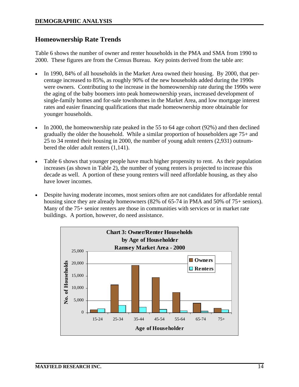### **Homeownership Rate Trends**

Table 6 shows the number of owner and renter households in the PMA and SMA from 1990 to 2000. These figures are from the Census Bureau. Key points derived from the table are:

- In 1990, 84% of all households in the Market Area owned their housing. By 2000, that percentage increased to 85%, as roughly 90% of the new households added during the 1990s were owners. Contributing to the increase in the homeownership rate during the 1990s were the aging of the baby boomers into peak homeownership years, increased development of single-family homes and for-sale townhomes in the Market Area, and low mortgage interest rates and easier financing qualifications that made homeownership more obtainable for younger households.
- In 2000, the homeownership rate peaked in the 55 to 64 age cohort (92%) and then declined gradually the older the household. While a similar proportion of householders age 75+ and 25 to 34 rented their housing in 2000, the number of young adult renters (2,931) outnumbered the older adult renters (1,141).
- Table 6 shows that younger people have much higher propensity to rent. As their population increases (as shown in Table 2), the number of young renters is projected to increase this decade as well. A portion of these young renters will need affordable housing, as they also have lower incomes.
- Despite having moderate incomes, most seniors often are not candidates for affordable rental housing since they are already homeowners (82% of 65-74 in PMA and 50% of 75+ seniors). Many of the 75+ senior renters are those in communities with services or in market rate buildings. A portion, however, do need assistance.

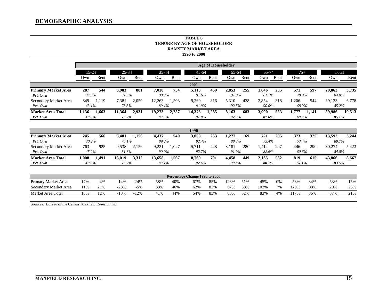|                                                       |                                                                      |                           |           |        |        |       | TABLE 6                                   |       |       |      |       |      |       |       |        |        |
|-------------------------------------------------------|----------------------------------------------------------------------|---------------------------|-----------|--------|--------|-------|-------------------------------------------|-------|-------|------|-------|------|-------|-------|--------|--------|
|                                                       |                                                                      |                           |           |        |        |       | <b>TENURE BY AGE OF HOUSEHOLDER</b>       |       |       |      |       |      |       |       |        |        |
|                                                       |                                                                      |                           |           |        |        |       | <b>RAMSEY MARKET AREA</b><br>1990 to 2000 |       |       |      |       |      |       |       |        |        |
|                                                       |                                                                      |                           |           |        |        |       |                                           |       |       |      |       |      |       |       |        |        |
|                                                       |                                                                      | <b>Age of Householder</b> |           |        |        |       |                                           |       |       |      |       |      |       |       |        |        |
|                                                       | $15 - 24$                                                            |                           | $25 - 34$ |        | 35-44  |       | 45-54                                     |       | 55-64 |      | 65-74 |      | $75+$ |       | Total  |        |
|                                                       | Own                                                                  | Rent                      | Own       | Rent   | Own    | Rent  | Own                                       | Rent  | Own   | Rent | Own   | Rent | Own   | Rent  | Own    | Rent   |
|                                                       |                                                                      |                           |           |        |        |       | 2000                                      |       |       |      |       |      |       |       |        |        |
| <b>Primary Market Area</b>                            | 287                                                                  | 544                       | 3,983     | 881    | 7,010  | 754   | 5,113                                     | 469   | 2,853 | 255  | 1,046 | 235  | 571   | 597   | 20,863 | 3,735  |
| Pct. Own                                              | 34.5%                                                                |                           | 81.9%     |        | 90.3%  |       | 91.6%                                     |       | 91.8% |      | 81.7% |      | 48.9% |       | 84.8%  |        |
| Secondary Market Area                                 | 849                                                                  | 1,119                     | 7,381     | 2,050  | 12,263 | 1,503 | 9,260                                     | 816   | 5,310 | 428  | 2,854 | 318  | 1,206 | 544   | 39,123 | 6,778  |
| Pct. Own                                              | 43.1%<br>78.3%<br>89.1%<br>90.0%<br>85.2%<br>91.9%<br>92.5%<br>68.9% |                           |           |        |        |       |                                           |       |       |      |       |      |       |       |        |        |
| <b>Market Area Total</b>                              | 1,136                                                                | 1,663                     | 11,364    | 2,931  | 19,273 | 2,257 | 14,373                                    | 1,285 | 8,163 | 683  | 3,900 | 553  | 1,777 | 1,141 | 59,986 | 10,513 |
| Pct. Own                                              | 40.6%                                                                |                           | 79.5%     |        | 89.5%  |       | 91.8%                                     |       | 92.3% |      | 87.6% |      | 60.9% |       | 85.1%  |        |
|                                                       |                                                                      |                           |           |        |        |       |                                           |       |       |      |       |      |       |       |        |        |
|                                                       |                                                                      |                           |           |        |        |       | 1990                                      |       |       |      |       |      |       |       |        |        |
| <b>Primary Market Area</b>                            | 245                                                                  | 566                       | 3,481     | 1,156  | 4,437  | 540   | 3,058                                     | 253   | 1,277 | 169  | 721   | 235  | 373   | 325   | 13,592 | 3,244  |
| Pct. Own                                              | 30.2%                                                                |                           | 75.1%     |        | 89.2%  |       | 92.4%                                     |       | 88.3% |      | 75.4% |      | 53.4% |       | 80.7%  |        |
| Secondary Market Area                                 | 763                                                                  | 925                       | 9,538     | 2,156  | 9,221  | 1.027 | 5,711                                     | 448   | 3.181 | 280  | 1,414 | 297  | 446   | 290   | 30,274 | 5,423  |
| Pct. Own                                              | 45.2%                                                                |                           | 81.6%     |        | 90.0%  |       | 92.7%                                     |       | 91.9% |      | 82.6% |      | 60.6% |       | 84.8%  |        |
| <b>Market Area Total</b>                              | 1,008                                                                | 1,491                     | 13,019    | 3,312  | 13,658 | 1,567 | 8,769                                     | 701   | 4,458 | 449  | 2,135 | 532  | 819   | 615   | 43,866 | 8,667  |
| Pct. Own                                              | 40.3%                                                                |                           | 79.7%     |        | 89.7%  |       | 92.6%                                     |       | 90.8% |      | 80.1% |      | 57.1% |       | 83.5%  |        |
|                                                       |                                                                      |                           |           |        |        |       |                                           |       |       |      |       |      |       |       |        |        |
|                                                       |                                                                      |                           |           |        |        |       | Percentage Change 1990 to 2000            |       |       |      |       |      |       |       |        |        |
| Primary Market Area                                   | 17%                                                                  | $-4%$                     | 14%       | $-24%$ | 58%    | 40%   | 67%                                       | 85%   | 123%  | 51%  | 45%   | 0%   | 53%   | 84%   | 53%    | 15%    |
| Secondary Market Area                                 | 11%                                                                  | 21%                       | $-23%$    | $-5\%$ | 33%    | 46%   | 62%                                       | 82%   | 67%   | 53%  | 102%  | 7%   | 170%  | 88%   | 29%    | 25%    |
| Market Area Total                                     | 13%                                                                  | 12%                       | $-13%$    | $-12%$ | 41%    | 44%   | 64%                                       | 83%   | 83%   | 52%  | 83%   | 4%   | 117%  | 86%   | 37%    | 21%    |
|                                                       |                                                                      |                           |           |        |        |       |                                           |       |       |      |       |      |       |       |        |        |
| Sources: Bureau of the Census, Maxfield Research Inc. |                                                                      |                           |           |        |        |       |                                           |       |       |      |       |      |       |       |        |        |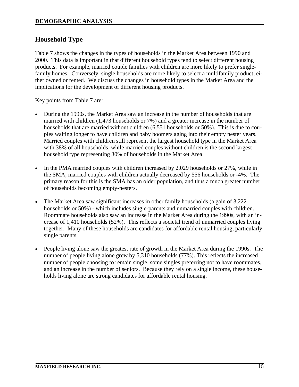# **Household Type**

Table 7 shows the changes in the types of households in the Market Area between 1990 and 2000. This data is important in that different household types tend to select different housing products. For example, married couple families with children are more likely to prefer singlefamily homes. Conversely, single households are more likely to select a multifamily product, either owned or rented. We discuss the changes in household types in the Market Area and the implications for the development of different housing products.

Key points from Table 7 are:

- During the 1990s, the Market Area saw an increase in the number of households that are married with children (1,473 households or 7%) and a greater increase in the number of households that are married without children (6,551 households or 50%). This is due to couples waiting longer to have children and baby boomers aging into their empty nester years. Married couples with children still represent the largest household type in the Market Area with 38% of all households, while married couples without children is the second largest household type representing 30% of households in the Market Area.
- In the PMA married couples with children increased by 2,029 households or 27%, while in the SMA, married couples with children actually decreased by 556 households or -4%. The primary reason for this is the SMA has an older population, and thus a much greater number of households becoming empty-nesters.
- The Market Area saw significant increases in other family households (a gain of 3,222 households or 50%) - which includes single-parents and unmarried couples with children. Roommate households also saw an increase in the Market Area during the 1990s, with an increase of 1,410 households (52%). This reflects a societal trend of unmarried couples living together. Many of these households are candidates for affordable rental housing, particularly single parents.
- People living alone saw the greatest rate of growth in the Market Area during the 1990s. The number of people living alone grew by 5,310 households (77%). This reflects the increased number of people choosing to remain single, some singles preferring not to have roommates, and an increase in the number of seniors. Because they rely on a single income, these households living alone are strong candidates for affordable rental housing.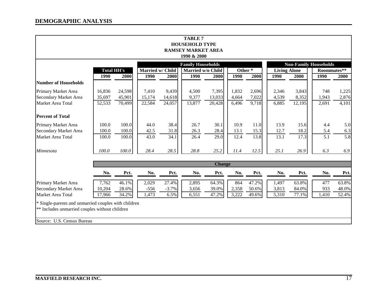| <b>TABLE 7</b>                                       |                   |        |                  |         |                           |               |         |       |                     |        |                              |       |
|------------------------------------------------------|-------------------|--------|------------------|---------|---------------------------|---------------|---------|-------|---------------------|--------|------------------------------|-------|
|                                                      |                   |        |                  |         | <b>HOUSEHOLD TYPE</b>     |               |         |       |                     |        |                              |       |
|                                                      |                   |        |                  |         | <b>RAMSEY MARKET AREA</b> |               |         |       |                     |        |                              |       |
|                                                      |                   |        |                  |         | 1990 & 2000               |               |         |       |                     |        |                              |       |
|                                                      |                   |        |                  |         | <b>Family Households</b>  |               |         |       |                     |        | <b>Non-Family Households</b> |       |
|                                                      | <b>Total HH's</b> |        | Married w/ Child |         | Married w/o Child         |               | Other * |       | <b>Living Alone</b> |        | Roommates**                  |       |
|                                                      | 1990              | 2000   | 1990             | 2000    | 1990                      | 2000          | 1990    | 2000  | 1990                | 2000   | 1990                         | 2000  |
| <b>Number of Households</b>                          |                   |        |                  |         |                           |               |         |       |                     |        |                              |       |
| Primary Market Area                                  | 16,836            | 24,598 | 7,410            | 9,439   | 4,500                     | 7,395         | 1,832   | 2,696 | 2,346               | 3,843  | 748                          | 1,225 |
| Secondary Market Area                                | 35,697            | 45,901 | 15,174           | 14,618  | 9,377                     | 13,033        | 4,664   | 7,022 | 4,539               | 8,352  | 1,943                        | 2,876 |
| Market Area Total                                    | 52,533            | 70,499 | 22,584           | 24,057  | 13,877                    | 20,428        | 6,496   | 9,718 | 6,885               | 12,195 | 2,691                        | 4,101 |
| <b>Percent of Total</b>                              |                   |        |                  |         |                           |               |         |       |                     |        |                              |       |
| Primary Market Area                                  | 100.0             | 100.0  | 44.0             | 38.4    | 26.7                      | 30.1          | 10.9    | 11.0  | 13.9                | 15.6   | 4.4                          | 5.0   |
| Secondary Market Area                                | 100.0             | 100.0  | 42.5             | 31.8    | 26.3                      | 28.4          | 13.1    | 15.3  | 12.7                | 18.2   | 5.4                          | 6.3   |
| Market Area Total                                    | 100.0             | 100.0  | 43.0             | 34.1    | 26.4                      | 29.0          | 12.4    | 13.8  | 13.1                | 17.3   | $\overline{5.1}$             | 5.8   |
| Minnesota                                            | 100.0             | 100.0  | 28.4             | 28.5    | 28.8                      | 25.2          | 11.4    | 12.5  | 25.1                | 26.9   | 6.3                          | 6.9   |
|                                                      |                   |        |                  |         |                           |               |         |       |                     |        |                              |       |
|                                                      |                   |        |                  |         |                           | <b>Change</b> |         |       |                     |        |                              |       |
|                                                      | No.               | Pct.   | No.              | Pct.    | No.                       | Pct.          | No.     | Pct.  | No.                 | Pct.   | No.                          | Pct.  |
| Primary Market Area                                  | 7,762             | 46.1%  | 2,029            | 27.4%   | 2,895                     | 64.3%         | 864     | 47.2% | 1,497               | 63.8%  | 477                          | 63.8% |
| Secondary Market Area                                | 10,204            | 28.6%  | $-556$           | $-3.7%$ | 3,656                     | 39.0%         | 2,358   | 50.6% | 3,813               | 84.0%  | 933                          | 48.0% |
| Market Area Total                                    | 17,966            | 34.2%  | 1,473            | 6.5%    | 6,551                     | 47.2%         | 3,222   | 49.6% | 5,310               | 77.1%  | 1,410                        | 52.4% |
| * Single-parents and unmarried couples with children |                   |        |                  |         |                           |               |         |       |                     |        |                              |       |
| ** Includes unmarried couples without children       |                   |        |                  |         |                           |               |         |       |                     |        |                              |       |
| Source: U.S. Census Bureau                           |                   |        |                  |         |                           |               |         |       |                     |        |                              |       |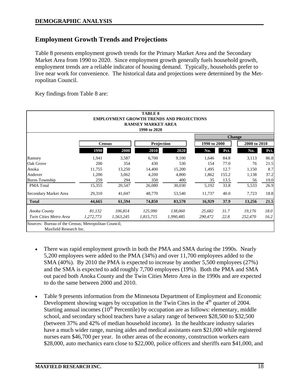# **Employment Growth Trends and Projections**

Table 8 presents employment growth trends for the Primary Market Area and the Secondary Market Area from 1990 to 2020. Since employment growth generally fuels household growth, employment trends are a reliable indicator of housing demand. Typically, households prefer to live near work for convenience. The historical data and projections were determined by the Metropolitan Council.

Key findings from Table 8 are:

|                        |               |           | <b>TABLE 8</b><br><b>RAMSEY MARKET AREA</b><br>1990 to 2020 | <b>EMPLOYMENT GROWTH TRENDS AND PROJECTIONS</b> |              |               |              |      |  |
|------------------------|---------------|-----------|-------------------------------------------------------------|-------------------------------------------------|--------------|---------------|--------------|------|--|
|                        |               |           |                                                             |                                                 |              | <b>Change</b> |              |      |  |
|                        | <b>Census</b> |           | Projection                                                  |                                                 | 1990 to 2000 |               | 2000 to 2010 |      |  |
|                        | 1990          | 2000      | 2010                                                        | 2020                                            | No.          | Pct.          | No.          | Pct. |  |
| Ramsey                 | 1,941         | 3,587     | 6,700                                                       | 9,100                                           | 1,646        | 84.8          | 3,113        | 86.8 |  |
| Oak Grove              | 200           | 354       | 430                                                         | 530                                             | 154          | 77.0          | 76           | 21.5 |  |
| Anoka                  | 11,755        | 13,250    | 14,400                                                      | 15,200                                          | 1,495        | 12.7          | 1,150        | 8.7  |  |
| Andover                | 1,200         | 3,062     | 4,200                                                       | 4,800                                           | 1,862        | 155.2         | 1,138        | 37.2 |  |
| <b>Burns Township</b>  | 259           | 294       | 350                                                         | 400                                             | 35           | 13.5          | 56           | 19.0 |  |
| <b>PMA</b> Total       | 15,355        | 20,547    | 26,080                                                      | 30,030                                          | 5,192        | 33.8          | 5,533        | 26.9 |  |
| Secondary Market Area  | 29,310        | 41,047    | 48,770                                                      | 53,540                                          | 11,737       | 40.0          | 7,723        | 18.8 |  |
| <b>Total</b>           | 44,665        | 61,594    | 74,850                                                      | 83,570                                          | 16,929       | 37.9          | 13,256       | 21.5 |  |
| Anoka County           | 81,132        | 106,814   | 125,990                                                     | 138,060                                         | 25,682       | 31.7          | 19,176       | 18.0 |  |
| Twin Cities Metro Area | 1,272,773     | 1,563,245 | 1,815,715                                                   | 1,990,485                                       | 290,472      | 22.8          | 252,470      | 16.2 |  |

- There was rapid employment growth in both the PMA and SMA during the 1990s. Nearly 5,200 employees were added to the PMA (34%) and over 11,700 employees added to the SMA (40%). By 2010 the PMA is expected to increase by another 5,500 employees (27%) and the SMA is expected to add roughly 7,700 employees (19%). Both the PMA and SMA out paced both Anoka County and the Twin Cities Metro Area in the 1990s and are expected to do the same between 2000 and 2010.
- Table 9 presents information from the Minnesota Department of Employment and Economic Development showing wages by occupation in the Twin Cites in the  $4<sup>th</sup>$  quarter of 2004. Starting annual incomes  $(10<sup>th</sup>$  Percentile) by occupation are as follows: elementary, middle school, and secondary school teachers have a salary range of between \$28,500 to \$32,500 (between 37% and 42% of median household income). In the healthcare industry salaries have a much wider range, nursing aides and medical assistants earn \$21,000 while registered nurses earn \$46,700 per year. In other areas of the economy, construction workers earn \$28,000, auto mechanics earn close to \$22,000, police officers and sheriffs earn \$41,000, and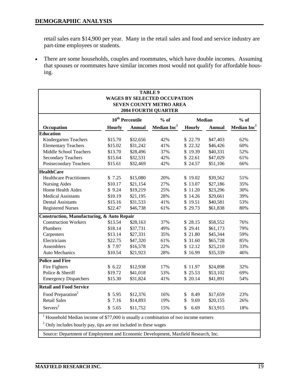retail sales earn \$14,900 per year. Many in the retail sales and food and service industry are part-time employees or students.

• There are some households, couples and roommates, which have double incomes. Assuming that spouses or roommates have similar incomes most would not qualify for affordable housing.

|                                                                                                                                                                                                                                                    |               |                             | <b>TABLE 9</b><br><b>WAGES BY SELECTED OCCUPATION</b><br><b>SEVEN COUNTY METRO AREA</b><br><b>2004 FOURTH QUARTER</b> |            |               |                         |
|----------------------------------------------------------------------------------------------------------------------------------------------------------------------------------------------------------------------------------------------------|---------------|-----------------------------|-----------------------------------------------------------------------------------------------------------------------|------------|---------------|-------------------------|
|                                                                                                                                                                                                                                                    |               | 10 <sup>th</sup> Percentile | $%$ of                                                                                                                |            | <b>Median</b> | $%$ of                  |
| Occupation                                                                                                                                                                                                                                         | <b>Hourly</b> | <b>Annual</b>               | Median Inc <sup>1</sup>                                                                                               | Hourly     | <b>Annual</b> | Median Inc <sup>1</sup> |
| <b>Education</b>                                                                                                                                                                                                                                   |               |                             |                                                                                                                       |            |               |                         |
| Kindergarten Teachers                                                                                                                                                                                                                              | \$15.70       | \$32,656                    | 42%                                                                                                                   | \$22.79    | \$47,403      | 62%                     |
| <b>Elementary Teachers</b>                                                                                                                                                                                                                         | \$15.02       | \$31,242                    | 41%                                                                                                                   | \$22.32    | \$46,426      | 60%                     |
| Middle School Teachers                                                                                                                                                                                                                             | \$13.70       | \$28,496                    | 37%                                                                                                                   | \$19.39    | \$40,331      | 52%                     |
| <b>Secondary Teachers</b>                                                                                                                                                                                                                          | \$15.64       | \$32,531                    | 42%                                                                                                                   | \$22.61    | \$47,029      | 61%                     |
| Postsecondary Teachers                                                                                                                                                                                                                             | \$15.61       | \$32,469                    | 42%                                                                                                                   | \$24.57    | \$51,106      | 66%                     |
| <b>HealthCare</b>                                                                                                                                                                                                                                  |               |                             |                                                                                                                       |            |               |                         |
| <b>Healthcare Practitioners</b>                                                                                                                                                                                                                    | \$7.25        | \$15,080                    | 20%                                                                                                                   | \$19.02    | \$39,562      | 51%                     |
| <b>Nursing Aides</b>                                                                                                                                                                                                                               | \$10.17       | \$21,154                    | 27%                                                                                                                   | \$13.07    | \$27,186      | 35%                     |
| Home Health Aides                                                                                                                                                                                                                                  | \$9.24        | \$19,219                    | 25%                                                                                                                   | \$11.20    | \$23,296      | 30%                     |
| <b>Medical Assistants</b>                                                                                                                                                                                                                          | \$10.19       | \$21,195                    | 28%                                                                                                                   | \$14.26    | \$29,661      | 39%                     |
| <b>Dental Assistants</b>                                                                                                                                                                                                                           | \$15.16       | \$31,533                    | 41%                                                                                                                   | \$19.51    | \$40,581      | 53%                     |
| <b>Registered Nurses</b>                                                                                                                                                                                                                           | \$22.47       | \$46,738                    | 61%                                                                                                                   | \$29.73    | \$61,838      | 80%                     |
| <b>Construction, Manufacturing, &amp; Auto Repair</b>                                                                                                                                                                                              |               |                             |                                                                                                                       |            |               |                         |
| <b>Construction Workers</b>                                                                                                                                                                                                                        | \$13.54       | \$28,163                    | 37%                                                                                                                   | \$28.15    | \$58,552      | 76%                     |
| Plumbers                                                                                                                                                                                                                                           | \$18.14       | \$37,731                    | 49%                                                                                                                   | \$29.41    | \$61,173      | 79%                     |
| Carpenters                                                                                                                                                                                                                                         | \$13.14       | \$27,331                    | 35%                                                                                                                   | \$21.80    | \$45,344      | 59%                     |
| Electricians                                                                                                                                                                                                                                       | \$22.75       | \$47,320                    | 61%                                                                                                                   | \$31.60    | \$65,728      | 85%                     |
| Assemblers                                                                                                                                                                                                                                         | \$7.97        | \$16,578                    | 22%                                                                                                                   | \$12.12    | \$25,210      | 33%                     |
| <b>Auto Mechanics</b>                                                                                                                                                                                                                              | \$10.54       | \$21,923                    | 28%                                                                                                                   | \$16.99    | \$35,339      | 46%                     |
| <b>Police and Fire</b>                                                                                                                                                                                                                             |               |                             |                                                                                                                       |            |               |                         |
| Fire Fighters                                                                                                                                                                                                                                      | \$6.22        | \$12,938                    | 17%                                                                                                                   | \$11.97    | \$24,898      | 32%                     |
| Police & Sheriff                                                                                                                                                                                                                                   | \$19.72       | \$41,018                    | 53%                                                                                                                   | \$25.53    | \$53,102      | 69%                     |
| <b>Emergency Dispatchers</b>                                                                                                                                                                                                                       | \$15.30       | \$31,824                    | 41%                                                                                                                   | \$20.14    | \$41,891      | 54%                     |
| <b>Retail and Food Service</b>                                                                                                                                                                                                                     |               |                             |                                                                                                                       |            |               |                         |
| Food Preparation <sup>2</sup>                                                                                                                                                                                                                      | \$5.95        | \$12,376                    | 16%                                                                                                                   | 8.49<br>\$ | \$17,659      | 23%                     |
| <b>Retail Sales</b>                                                                                                                                                                                                                                | \$7.16        | \$14,893                    | 19%                                                                                                                   | \$<br>9.69 | \$20,155      | 26%                     |
| Servers <sup>2</sup>                                                                                                                                                                                                                               | \$5.65        | \$11,752                    | 15%                                                                                                                   | \$<br>6.69 | \$13,915      | 18%                     |
| $1$ Household Median income of \$77,000 is usually a combination of two income earners<br>$2$ Only includes hourly pay, tips are not included in these wages<br>Source: Department of Employment and Economic Development, Maxfield Research, Inc. |               |                             |                                                                                                                       |            |               |                         |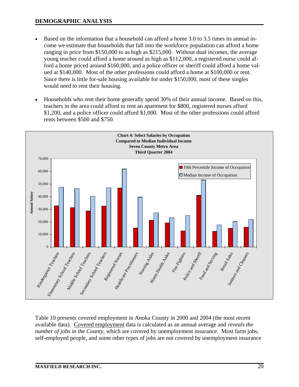- Based on the information that a household can afford a home 3.0 to 3.5 times its annual income we estimate that households that fall into the workforce population can afford a home ranging in price from \$150,000 to as high as \$215,000. Without dual incomes, the average young teacher could afford a home around as high as \$112,000, a registered nurse could afford a home priced around \$160,000, and a police officer or sheriff could afford a home valued at \$140,000. Most of the other professions could afford a home at \$100,000 or rent. Since there is little for-sale housing available for under \$150,000, most of these singles would need to rent their housing.
- Households who rent their home generally spend 30% of their annual income. Based on this, teachers in the area could afford to rent an apartment for \$800, registered nurses afford \$1,200, and a police officer could afford \$1,000. Most of the other professions could afford rents between \$500 and \$750.



Table 10 presents covered employment in Anoka County in 2000 and 2004 (the most recent available data). Covered employment data is calculated as an annual average and *reveals the number of jobs in the County*, which are covered by unemployment insurance. Most farm jobs, self-employed people, and some other types of jobs are not covered by unemployment insurance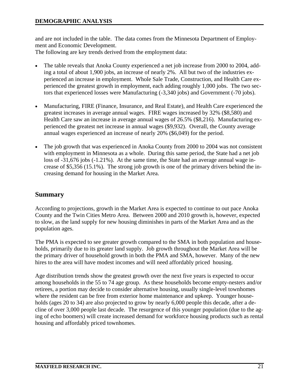and are not included in the table. The data comes from the Minnesota Department of Employment and Economic Development.

The following are key trends derived from the employment data:

- The table reveals that Anoka County experienced a net job increase from 2000 to 2004, adding a total of about 1,900 jobs, an increase of nearly 2%. All but two of the industries experienced an increase in employment. Whole Sale Trade, Construction, and Health Care experienced the greatest growth in employment, each adding roughly 1,000 jobs. The two sectors that experienced losses were Manufacturing (-3,340 jobs) and Government (-70 jobs).
- Manufacturing, FIRE (Finance, Insurance, and Real Estate), and Health Care experienced the greatest increases in average annual wages. FIRE wages increased by 32% (\$8,580) and Health Care saw an increase in average annual wages of 26.5% (\$8,216). Manufacturing experienced the greatest net increase in annual wages (\$9,932). Overall, the County average annual wages experienced an increase of nearly 20% (\$6,049) for the period.
- The job growth that was experienced in Anoka County from 2000 to 2004 was not consistent with employment in Minnesota as a whole. During this same period, the State had a net job loss of -31,676 jobs (-1.21%). At the same time, the State had an average annual wage increase of \$5,356 (15.1%). The strong job growth is one of the primary drivers behind the increasing demand for housing in the Market Area.

# **Summary**

According to projections, growth in the Market Area is expected to continue to out pace Anoka County and the Twin Cities Metro Area. Between 2000 and 2010 growth is, however, expected to slow, as the land supply for new housing diminishes in parts of the Market Area and as the population ages.

The PMA is expected to see greater growth compared to the SMA in both population and households, primarily due to its greater land supply. Job growth throughout the Market Area will be the primary driver of household growth in both the PMA and SMA, however. Many of the new hires to the area will have modest incomes and will need affordably priced housing.

Age distribution trends show the greatest growth over the next five years is expected to occur among households in the 55 to 74 age group. As these households become empty-nesters and/or retirees, a portion may decide to consider alternative housing, usually single-level townhomes where the resident can be free from exterior home maintenance and upkeep. Younger households (ages 20 to 34) are also projected to grow by nearly 6,000 people this decade, after a decline of over 3,000 people last decade. The resurgence of this younger population (due to the aging of echo boomers) will create increased demand for workforce housing products such as rental housing and affordably priced townhomes.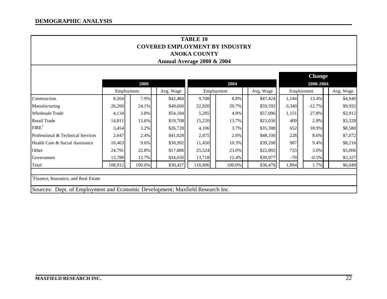|                                                                                                                      |            |        | <b>COVERED EMPLOYMENT BY INDUSTRY</b><br>Annual Average 2000 & 2004 | <b>TABLE 10</b><br><b>ANOKA COUNTY</b> |            |           |          |                            |           |  |  |
|----------------------------------------------------------------------------------------------------------------------|------------|--------|---------------------------------------------------------------------|----------------------------------------|------------|-----------|----------|----------------------------|-----------|--|--|
|                                                                                                                      |            | 2000   |                                                                     |                                        | 2004       |           |          | <b>Change</b><br>2000-2004 |           |  |  |
|                                                                                                                      | Employment |        | Avg. Wage                                                           |                                        | Employment | Avg. Wage |          | Employment                 | Avg. Wage |  |  |
| Construction                                                                                                         | 8,564      | 7.9%   | \$42,484                                                            | 9,708                                  | 8.8%       | \$47,424  | 1,144    | 13.4%                      | \$4,940   |  |  |
| Manufacturing                                                                                                        | 26,260     | 24.1%  | \$49,660                                                            | 22,920                                 | 20.7%      | \$59,592  | $-3,340$ | $-12.7%$                   | \$9,932   |  |  |
| <b>Wholesale Trade</b>                                                                                               | 4,134      | 3.8%   | \$54,184                                                            | 5,285                                  | 4.8%       | \$57,096  | 1,151    | 27.8%                      | \$2,912   |  |  |
| <b>Retail Trade</b>                                                                                                  | 14,811     | 13.6%  | \$19,708                                                            | 15,220                                 | 13.7%      | \$23,036  | 409      | 2.8%                       | \$3,328   |  |  |
| FIRE <sup>1</sup>                                                                                                    | 3,454      | 3.2%   | \$26,728                                                            | 4,106                                  | 3.7%       | \$35,308  | 652      | 18.9%                      | \$8,580   |  |  |
| Professional & Technical Services                                                                                    | 2,647      | 2.4%   | \$41,028                                                            | 2,875                                  | 2.6%       | \$48,100  | 228      | 8.6%                       | \$7,072   |  |  |
| Health Care & Social Assistance                                                                                      | 10,463     | 9.6%   | \$30,992                                                            | 11,450                                 | 10.3%      | \$39,208  | 987      | 9.4%                       | \$8,216   |  |  |
| Other                                                                                                                | 24,791     | 22.8%  | \$17,886                                                            | 25,524                                 | 23.0%      | \$22,892  | 733      | 3.0%                       | \$5,006   |  |  |
| Government                                                                                                           | 13,788     | 12.7%  | \$34,650                                                            | 13,718                                 | 12.4%      | \$39,977  | $-70$    | $-0.5\%$                   | \$5,327   |  |  |
| Total                                                                                                                | 108,912    | 100.0% | \$30,427                                                            | 110,806                                | 100.0%     | \$36,476  | 1,894    | 1.7%                       | \$6,049   |  |  |
|                                                                                                                      |            |        |                                                                     |                                        |            |           |          |                            |           |  |  |
| Finance, Insurance, and Real Estate<br>Sources: Dept. of Employment and Economic Development; Maxfield Research Inc. |            |        |                                                                     |                                        |            |           |          |                            |           |  |  |
|                                                                                                                      |            |        |                                                                     |                                        |            |           |          |                            |           |  |  |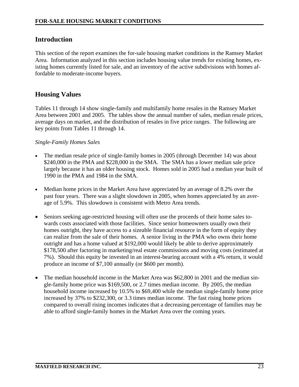# **Introduction**

This section of the report examines the for-sale housing market conditions in the Ramsey Market Area. Information analyzed in this section includes housing value trends for existing homes, existing homes currently listed for sale, and an inventory of the active subdivisions with homes affordable to moderate-income buyers.

# **Housing Values**

Tables 11 through 14 show single-family and multifamily home resales in the Ramsey Market Area between 2001 and 2005. The tables show the annual number of sales, median resale prices, average days on market, and the distribution of resales in five price ranges. The following are key points from Tables 11 through 14.

#### *Single-Family Homes Sales*

- The median resale price of single-family homes in 2005 (through December 14) was about \$240,000 in the PMA and \$228,000 in the SMA. The SMA has a lower median sale price largely because it has an older housing stock. Homes sold in 2005 had a median year built of 1990 in the PMA and 1984 in the SMA.
- Median home prices in the Market Area have appreciated by an average of 8.2% over the past four years. There was a slight slowdown in 2005, when homes appreciated by an average of 5.9%. This slowdown is consistent with Metro Area trends.
- Seniors seeking age-restricted housing will often use the proceeds of their home sales towards costs associated with those facilities. Since senior homeowners usually own their homes outright, they have access to a sizeable financial resource in the form of equity they can realize from the sale of their homes. A senior living in the PMA who owns their home outright and has a home valued at \$192,000 would likely be able to derive approximately \$178,500 after factoring in marketing/real estate commissions and moving costs (estimated at 7%). Should this equity be invested in an interest-bearing account with a 4% return, it would produce an income of \$7,100 annually (or \$600 per month).
- The median household income in the Market Area was \$62,800 in 2001 and the median single-family home price was \$169,500, or 2.7 times median income. By 2005, the median household income increased by 10.5% to \$69,400 while the median single-family home price increased by 37% to \$232,300, or 3.3 times median income. The fast rising home prices compared to overall rising incomes indicates that a decreasing percentage of families may be able to afford single-family homes in the Market Area over the coming years.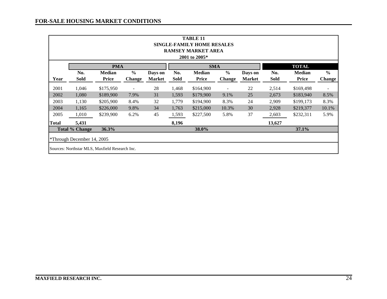|       | <b>TABLE 11</b><br><b>SINGLE-FAMILY HOME RESALES</b><br><b>RAMSEY MARKET AREA</b><br>2001 to 2005*                                                                                        |           |      |    |       |           |       |    |        |           |       |  |  |  |
|-------|-------------------------------------------------------------------------------------------------------------------------------------------------------------------------------------------|-----------|------|----|-------|-----------|-------|----|--------|-----------|-------|--|--|--|
|       | <b>TOTAL</b><br><b>PMA</b><br><b>SMA</b><br>$\frac{0}{0}$<br>$\frac{6}{6}$<br>$\frac{6}{6}$<br>No.<br><b>Median</b><br>No.<br><b>Median</b><br><b>Median</b><br>Days on<br>No.<br>Days on |           |      |    |       |           |       |    |        |           |       |  |  |  |
| Year  | Sold<br>Price<br><b>Sold</b><br><b>Price</b><br>Sold<br><b>Price</b><br><b>Change</b><br><b>Change</b><br><b>Market</b><br><b>Change</b><br><b>Market</b>                                 |           |      |    |       |           |       |    |        |           |       |  |  |  |
| 2001  | 28<br>22<br>1,046<br>\$175,950<br>1,468<br>\$164,900<br>2,514<br>\$169,498<br>$\overline{a}$<br>$\overline{\phantom{a}}$                                                                  |           |      |    |       |           |       |    |        |           |       |  |  |  |
| 2002  | 1,080                                                                                                                                                                                     | \$189,900 | 7.9% | 31 | 1,593 | \$179,900 | 9.1%  | 25 | 2,673  | \$183,940 | 8.5%  |  |  |  |
| 2003  | 1,130                                                                                                                                                                                     | \$205,900 | 8.4% | 32 | 1,779 | \$194,900 | 8.3%  | 24 | 2,909  | \$199,173 | 8.3%  |  |  |  |
| 2004  | 1,165                                                                                                                                                                                     | \$226,000 | 9.8% | 34 | 1,763 | \$215,000 | 10.3% | 30 | 2,928  | \$219,377 | 10.1% |  |  |  |
| 2005  | 1,010                                                                                                                                                                                     | \$239,900 | 6.2% | 45 | 1,593 | \$227,500 | 5.8%  | 37 | 2,603  | \$232,311 | 5.9%  |  |  |  |
| Total | 5,431                                                                                                                                                                                     |           |      |    | 8,196 |           |       |    | 13,627 |           |       |  |  |  |
|       | <b>Total % Change</b>                                                                                                                                                                     | 36.3%     |      |    |       | 38.0%     |       |    |        | 37.1%     |       |  |  |  |
|       | *Through December 14, 2005                                                                                                                                                                |           |      |    |       |           |       |    |        |           |       |  |  |  |
|       | Sources: Northstar MLS, Maxfield Research Inc.                                                                                                                                            |           |      |    |       |           |       |    |        |           |       |  |  |  |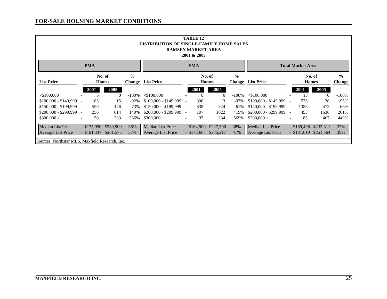|                                                                                                                                                                                                                      | <b>TABLE 12</b><br><b>DISTRIBUTION OF SINGLE-FAMILY HOME SALES</b><br><b>RAMSEY MARKET AREA</b><br>2001 & 2005 |      |          |          |                         |                              |     |                |          |                         |                          |      |          |         |
|----------------------------------------------------------------------------------------------------------------------------------------------------------------------------------------------------------------------|----------------------------------------------------------------------------------------------------------------|------|----------|----------|-------------------------|------------------------------|-----|----------------|----------|-------------------------|--------------------------|------|----------|---------|
| <b>PMA</b><br><b>SMA</b><br><b>Total Market Area</b>                                                                                                                                                                 |                                                                                                                |      |          |          |                         |                              |     |                |          |                         |                          |      |          |         |
| $\frac{0}{0}$<br>$\frac{0}{0}$<br>$\frac{0}{0}$<br>No. of<br>No. of<br>No. of<br><b>List Price</b><br><b>Change</b> List Price<br><b>Change</b> List Price<br><b>Homes</b><br><b>Homes</b><br>Change<br><b>Homes</b> |                                                                                                                |      |          |          |                         |                              |     |                |          |                         |                          |      |          |         |
|                                                                                                                                                                                                                      |                                                                                                                | 2001 | 2005     |          |                         | 2005<br>2005<br>2001<br>2001 |     |                |          |                         |                          |      |          |         |
| $<$ \$100,000                                                                                                                                                                                                        |                                                                                                                |      | $\Omega$ | $-100\%$ | $<$ \$100,000           |                              | 8   | $\overline{0}$ | $-100\%$ | $<$ \$100,000           |                          | 13   | $\theta$ | $-100%$ |
| $$100,000 - $149,999$                                                                                                                                                                                                |                                                                                                                | 185  | 15       | $-92\%$  | $$100,000 - $149,999$ - |                              | 390 | 13             | -97%     | $$100,000 - $149,999$   | $\overline{\phantom{a}}$ | 575  | 28       | $-95%$  |
| $$150,000 - $199,999$ -                                                                                                                                                                                              |                                                                                                                | 550  | 148      | $-73%$   | $$150,000 - $199,999$ - |                              | 838 | 324            | $-61%$   | $$150,000 - $199,999$ - |                          | 1388 | 472      | $-66%$  |
| \$200,000 - \$299,999                                                                                                                                                                                                | $\overline{\phantom{a}}$                                                                                       | 256  | 614      | 140%     | $$200,000 - $299,999$ - |                              | 197 | 1022           | 419%     | $$200,000 - $299,999$   | $\sim$                   | 453  | 1636     | 261%    |
| $$300,000 +$                                                                                                                                                                                                         | $\overline{\phantom{a}}$                                                                                       | 50   | 233      | 366%     | $$300,000 +$            | $\overline{\phantom{a}}$     | 35  | 234            | 569%     | $$300,000 +$            | $\overline{\phantom{a}}$ | 85   | 467      | 449%    |
| <b>Median List Price</b><br>36%<br>38%<br><b>Median List Price</b><br><b>Median List Price</b><br>$= $175,950$<br>\$239,900<br>$= $164,900$ \$227,500<br>$=$ \$169,498<br>\$232,311                                  |                                                                                                                |      |          |          |                         |                              |     |                |          |                         |                          | 37%  |          |         |
| 39%<br>37%<br>$= $173,667$ \$245,217<br>41%<br>$= $181,019$<br>\$251,564<br><b>Average List Price</b><br>$=$ \$191,337 \$261,575<br><b>Average List Price</b><br><b>Average List Price</b>                           |                                                                                                                |      |          |          |                         |                              |     |                |          |                         |                          |      |          |         |
|                                                                                                                                                                                                                      | Sources: Northstar MLS, Maxfield Research, Inc.                                                                |      |          |          |                         |                              |     |                |          |                         |                          |      |          |         |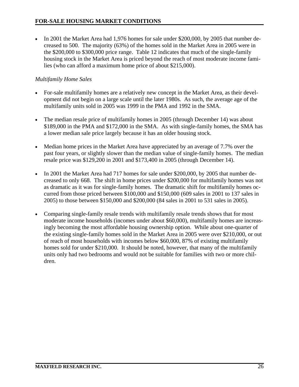• In 2001 the Market Area had 1,976 homes for sale under \$200,000, by 2005 that number decreased to 500. The majority (63%) of the homes sold in the Market Area in 2005 were in the \$200,000 to \$300,000 price range. Table 12 indicates that much of the single-family housing stock in the Market Area is priced beyond the reach of most moderate income families (who can afford a maximum home price of about \$215,000).

### *Multifamily Home Sales*

- For-sale multifamily homes are a relatively new concept in the Market Area, as their development did not begin on a large scale until the later 1980s. As such, the average age of the multifamily units sold in 2005 was 1999 in the PMA and 1992 in the SMA.
- The median resale price of multifamily homes in 2005 (through December 14) was about \$189,000 in the PMA and \$172,000 in the SMA. As with single-family homes, the SMA has a lower median sale price largely because it has an older housing stock.
- Median home prices in the Market Area have appreciated by an average of 7.7% over the past four years, or slightly slower than the median value of single-family homes. The median resale price was \$129,200 in 2001 and \$173,400 in 2005 (through December 14).
- In 2001 the Market Area had 717 homes for sale under \$200,000, by 2005 that number decreased to only 668. The shift in home prices under \$200,000 for multifamily homes was not as dramatic as it was for single-family homes. The dramatic shift for multifamily homes occurred from those priced between \$100,000 and \$150,000 (609 sales in 2001 to 137 sales in 2005) to those between \$150,000 and \$200,000 (84 sales in 2001 to 531 sales in 2005).
- Comparing single-family resale trends with multifamily resale trends shows that for most moderate income households (incomes under about \$60,000), multifamily homes are increasingly becoming the most affordable housing ownership option. While about one-quarter of the existing single-family homes sold in the Market Area in 2005 were over \$210,000, or out of reach of most households with incomes below \$60,000, 87% of existing multifamily homes sold for under \$210,000. It should be noted, however, that many of the multifamily units only had two bedrooms and would not be suitable for families with two or more children.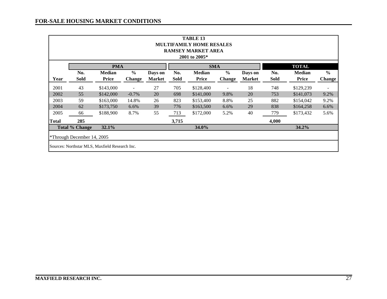#### **FOR-SALE HOUSING MARKET CONDITIONS**

|                            | <b>TABLE 13</b><br><b>MULTIFAMILY HOME RESALES</b><br><b>RAMSEY MARKET AREA</b><br>2001 to 2005*                       |                               |                                |                          |                    |                               |                                |                          |             |                               |                                |  |  |  |
|----------------------------|------------------------------------------------------------------------------------------------------------------------|-------------------------------|--------------------------------|--------------------------|--------------------|-------------------------------|--------------------------------|--------------------------|-------------|-------------------------------|--------------------------------|--|--|--|
|                            | <b>TOTAL</b><br><b>PMA</b><br><b>SMA</b>                                                                               |                               |                                |                          |                    |                               |                                |                          |             |                               |                                |  |  |  |
| Year                       | No.<br>Sold                                                                                                            | <b>Median</b><br><b>Price</b> | $\frac{0}{0}$<br><b>Change</b> | Days on<br><b>Market</b> | No.<br><b>Sold</b> | <b>Median</b><br><b>Price</b> | $\frac{0}{0}$<br><b>Change</b> | Days on<br><b>Market</b> | No.<br>Sold | <b>Median</b><br><b>Price</b> | $\frac{0}{0}$<br><b>Change</b> |  |  |  |
| 2001                       | 43<br>27<br>705<br>18<br>\$143,000<br>\$128,400<br>748<br>\$129,239<br>$\overline{\phantom{0}}$<br>$\overline{a}$<br>- |                               |                                |                          |                    |                               |                                |                          |             |                               |                                |  |  |  |
| 2002                       | 55                                                                                                                     | \$142,000                     | $-0.7\%$                       | 20                       | 698                | \$141,000                     | 9.8%                           | 20                       | 753         | \$141,073                     | 9.2%                           |  |  |  |
| 2003                       | 59                                                                                                                     | \$163,000                     | 14.8%                          | 26                       | 823                | \$153,400                     | 8.8%                           | 25                       | 882         | \$154,042                     | 9.2%                           |  |  |  |
| 2004                       | 62                                                                                                                     | \$173,750                     | 6.6%                           | 39                       | 776                | \$163,500                     | 6.6%                           | 29                       | 838         | \$164,258                     | 6.6%                           |  |  |  |
| 2005                       | 66                                                                                                                     | \$188,900                     | 8.7%                           | 55                       | 713                | \$172,000                     | 5.2%                           | 40                       | 779         | \$173,432                     | 5.6%                           |  |  |  |
| <b>Total</b>               | 285                                                                                                                    |                               |                                |                          | 3,715              |                               |                                |                          | 4,000       |                               |                                |  |  |  |
|                            | <b>Total % Change</b>                                                                                                  | 32.1%                         |                                |                          |                    | 34.0%                         |                                |                          |             | 34.2%                         |                                |  |  |  |
| *Through December 14, 2005 |                                                                                                                        |                               |                                |                          |                    |                               |                                |                          |             |                               |                                |  |  |  |
|                            | Sources: Northstar MLS, Maxfield Research Inc.                                                                         |                               |                                |                          |                    |                               |                                |                          |             |                               |                                |  |  |  |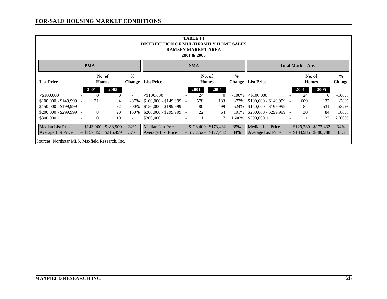|                                                                                                                                                                                                                      | <b>TABLE 14</b><br><b>DISTRIBUTION OF MULTIFAMILY HOME SALES</b><br><b>RAMSEY MARKET AREA</b><br>2001 & 2005 |          |                        |                          |                          |                          |                        |                |          |                          |                          |               |           |         |
|----------------------------------------------------------------------------------------------------------------------------------------------------------------------------------------------------------------------|--------------------------------------------------------------------------------------------------------------|----------|------------------------|--------------------------|--------------------------|--------------------------|------------------------|----------------|----------|--------------------------|--------------------------|---------------|-----------|---------|
|                                                                                                                                                                                                                      | <b>PMA</b><br><b>SMA</b><br><b>Total Market Area</b>                                                         |          |                        |                          |                          |                          |                        |                |          |                          |                          |               |           |         |
| $\frac{0}{0}$<br>$\frac{0}{0}$<br>$\frac{0}{0}$<br>No. of<br>No. of<br>No. of<br><b>List Price</b><br><b>Change</b> List Price<br><b>Homes</b><br><b>List Price</b><br><b>Homes</b><br><b>Homes</b><br><b>Change</b> |                                                                                                              |          |                        |                          |                          |                          |                        |                |          |                          | Change                   |               |           |         |
|                                                                                                                                                                                                                      |                                                                                                              | 2001     | 2005                   |                          |                          |                          | 2001                   | 2005           |          |                          |                          | 2001          | 2005      |         |
| $<$ \$100,000                                                                                                                                                                                                        |                                                                                                              | $\Omega$ | 0                      |                          | $<$ \$100,000            |                          | 24                     | $\overline{0}$ | $-100\%$ | $<$ \$100,000            |                          | 24            | $\theta$  | $-100%$ |
| \$100,000 - \$149,999                                                                                                                                                                                                |                                                                                                              | 31       | 4                      | $-87\%$                  | $$100,000 - $149,999$ -  |                          | 578                    | 133            | -77%     | $$100,000 - $149,999$    | $\overline{\phantom{a}}$ | 609           | 137       | $-78%$  |
| $$150,000 - $199,999$ -                                                                                                                                                                                              |                                                                                                              | 4        | 32                     | 700%                     | $$150,000 - $199,999$ -  |                          | 80                     | 499            | 524%     | $$150,000 - $199,999$ -  |                          | 84            | 531       | 532%    |
| $$200,000 - $299,999$ -                                                                                                                                                                                              |                                                                                                              | 8        | 20                     | 150%                     | $$200,000 - $299,999$ -  |                          | 22                     | 64             | 191%     | $$200,000 - $299,999$ -  |                          | 30            | 84        | 180%    |
| $$300,000 +$                                                                                                                                                                                                         |                                                                                                              | $\theta$ | 10                     | $\overline{\phantom{0}}$ | $$300,000 +$             | $\overline{\phantom{a}}$ |                        | 17             | 1600%    | $$300,000 +$             | $\overline{\phantom{a}}$ |               | 27        | 2600%   |
| <b>Median List Price</b>                                                                                                                                                                                             |                                                                                                              |          | $= $143,000$ \$188,900 | 32%                      | <b>Median List Price</b> |                          | $= $128,400$ \$173,432 |                | 35%      | <b>Median List Price</b> |                          | $=$ \$129,239 | \$173,432 | 34%     |
| 35%<br>37%<br>$= $132,529$ \$177,482<br>34%<br>$= $133,985$ \$180,788<br>$= $157,855$ \$216,499<br><b>Average List Price</b><br><b>Average List Price</b><br><b>Average List Price</b>                               |                                                                                                              |          |                        |                          |                          |                          |                        |                |          |                          |                          |               |           |         |
|                                                                                                                                                                                                                      | Sources: Northstar MLS, Maxfield Research, Inc.                                                              |          |                        |                          |                          |                          |                        |                |          |                          |                          |               |           |         |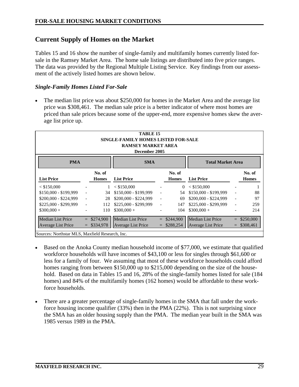# **Current Supply of Homes on the Market**

Tables 15 and 16 show the number of single-family and multifamily homes currently listed forsale in the Ramsey Market Area. The home sale listings are distributed into five price ranges. The data was provided by the Regional Multiple Listing Service. Key findings from our assessment of the actively listed homes are shown below.

#### *Single-Family Homes Listed For-Sale*

The median list price was about \$250,000 for homes in the Market Area and the average list price was \$308,461. The median sale price is a better indicator of where most homes are priced than sale prices because some of the upper-end, more expensive homes skew the average list price up.

| TABLE <sub>15</sub><br><b>SINGLE-FAMILY HOMES LISTED FOR-SALE</b><br><b>RAMSEY MARKET AREA</b><br>December 2005                                                                                                                                                                                                                                                                                                                           |                                                                                                                  |                        |                       |                          |                        |                       |    |                        |  |  |  |  |  |
|-------------------------------------------------------------------------------------------------------------------------------------------------------------------------------------------------------------------------------------------------------------------------------------------------------------------------------------------------------------------------------------------------------------------------------------------|------------------------------------------------------------------------------------------------------------------|------------------------|-----------------------|--------------------------|------------------------|-----------------------|----|------------------------|--|--|--|--|--|
| <b>PMA</b><br><b>SMA</b><br><b>Total Market Area</b>                                                                                                                                                                                                                                                                                                                                                                                      |                                                                                                                  |                        |                       |                          |                        |                       |    |                        |  |  |  |  |  |
| <b>List Price</b>                                                                                                                                                                                                                                                                                                                                                                                                                         |                                                                                                                  | No. of<br><b>Homes</b> | <b>List Price</b>     |                          | No. of<br><b>Homes</b> | <b>List Price</b>     |    | No. of<br><b>Homes</b> |  |  |  |  |  |
| < \$150,000                                                                                                                                                                                                                                                                                                                                                                                                                               |                                                                                                                  |                        | < \$150,000           |                          | $\Omega$               | < \$150,000           |    |                        |  |  |  |  |  |
| \$150,000 - \$199,999                                                                                                                                                                                                                                                                                                                                                                                                                     |                                                                                                                  | 34                     | $$150,000 - $199,999$ |                          | 54                     | $$150,000 - $199,999$ |    | 88                     |  |  |  |  |  |
| $$200,000 - $224,999$                                                                                                                                                                                                                                                                                                                                                                                                                     |                                                                                                                  | 28                     | $$200,000 - $224,999$ | $\overline{\phantom{a}}$ | 69                     | \$200,000 - \$224,999 |    | 97                     |  |  |  |  |  |
| \$225,000 - \$299,999                                                                                                                                                                                                                                                                                                                                                                                                                     | $\overline{\phantom{a}}$                                                                                         | 112                    | $$225,000 - $299,999$ | $\overline{\phantom{a}}$ | 147                    | \$225,000 - \$299,999 | L, | 259                    |  |  |  |  |  |
| $$300,000 +$                                                                                                                                                                                                                                                                                                                                                                                                                              |                                                                                                                  | 110                    | $$300,000 +$          | $\overline{\phantom{a}}$ | 104                    | $$300,000 +$          |    | 214                    |  |  |  |  |  |
| Median List Price                                                                                                                                                                                                                                                                                                                                                                                                                         | <b>Median List Price</b><br><b>Median List Price</b><br>\$274,900<br>\$244,900<br>\$250,000<br>$=$<br>$=$<br>$=$ |                        |                       |                          |                        |                       |    |                        |  |  |  |  |  |
| <b>Average List Price</b><br>$=$ \$334,978<br><b>Average List Price</b><br>\$288,254<br>\$308,461<br><b>Average List Price</b><br>$=$<br>$\mathbf{C}$ and $\mathbf{C}$ and $\mathbf{C}$ and $\mathbf{C}$ and $\mathbf{C}$ and $\mathbf{C}$ and $\mathbf{C}$ and $\mathbf{C}$ and $\mathbf{C}$ and $\mathbf{C}$ and $\mathbf{C}$ and $\mathbf{C}$ and $\mathbf{C}$ and $\mathbf{C}$ and $\mathbf{C}$ and $\mathbf{C}$ and $\mathbf{C}$ and |                                                                                                                  |                        |                       |                          |                        |                       |    |                        |  |  |  |  |  |

Sources: Northstar MLS, Maxfield Research, Inc.

- Based on the Anoka County median household income of \$77,000, we estimate that qualified workforce households will have incomes of \$43,100 or less for singles through \$61,600 or less for a family of four. We assuming that most of these workforce households could afford homes ranging from between \$150,000 up to \$215,000 depending on the size of the household. Based on data in Tables 15 and 16, 28% of the single-family homes listed for sale (184 homes) and 84% of the multifamily homes (162 homes) would be affordable to these workforce households.
- There are a greater percentage of single-family homes in the SMA that fall under the workforce housing income qualifier (33%) then in the PMA (22%). This is not surprising since the SMA has an older housing supply than the PMA. The median year built in the SMA was 1985 versus 1989 in the PMA.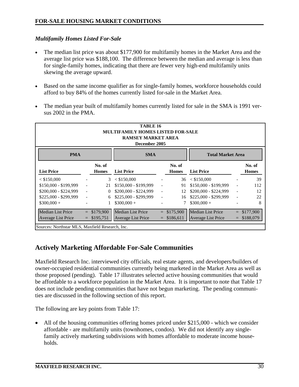#### *Multifamily Homes Listed For-Sale*

- The median list price was about \$177,900 for multifamily homes in the Market Area and the average list price was \$188,100. The difference between the median and average is less than for single-family homes, indicating that there are fewer very high-end multifamily units skewing the average upward.
- Based on the same income qualifier as for single-family homes, workforce households could afford to buy 84% of the homes currently listed for-sale in the Market Area.
- The median year built of multifamily homes currently listed for sale in the SMA is 1991 versus 2002 in the PMA.

| TABLE 16<br><b>MULTIFAMILY HOMES LISTED FOR-SALE</b><br><b>RAMSEY MARKET AREA</b><br>December 2005                                              |                                                                                                                      |           |                          |                          |           |                          |                          |           |  |  |  |  |  |  |
|-------------------------------------------------------------------------------------------------------------------------------------------------|----------------------------------------------------------------------------------------------------------------------|-----------|--------------------------|--------------------------|-----------|--------------------------|--------------------------|-----------|--|--|--|--|--|--|
| <b>PMA</b><br><b>SMA</b><br><b>Total Market Area</b>                                                                                            |                                                                                                                      |           |                          |                          |           |                          |                          |           |  |  |  |  |  |  |
| <b>List Price</b>                                                                                                                               | No. of<br>No. of<br>No. of<br><b>List Price</b><br><b>List Price</b><br><b>Homes</b><br><b>Homes</b><br><b>Homes</b> |           |                          |                          |           |                          |                          |           |  |  |  |  |  |  |
| < \$150,000                                                                                                                                     |                                                                                                                      | 3         | < \$150,000              |                          | 36        | < \$150,000              |                          | 39        |  |  |  |  |  |  |
| \$150,000 - \$199,999                                                                                                                           | $\overline{\phantom{a}}$                                                                                             | 21        | $$150,000 - $199,999$    | $\overline{\phantom{a}}$ | 91        | $$150,000 - $199,999$    | $\overline{\phantom{a}}$ | 112       |  |  |  |  |  |  |
| \$200,000 - \$224,999                                                                                                                           |                                                                                                                      | 0         | \$200,000 - \$224,999    | $\blacksquare$           | 12        | $$200,000 - $224,999$    |                          | 12        |  |  |  |  |  |  |
| \$225,000 - \$299,999                                                                                                                           |                                                                                                                      | 6         | \$225,000 - \$299,999    | $\overline{\phantom{a}}$ | 16        | $$225,000 - $299,999$    |                          | 22        |  |  |  |  |  |  |
| $$300,000 +$                                                                                                                                    |                                                                                                                      |           | $$300,000+$              |                          |           | $$300,000 +$             |                          | 8         |  |  |  |  |  |  |
| <b>Median List Price</b>                                                                                                                        | $=$                                                                                                                  | \$179,900 | <b>Median List Price</b> | $=$                      | \$175,900 | <b>Median List Price</b> |                          | \$177,900 |  |  |  |  |  |  |
| \$188,079<br><b>Average List Price</b><br>\$195,751<br><b>Average List Price</b><br>\$186,611<br><b>Average List Price</b><br>$=$<br>$=$<br>$=$ |                                                                                                                      |           |                          |                          |           |                          |                          |           |  |  |  |  |  |  |
| Sources: Northstar MLS, Maxfield Research, Inc.                                                                                                 |                                                                                                                      |           |                          |                          |           |                          |                          |           |  |  |  |  |  |  |

# **Actively Marketing Affordable For-Sale Communities**

Maxfield Research Inc. interviewed city officials, real estate agents, and developers/builders of owner-occupied residential communities currently being marketed in the Market Area as well as those proposed (pending). Table 17 illustrates selected active housing communities that would be affordable to a workforce population in the Market Area. It is important to note that Table 17 does not include pending communities that have not begun marketing. The pending communities are discussed in the following section of this report.

The following are key points from Table 17:

• All of the housing communities offering homes priced under \$215,000 - which we consider affordable - are multifamily units (townhomes, condos). We did not identify any singlefamily actively marketing subdivisions with homes affordable to moderate income households.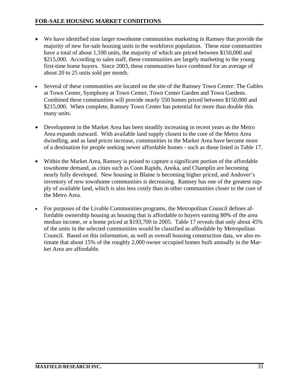- We have identified nine larger townhome communities marketing in Ramsey that provide the majority of new for-sale housing units to the workforce population. These nine communities have a total of about 1,100 units, the majority of which are priced between \$150,000 and \$215,000. According to sales staff, these communities are largely marketing to the young first-time home buyers. Since 2003, these communities have combined for an average of about 20 to 25 units sold per month.
- Several of these communities are located on the site of the Ramsey Town Center: The Gables at Town Center, Symphony at Town Center, Town Center Garden and Town Gardens. Combined these communities will provide nearly 550 homes priced between \$150,000 and \$215,000. When complete, Ramsey Town Center has potential for more than double this many units.
- Development in the Market Area has been steadily increasing in recent years as the Metro Area expands outward. With available land supply closest to the core of the Metro Area dwindling, and as land prices increase, communities in the Market Area have become more of a destination for people seeking newer affordable homes - such as those listed in Table 17.
- Within the Market Area, Ramsey is poised to capture a significant portion of the affordable townhome demand, as cities such as Coon Rapids, Anoka, and Champlin are becoming nearly fully developed. New housing in Blaine is becoming higher priced, and Andover's inventory of new townhome communities is decreasing. Ramsey has one of the greatest supply of available land, which is also less costly than in other communities closer to the core of the Metro Area.
- For purposes of the Livable Communities programs, the Metropolitan Council defines affordable ownership housing as housing that is affordable to buyers earning 80% of the area median income, or a home priced at \$193,700 in 2005. Table 17 reveals that only about 45% of the units in the selected communities would be classified as affordable by Metropolitan Council. Based on this information, as well as overall housing construction data, we also estimate that about 15% of the roughly 2,000 owner occupied homes built annually in the Market Area are affordable.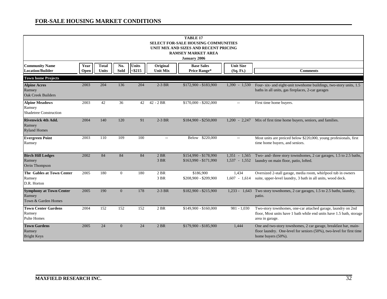| <b>TABLE 17</b><br><b>SELECT FOR-SALE HOUSING COMMUNITIES</b><br>UNIT MIX AND SIZES AND RECENT PRICING<br><b>RAMSEY MARKET AREA</b><br>January 2006 |              |                              |                |                           |                             |                                                |                                    |                                                                                                                                                               |  |  |  |  |
|-----------------------------------------------------------------------------------------------------------------------------------------------------|--------------|------------------------------|----------------|---------------------------|-----------------------------|------------------------------------------------|------------------------------------|---------------------------------------------------------------------------------------------------------------------------------------------------------------|--|--|--|--|
| <b>Community Name</b><br><b>Location/Builder</b>                                                                                                    | Year<br>Open | <b>Total</b><br><b>Units</b> | No.<br>Sold    | <b>Units</b><br>$<$ \$215 | Original<br><b>Unit Mix</b> | <b>Base Sales</b><br><b>Price Range*</b>       | <b>Unit Size</b><br>(Sq. Ft.)      | <b>Comments</b>                                                                                                                                               |  |  |  |  |
| <b>Town home Projects</b>                                                                                                                           |              |                              |                |                           |                             |                                                |                                    |                                                                                                                                                               |  |  |  |  |
| <b>Alpine Acres</b><br>Ramsey<br><b>Oak Creek Builders</b>                                                                                          | 2003         | 204                          | 136            | 204                       | $2-3$ BR                    | \$172,900 - \$183,900                          | $1,390 - 1,530$                    | Four-six- and eight-unit townhome buildings, two-story units, 1.5<br>baths in all units, gas fireplaces, 2-car garages                                        |  |  |  |  |
| <b>Alpine Meadows</b><br>Ramsey<br>Shadetree Construction                                                                                           | 2003         | 42                           | 36             | 42                        | $42 - 2 BR$                 | \$170,000 - \$202,000                          | $\sim$                             | First time home buyers.                                                                                                                                       |  |  |  |  |
| <b>Rivenwick 4th Add.</b><br>Ramsey<br><b>Ryland Homes</b>                                                                                          | 2004         | 140                          | 120            | 91                        | $2-3$ BR                    | \$184,900 - \$250,000                          | $1,200 - 2,247$                    | Mix of first time home buyers, seniors, and families.                                                                                                         |  |  |  |  |
| <b>Evergreen Point</b><br>Ramsey                                                                                                                    | 2003         | 110                          | 109            | 100                       | $\overline{\phantom{m}}$    | Below \$220,000                                | $\sim$                             | Most units are preiced below \$220,000, young profesionals, first<br>time home buyers, and seniors.                                                           |  |  |  |  |
| <b>Birch Hill Lodges</b><br>Ramsey<br>Orrin Thompson                                                                                                | 2002         | 84                           | 84             | 84                        | 2 BR<br>3 BR                | \$154,990 - \$178,990<br>$$163,990 - $171,990$ | $1,351 - 1,565$<br>$1,537 - 1,552$ | Two- and- three story townshomes, 2 car garages, 1.5 to 2.5 baths,<br>laundry on main floor, patio, lofted.                                                   |  |  |  |  |
| The Gables at Town Center<br>Ramsey<br>D.R. Horton                                                                                                  | 2005         | 180                          | $\overline{0}$ | 180                       | 2 BR<br>3 BR                | \$186,900<br>\$208,900 - \$209,900             | 1,434<br>$1,607 - 1,614$           | Oversized 2-stall garage, media room, whirlpool tub in owners<br>suite, upper-level laundry, 3 bath in all units, wood deck.                                  |  |  |  |  |
| <b>Symphony at Town Center</b><br>Ramsey<br>Town & Garden Homes                                                                                     | 2005         | 190                          | $\overline{0}$ | 178                       | $2-3$ BR                    | \$182,900 - \$215,900                          | $1,233 -$<br>1,643                 | Two story townhomes, 2 car garages, 1.5 to 2.5 baths, laundry,<br>patio.                                                                                      |  |  |  |  |
| <b>Town Center Gardens</b><br>Ramsey<br><b>Pulte Homes</b>                                                                                          | 2004         | 152                          | 152            | 152                       | 2 BR                        | \$149,900 - \$160,000                          | $981 - 1,030$                      | Two-story townhomes, one-car attached garage, laundry on 2nd<br>floor, Most units have 1 bath while end units have 1.5 bath, storage<br>area in garage.       |  |  |  |  |
| <b>Town Gardens</b><br>Ramsey<br><b>Bright Keys</b>                                                                                                 | 2005         | 24                           | $\overline{0}$ | 24                        | 2 BR                        | $$179,900 - $185,900$                          | 1,444                              | One and two-story townhomes, 2 car garage, breakfast bar, main-<br>floor laundry. One-level for seniors (50%), two-level for first time<br>home buyers (50%). |  |  |  |  |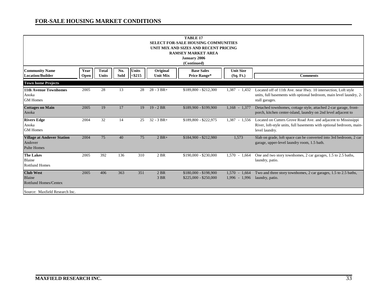| <b>TABLE 17</b><br><b>SELECT FOR-SALE HOUSING COMMUNITIES</b><br>UNIT MIX AND SIZES AND RECENT PRICING<br><b>RAMSEY MARKET AREA</b><br><b>January 2006</b><br>(Continued) |              |                       |             |                           |                             |                                                |                                    |                                                                                                                                                          |  |  |  |  |
|---------------------------------------------------------------------------------------------------------------------------------------------------------------------------|--------------|-----------------------|-------------|---------------------------|-----------------------------|------------------------------------------------|------------------------------------|----------------------------------------------------------------------------------------------------------------------------------------------------------|--|--|--|--|
| <b>Community Name</b><br><b>Location/Builder</b>                                                                                                                          | Year<br>Open | <b>Total</b><br>Units | No.<br>Sold | <b>Units</b><br>$<$ \$215 | Original<br><b>Unit Mix</b> | <b>Base Sales</b><br><b>Price Range*</b>       | <b>Unit Size</b><br>(Sq. Ft.)      | <b>Comments</b>                                                                                                                                          |  |  |  |  |
| <b>Town home Projects</b>                                                                                                                                                 |              |                       |             |                           |                             |                                                |                                    |                                                                                                                                                          |  |  |  |  |
| <b>11th Avenue Townhomes</b><br>Anoka<br><b>GM</b> Homes                                                                                                                  | 2005         | 28                    | 13          | 28                        | $28 - 3 BR +$               | \$189,800 - \$212,300                          | 1,387 - 1,432                      | Located off of 11th Ave. near Hwy. 10 intersection, Loft style<br>units, full basements with optional bedroom, main level laundry, 2-<br>stall garages.  |  |  |  |  |
| <b>Cottages on Main</b><br>Anoka                                                                                                                                          | 2005         | 19                    | 17          | 19                        | $19 - 2 BR$                 | \$189,900 - \$199,900                          | $1,168 - 1,377$                    | Detached townhomes, cottage style, attached 2-car garage, front-<br>porch, kitchen center-island, laundry on 2nd level adjacent to                       |  |  |  |  |
| <b>Rivers Edge</b><br>Anoka<br><b>GM</b> Homes                                                                                                                            | 2004         | 32                    | 14          | 25                        | $32 - 3 BR +$               | \$189,800 - \$222,975                          | 1,387 - 1,556                      | Located on Cutters Grove Road Ave. and adjacent to Mississippi<br>River, loft-style units, full basements with optional bedroom, main-<br>level laundry. |  |  |  |  |
| <b>Village at Andover Station</b><br>Andover<br><b>Pulte Homes</b>                                                                                                        | 2004         | 75                    | 40          | 75                        | $2 BR+$                     | \$184,900 - \$212,980                          | 1,573                              | Slab on grade, loft space can be converted into 3rd bedroom, 2 car<br>garage, upper-level laundry room, 1.5 bath.                                        |  |  |  |  |
| <b>The Lakes</b><br>Blaine<br><b>Rottlund Homes</b>                                                                                                                       | 2005         | 392                   | 136         | 310                       | 2 BR                        | \$190,000 - \$230,000                          | $1,570 - 1,664$                    | One and two story townhomes, 2 car garages, 1.5 to 2.5 baths,<br>laundry, patio.                                                                         |  |  |  |  |
| <b>Club West</b><br>Blaine<br><b>Rottlund Homes/Centex</b>                                                                                                                | 2005         | 406                   | 363         | 351                       | $2$ BR<br>3 BR              | \$180,000 - \$198,900<br>$$225,000 - $250,000$ | $1,570 - 1,664$<br>$1,996 - 1,996$ | Two and three story townhomes, 2 car garages, 1.5 to 2.5 baths,<br>laundry, patio.                                                                       |  |  |  |  |
| Source: Maxfield Research Inc.                                                                                                                                            |              |                       |             |                           |                             |                                                |                                    |                                                                                                                                                          |  |  |  |  |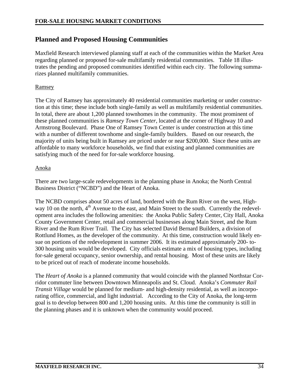# **Planned and Proposed Housing Communities**

Maxfield Research interviewed planning staff at each of the communities within the Market Area regarding planned or proposed for-sale multifamily residential communities. Table 18 illustrates the pending and proposed communities identified within each city. The following summarizes planned multifamily communities.

#### Ramsey

The City of Ramsey has approximately 40 residential communities marketing or under construction at this time; these include both single-family as well as multifamily residential communities. In total, there are about 1,200 planned townhomes in the community. The most prominent of these planned communities is *Ramsey Town Center*, located at the corner of Highway 10 and Armstrong Boulevard. Phase One of Ramsey Town Center is under construction at this time with a number of different townhome and single-family builders. Based on our research, the majority of units being built in Ramsey are priced under or near \$200,000. Since these units are affordable to many workforce households, we find that existing and planned communities are satisfying much of the need for for-sale workforce housing.

#### Anoka

There are two large-scale redevelopments in the planning phase in Anoka; the North Central Business District ("NCBD") and the Heart of Anoka.

The NCBD comprises about 50 acres of land, bordered with the Rum River on the west, Highway 10 on the north, 4<sup>th</sup> Avenue to the east, and Main Street to the south. Currently the redevelopment area includes the following amenities: the Anoka Public Safety Center, City Hall, Anoka County Government Center, retail and commercial businesses along Main Street, and the Rum River and the Rum River Trail. The City has selected David Bernard Builders, a division of Rottlund Homes, as the developer of the community. At this time, construction would likely ensue on portions of the redevelopment in summer 2006. It its estimated approximately 200- to-300 housing units would be developed. City officials estimate a mix of housing types, including for-sale general occupancy, senior ownership, and rental housing. Most of these units are likely to be priced out of reach of moderate income households.

The *Heart of Anoka* is a planned community that would coincide with the planned Northstar Corridor commuter line between Downtown Minneapolis and St. Cloud. Anoka's *Commuter Rail Transit Village* would be planned for medium- and high-density residential, as well as incorporating office, commercial, and light industrial. According to the City of Anoka, the long-term goal is to develop between 800 and 1,200 housing units. At this time the community is still in the planning phases and it is unknown when the community would proceed.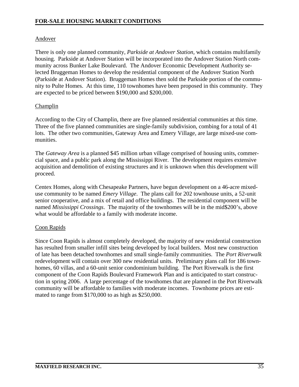#### Andover

There is only one planned community, *Parkside at Andover Station,* which contains multifamily housing. Parkside at Andover Station will be incorporated into the Andover Station North community across Bunker Lake Boulevard. The Andover Economic Development Authority selected Bruggeman Homes to develop the residential component of the Andover Station North (Parkside at Andover Station). Bruggeman Homes then sold the Parkside portion of the community to Pulte Homes. At this time, 110 townhomes have been proposed in this community. They are expected to be priced between \$190,000 and \$200,000.

#### **Champlin**

According to the City of Champlin, there are five planned residential communities at this time. Three of the five planned communities are single-family subdivision, combing for a total of 41 lots. The other two communities, Gateway Area and Emery Village, are large mixed-use communities.

The *Gateway Area* is a planned \$45 million urban village comprised of housing units, commercial space, and a public park along the Mississippi River. The development requires extensive acquisition and demolition of existing structures and it is unknown when this development will proceed.

Centex Homes, along with Chesapeake Partners, have begun development on a 46-acre mixeduse community to be named *Emery Village*. The plans call for 202 townhouse units, a 52-unit senior cooperative, and a mix of retail and office buildings. The residential component will be named *Mississippi Crossings*. The majority of the townhomes will be in the mid\$200's, above what would be affordable to a family with moderate income.

#### Coon Rapids

Since Coon Rapids is almost completely developed, the majority of new residential construction has resulted from smaller infill sites being developed by local builders. Most new construction of late has been detached townhomes and small single-family communities. The *Port Riverwalk* redevelopment will contain over 300 new residential units. Preliminary plans call for 186 townhomes, 60 villas, and a 60-unit senior condominium building. The Port Riverwalk is the first component of the Coon Rapids Boulevard Framework Plan and is anticipated to start construction in spring 2006. A large percentage of the townhomes that are planned in the Port Riverwalk community will be affordable to families with moderate incomes. Townhome prices are estimated to range from \$170,000 to as high as \$250,000.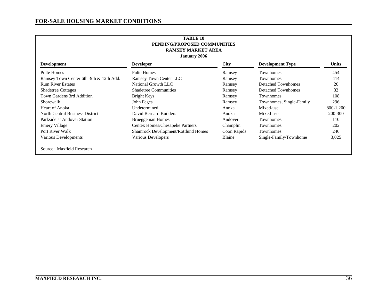| TABLE <sub>18</sub><br>PENDING/PROPOSED COMMUNITIES<br><b>RAMSEY MARKET AREA</b><br><b>January 2006</b> |                                            |             |                           |              |  |  |  |  |  |  |  |
|---------------------------------------------------------------------------------------------------------|--------------------------------------------|-------------|---------------------------|--------------|--|--|--|--|--|--|--|
| <b>Development</b>                                                                                      | <b>Developer</b>                           | <b>City</b> | <b>Development Type</b>   | <b>Units</b> |  |  |  |  |  |  |  |
| <b>Pulte Homes</b>                                                                                      | <b>Pulte Homes</b>                         | Ramsey      | <b>Townhomes</b>          | 454          |  |  |  |  |  |  |  |
| Ramsey Town Center 6th -9th & 12th Add.                                                                 | <b>Ramsey Town Center LLC</b>              | Ramsey      | <b>Townhomes</b>          | 414          |  |  |  |  |  |  |  |
| <b>Rum River Estates</b>                                                                                | National Growth LLC                        | Ramsey      | <b>Detached Townhomes</b> | 20           |  |  |  |  |  |  |  |
| <b>Shadetree Cottages</b>                                                                               | <b>Shadetree Communities</b>               | Ramsey      | <b>Detached Townhomes</b> | 32           |  |  |  |  |  |  |  |
| Town Gardens 3rd Addition                                                                               | Bright Keys                                | Ramsey      | <b>Townhomes</b>          | 108          |  |  |  |  |  |  |  |
| Shorewalk                                                                                               | John Feges                                 | Ramsey      | Townhomes, Single-Family  | 296          |  |  |  |  |  |  |  |
| Heart of Anoka                                                                                          | Undetermined                               | Anoka       | Mixed-use                 | 800-1,200    |  |  |  |  |  |  |  |
| North Central Business District                                                                         | David Bernard Builders                     | Anoka       | Mixed-use                 | 200-300      |  |  |  |  |  |  |  |
| Parkside at Andover Station                                                                             | Brueggeman Homes                           | Andover     | <b>Townhomes</b>          | 110          |  |  |  |  |  |  |  |
| Emery Village                                                                                           | Centex Homes/Chesapeke Partners            | Champlin    | Townhomes                 | 202          |  |  |  |  |  |  |  |
| Port River Walk                                                                                         | <b>Shamrock Development/Rottlund Homes</b> | Coon Rapids | Townhomes                 | 246          |  |  |  |  |  |  |  |
| Various Developments                                                                                    | Various Developers                         | Blaine      | Single-Family/Townhome    | 3,025        |  |  |  |  |  |  |  |
| Source: Maxfield Research                                                                               |                                            |             |                           |              |  |  |  |  |  |  |  |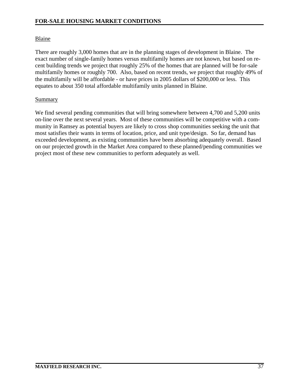#### Blaine

There are roughly 3,000 homes that are in the planning stages of development in Blaine. The exact number of single-family homes versus multifamily homes are not known, but based on recent building trends we project that roughly 25% of the homes that are planned will be for-sale multifamily homes or roughly 700. Also, based on recent trends, we project that roughly 49% of the multifamily will be affordable - or have prices in 2005 dollars of \$200,000 or less. This equates to about 350 total affordable multifamily units planned in Blaine.

#### Summary

We find several pending communities that will bring somewhere between 4,700 and 5,200 units on-line over the next several years. Most of these communities will be competitive with a community in Ramsey as potential buyers are likely to cross shop communities seeking the unit that most satisfies their wants in terms of location, price, and unit type/design. So far, demand has exceeded development, as existing communities have been absorbing adequately overall. Based on our projected growth in the Market Area compared to these planned/pending communities we project most of these new communities to perform adequately as well.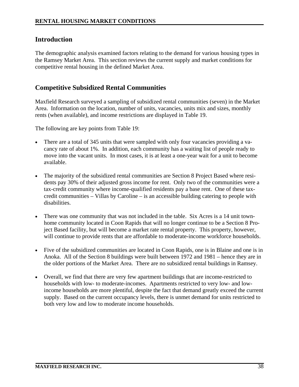# **Introduction**

The demographic analysis examined factors relating to the demand for various housing types in the Ramsey Market Area. This section reviews the current supply and market conditions for competitive rental housing in the defined Market Area.

## **Competitive Subsidized Rental Communities**

Maxfield Research surveyed a sampling of subsidized rental communities (seven) in the Market Area. Information on the location, number of units, vacancies, units mix and sizes, monthly rents (when available), and income restrictions are displayed in Table 19.

The following are key points from Table 19:

- There are a total of 345 units that were sampled with only four vacancies providing a vacancy rate of about 1%. In addition, each community has a waiting list of people ready to move into the vacant units. In most cases, it is at least a one-year wait for a unit to become available.
- The majority of the subsidized rental communities are Section 8 Project Based where residents pay 30% of their adjusted gross income for rent. Only two of the communities were a tax-credit community where income-qualified residents pay a base rent. One of these taxcredit communities – Villas by Caroline – is an accessible building catering to people with disabilities.
- There was one community that was not included in the table. Six Acres is a 14 unit townhome community located in Coon Rapids that will no longer continue to be a Section 8 Project Based facility, but will become a market rate rental property. This property, however, will continue to provide rents that are affordable to moderate-income workforce households.
- Five of the subsidized communities are located in Coon Rapids, one is in Blaine and one is in Anoka. All of the Section 8 buildings were built between 1972 and 1981 – hence they are in the older portions of the Market Area. There are no subsidized rental buildings in Ramsey.
- Overall, we find that there are very few apartment buildings that are income-restricted to households with low- to moderate-incomes. Apartments restricted to very low- and lowincome households are more plentiful, despite the fact that demand greatly exceed the current supply. Based on the current occupancy levels, there is unmet demand for units restricted to both very low and low to moderate income households.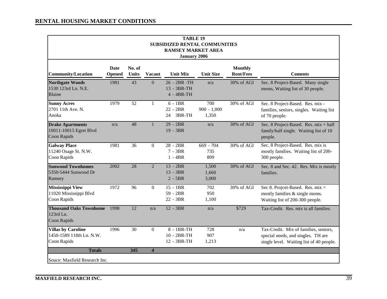| <b>TABLE 19</b><br><b>SUBSIDIZED RENTAL COMMUNITIES</b><br><b>RAMSEY MARKET AREA</b><br><b>January 2006</b> |                              |                        |                         |                                            |                               |                                    |                                                                                                                         |  |  |  |  |  |
|-------------------------------------------------------------------------------------------------------------|------------------------------|------------------------|-------------------------|--------------------------------------------|-------------------------------|------------------------------------|-------------------------------------------------------------------------------------------------------------------------|--|--|--|--|--|
| <b>Community/Location</b>                                                                                   | <b>Date</b><br><b>Opened</b> | No. of<br><b>Units</b> | Vacant                  | <b>Unit Mix</b>                            | <b>Unit Size</b>              | <b>Monthly</b><br><b>Rent/Fees</b> | <b>Coments</b>                                                                                                          |  |  |  |  |  |
| <b>Northgate Woods</b><br>1530 123rd Ln. N.E.<br>Blaine                                                     | 1981                         | 43                     | $\overline{0}$          | 26 - 2BR - TH<br>13 - 3BR-TH<br>4 - 4BR-TH | n/a                           | 30% of AGI                         | Sec. 8 Project-Based. Many single<br>moms, Waiting list of 30 people.                                                   |  |  |  |  |  |
| <b>Sunny Acres</b><br>2701 11th Ave. N.<br>Anoka                                                            | 1979                         | 52                     | $\mathbf{1}$            | $6 - 1BR$<br>22 - 2BR<br>3BR-TH<br>24      | 700<br>$900 - 1,000$<br>1,350 | 30% of AGI                         | Sec. 8 Project-Based. Res. mix -<br>families, seniors, singles. Waiting list<br>of 70 people.                           |  |  |  |  |  |
| <b>Drake Apartments</b><br>10011-10015 Egret Blvd<br>Coon Rapids                                            | n/a                          | 48                     | 1                       | $29 - 2BR$<br>19 - 3BR                     | n/a                           | 30% of AGI                         | Sec. 8 Project-Based. Res. $mix = half$<br>family/half single. Waiting list of 10<br>people.                            |  |  |  |  |  |
| <b>Galway Place</b><br>11240 Osage St. N.W.<br>Coon Rapids                                                  | 1981                         | 36                     | $\overline{0}$          | 28 - 2BR<br>$7 - 3BR$<br>$1 - 4BR$         | $669 - 704$<br>735<br>809     | 30% of AGI                         | Sec. 8 Project-Based. Res. mix is<br>mostly families. Waiting list of 200-<br>300 people.                               |  |  |  |  |  |
| <b>Sunwood Townhomes</b><br>5350-5444 Sunwood Dr<br>Ramsey                                                  | 2002                         | 28                     | $\overline{2}$          | $13 - 2BR$<br>13 - 3BR<br>$2 - 5BR$        | 1,500<br>1,660<br>3,000       | 30% of AGI                         | Sec. 8 and Sec. 42. Res. Mix is mostly<br>families.                                                                     |  |  |  |  |  |
| <b>Mississippi View</b><br>11020 Mississippi Blvd<br>Coon Rapids                                            | 1972                         | 96                     | $\Omega$                | $15 - 1BR$<br>59 - 2BR<br>22 - 3BR         | 702<br>950<br>1,100           | 30% of AGI                         | Sec 8. Projcet-Based. Res. $mix =$<br>mostly families & single moms.<br>Waiting list of 200-300 people.                 |  |  |  |  |  |
| <b>Thousand Oaks Townhome</b><br>123rd Ln.<br>Coon Rapids                                                   | 1998                         | $\overline{12}$        | n/a                     | $12 - 3BR$                                 | n/a                           | \$729                              | Tax-Credit. Res. mix is all families.                                                                                   |  |  |  |  |  |
| <b>Villas by Caroline</b><br>1450-1589 118th Ln. N.W.<br>Coon Rapids                                        | 1996                         | 30                     | $\overline{0}$          | 8 - 1BR-TH<br>10 - 2BR-TH<br>12 - 3BR-TH   | 728<br>907<br>1,213           | n/a                                | Tax-Credit. Mix of families, seniors,<br>special needs, and singles. TH are<br>single level. Waiting list of 40 people. |  |  |  |  |  |
| <b>Totals</b><br>Souce: Maxfield Research Inc.                                                              |                              | 345                    | $\overline{\mathbf{4}}$ |                                            |                               |                                    |                                                                                                                         |  |  |  |  |  |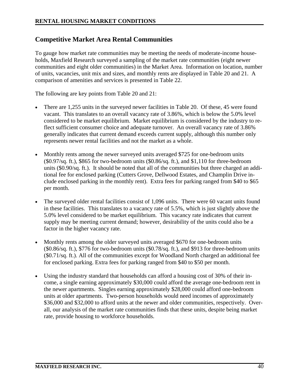# **Competitive Market Area Rental Communities**

To gauge how market rate communities may be meeting the needs of moderate-income households, Maxfield Research surveyed a sampling of the market rate communities (eight newer communities and eight older communities) in the Market Area. Information on location, number of units, vacancies, unit mix and sizes, and monthly rents are displayed in Table 20 and 21. A comparison of amenities and services is presented in Table 22.

The following are key points from Table 20 and 21:

- There are 1,255 units in the surveyed newer facilities in Table 20. Of these, 45 were found vacant. This translates to an overall vacancy rate of 3.86%, which is below the 5.0% level considered to be market equilibrium. Market equilibrium is considered by the industry to reflect sufficient consumer choice and adequate turnover. An overall vacancy rate of 3.86% generally indicates that current demand exceeds current supply, although this number only represents newer rental facilities and not the market as a whole.
- Monthly rents among the newer surveyed units averaged \$725 for one-bedroom units (\$0.97/sq. ft.), \$865 for two-bedroom units (\$0.86/sq. ft.), and \$1,110 for three-bedroom units (\$0.90/sq. ft.). It should be noted that all of the communities but three charged an additional fee for enclosed parking (Cutters Grove, Dellwood Estates, and Champlin Drive include enclosed parking in the monthly rent). Extra fees for parking ranged from \$40 to \$65 per month.
- The surveyed older rental facilities consist of 1,096 units. There were 60 vacant units found in these facilities. This translates to a vacancy rate of 5.5%, which is just slightly above the 5.0% level considered to be market equilibrium. This vacancy rate indicates that current supply may be meeting current demand; however, desirability of the units could also be a factor in the higher vacancy rate.
- Monthly rents among the older surveyed units averaged \$670 for one-bedroom units (\$0.86/sq. ft.), \$776 for two-bedroom units (\$0.78/sq. ft.), and \$913 for three-bedroom units (\$0.71/sq. ft.). All of the communities except for Woodland North charged an additional fee for enclosed parking. Extra fees for parking ranged from \$40 to \$50 per month.
- Using the industry standard that households can afford a housing cost of 30% of their income, a single earning approximately \$30,000 could afford the average one-bedroom rent in the newer apartments. Singles earning approximately \$28,000 could afford one-bedroom units at older apartments. Two-person households would need incomes of approximately \$36,000 and \$32,000 to afford units at the newer and older communities, respectively. Overall, our analysis of the market rate communities finds that these units, despite being market rate, provide housing to workforce households.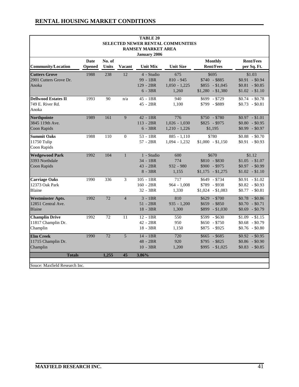| <b>TABLE 20</b>               |                      |                 |                |                           |                                   |                    |                  |  |  |  |  |  |
|-------------------------------|----------------------|-----------------|----------------|---------------------------|-----------------------------------|--------------------|------------------|--|--|--|--|--|
|                               |                      |                 |                | <b>RAMSEY MARKET AREA</b> | SELECTED NEWER RENTAL COMMUNITIES |                    |                  |  |  |  |  |  |
|                               |                      |                 |                | <b>January 2006</b>       |                                   |                    |                  |  |  |  |  |  |
|                               | <b>Date</b>          | No. of          |                |                           |                                   | <b>Monthly</b>     | <b>Rent/Fees</b> |  |  |  |  |  |
| <b>Community/Location</b>     | <b>Opened</b>        | <b>Units</b>    | <b>Vacant</b>  | <b>Unit Mix</b>           | <b>Unit Size</b>                  | <b>Rent/Fees</b>   | per Sq. Ft.      |  |  |  |  |  |
| <b>Cutters Grove</b>          | 1988                 | 238             | 12             | 4 - Studio                | 675                               | \$695              | \$1.03           |  |  |  |  |  |
| 2901 Cutters Grove Dr.        |                      |                 |                | 99 - 1BR                  | $810 - 945$                       | $$740 - $885$      | $$0.91$ - \$0.94 |  |  |  |  |  |
| Anoka                         |                      |                 |                | 129 - 2BR                 | $1,050 - 1,225$                   | $$855 - $1,045$    | $$0.81$ - \$0.85 |  |  |  |  |  |
|                               |                      |                 |                | $6 - 3BR$                 | 1,260                             | $$1,280$ - \$1,380 | $$1.02$ - \$1.10 |  |  |  |  |  |
| <b>Dellwood Estates II</b>    | 1993                 | 90              | n/a            | 45 - 1BR                  | 940                               | $$699$ - \$729     | $$0.74$ - \$0.78 |  |  |  |  |  |
| 749 E. River Rd.              |                      |                 |                | $45 - 2BR$                | 1,100                             | \$799 - \$889      | $$0.73$ - \$0.81 |  |  |  |  |  |
| Anoka                         |                      |                 |                |                           |                                   |                    |                  |  |  |  |  |  |
| <b>Northpointe</b>            | 1989                 | 161             | $\mathbf{Q}$   | $42 - 1BR$                | 776                               | $$750 - $780$      | $$0.97$ - \$1.01 |  |  |  |  |  |
| 3845 119th Ave.               |                      |                 |                | $113 - 2BR$               | $1,026 - 1,030$                   | $$825$ - \$975     | $$0.80$ - \$0.95 |  |  |  |  |  |
| Coon Rapids                   |                      |                 |                | $6 - 3BR$                 | $1,210 - 1,226$                   | \$1,195            | $$0.99$ - \$0.97 |  |  |  |  |  |
| <b>Summit Oaks</b>            | 1988                 | 110             | $\theta$       | $53 - 1BR$                | $885 - 1,110$                     | \$780              | $$0.88$ - \$0.70 |  |  |  |  |  |
| 11750 Tulip                   |                      |                 |                | $57 - 2BR$                | $1,094 - 1,232$                   | $$1,000 - $1,150$  | $$0.91$ - \$0.93 |  |  |  |  |  |
| Coon Rapids                   |                      |                 |                |                           |                                   |                    |                  |  |  |  |  |  |
| <b>Wedgewood Park</b>         | 1992                 | 104             | $\mathbf{1}$   | 1 - Studio                | 600                               | \$670              | \$1.12           |  |  |  |  |  |
| 3393 Northdale                |                      |                 |                | 34 - 1BR                  | 774                               | $$810 - $830$      | $$1.05$ - \$1.07 |  |  |  |  |  |
| Coon Rapids                   |                      |                 |                | $43 - 2BR$                | $932 - 980$                       | $$900 - $975$      | $$0.97$ - \$0.99 |  |  |  |  |  |
|                               |                      |                 |                | $8 - 3BR$                 | 1,155                             | $$1,175$ - \$1,275 | $$1.02$ - \$1.10 |  |  |  |  |  |
| <b>Carriage Oaks</b>          | 1990                 | 336             | 3              | 105 - 1BR                 | 717                               | $$649$ - \$734     | $$0.91 - $1.02$  |  |  |  |  |  |
| 12373 Oak Park                |                      |                 |                | $160 - 2BR$               | $964 - 1,008$                     | $$789$ - \$938     | $$0.82$ - \$0.93 |  |  |  |  |  |
| Blaine                        |                      |                 |                | 32 - 3BR                  | 1,330                             | $$1,024$ - \$1,083 | $$0.77$ - \$0.81 |  |  |  |  |  |
| <b>Westminster Apts.</b>      | 1992                 | 72              | $\overline{4}$ | $3 - 1BR$                 | 810                               | $$629$ - \$700     | $$0.78$ - \$0.86 |  |  |  |  |  |
| 12851 Central Ave.            |                      |                 |                | $51 - 2BR$                | $935 - 1,200$                     | $$659$ - \$850     | $$0.70$ - \$0.71 |  |  |  |  |  |
| <b>Blaine</b>                 |                      |                 |                | $18 - 3BR$                | 1,300                             | $$899 - $1,030$    | $$0.69$ - \$0.79 |  |  |  |  |  |
| <b>Champlin Drive</b>         | 1992                 | 72              | 11             | 12 - 1BR                  | 550                               | $$599 - $630$      | $$1.09$ - \$1.15 |  |  |  |  |  |
| 11817 Champlin Dr.            |                      |                 |                | $42 - 2BR$                | 950                               | $$650$ - \$750     | $$0.68$ - \$0.79 |  |  |  |  |  |
| Champlin                      |                      |                 |                | 18 - 3BR                  | 1,150                             | $$875$ - \$925     | $$0.76$ - \$0.80 |  |  |  |  |  |
| <b>Elm Creek</b>              | 1990                 | $\overline{72}$ | 5              | $14 - 1BR$                | 720                               | $$665 - $685$      | $$0.92$ - \$0.95 |  |  |  |  |  |
| 11715 Champlin Dr.            |                      |                 |                | 48 - 2BR                  | 920                               | $$795 - $825$      | $$0.86$ - \$0.90 |  |  |  |  |  |
| Champlin                      |                      |                 |                | $10 - 3BR$                | 1,200                             | $$995 - $1,025$    | $$0.83$ - \$0.85 |  |  |  |  |  |
| <b>Totals</b>                 | 1,255<br>45<br>3.86% |                 |                |                           |                                   |                    |                  |  |  |  |  |  |
|                               |                      |                 |                |                           |                                   |                    |                  |  |  |  |  |  |
| Souce: Maxfield Research Inc. |                      |                 |                |                           |                                   |                    |                  |  |  |  |  |  |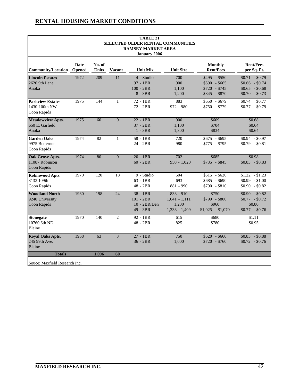|                                                         |      |                        |                | <b>TABLE 21</b><br>SELECTED OLDER RENTAL COMMUNITIES<br><b>RAMSEY MARKET AREA</b><br><b>January 2006</b> |                                                            |                                                                  |                                                                              |
|---------------------------------------------------------|------|------------------------|----------------|----------------------------------------------------------------------------------------------------------|------------------------------------------------------------|------------------------------------------------------------------|------------------------------------------------------------------------------|
| <b>Community/Location Opened</b>                        | Date | No. of<br><b>Units</b> | <b>Vacant</b>  | <b>Unit Mix</b>                                                                                          | <b>Unit Size</b>                                           | <b>Monthly</b><br><b>Rent/Fees</b>                               | <b>Rent/Fees</b><br>per Sq. Ft.                                              |
| <b>Lincoln Estates</b><br>2620 9th Lane<br>Anoka        | 1972 | 209                    | 11             | 4 - Studio<br>97 - 1BR<br>$100 - 2BR$<br>$8 - 3BR$                                                       | 700<br>900<br>1,100<br>1,200                               | $$495 - $550$<br>$$590 - $665$<br>$$720 - $745$<br>$$845 - $870$ | $$0.71$ - \$0.79<br>$$0.66$ - \$0.74<br>$$0.65$ - \$0.68<br>$$0.70$ - \$0.73 |
| <b>Parkview Estates</b><br>1430-100th NW<br>Coon Rapids | 1975 | 144                    | $\mathbf{1}$   | 72 - 1BR<br>72 - 2BR                                                                                     | 883<br>$972 - 980$                                         | $$650 - $679$<br>\$750<br>\$779                                  | \$0.74<br>\$0.77<br>\$0.77<br>\$0.79                                         |
| <b>Meadowview Apts.</b><br>650 E. Garfield<br>Anoka     | 1975 | 60                     | $\Omega$       | $22 - 1BR$<br>$37 - 2BR$<br>$1 - 3BR$                                                                    | 900<br>1,100<br>1,300                                      | \$609<br>\$704<br>\$834                                          | \$0.68<br>\$0.64<br>\$0.64                                                   |
| <b>Garden Oaks</b><br>9975 Butternut<br>Coon Rapids     | 1974 | 82                     | $\mathbf{1}$   | 58 - 1BR<br>24 - 2BR                                                                                     | 720<br>980                                                 | $$675$ - \$695<br>$$775$ - \$795                                 | $$0.94$ - \$0.97<br>$$0.79$ - \$0.81                                         |
| <b>Oak Grove Apts.</b><br>11087 Robinson<br>Coon Rapids | 1974 | 80                     | $\overline{0}$ | $20 - 1BR$<br>$60 - 2BR$                                                                                 | 702<br>$950 - 1,020$                                       | \$685<br>$$785 - $845$                                           | \$0.98<br>$$0.83$ - \$0.83                                                   |
| Robinwood Apts.<br>3133 109th<br>Coon Rapids            | 1970 | 120                    | 18             | 9 - Studio<br>$63 - 1BR$<br>$48 - 2BR$                                                                   | 504<br>693<br>881 - 990                                    | $$615 - $620$<br>$$685$ - \$690<br>$$790 - $810$                 | $$1.22$ - \$1.23<br>$$0.99$ - \$1.00<br>$$0.90$ - \$0.82                     |
| <b>Woodland North</b><br>9240 University<br>Coon Rapids | 1980 | 198                    | 24             | $38 - 1BR$<br>$101 - 2BR$<br>10 - 2BR/Den<br>49 - 3BR                                                    | $833 - 910$<br>$1,041 - 1,111$<br>1,200<br>$1,338 - 1,409$ | \$750<br>$$799$ - \$800<br>\$960<br>$$1,025$ - \$1,070           | $$0.90$ - \$0.82<br>$$0.77$ - \$0.72<br>\$0.80<br>$$0.77$ - \$0.76           |
| <b>Stonegate</b><br>10760 6th NE<br>Blaine              | 1970 | 140                    | $\overline{2}$ | 92 - 1BR<br>48 - 2BR                                                                                     | 615<br>825                                                 | \$680<br>\$780                                                   | \$1.11<br>\$0.95                                                             |
| <b>Royal Oaks Apts.</b><br>245 99th Ave.<br>Blaine      | 1968 | 63                     | $\overline{3}$ | 27 - 1BR<br>$36 - 2BR$                                                                                   | 750<br>1,000                                               | $$620$ - \$660<br>$$720$ - \$760                                 | $$0.83$ - \$0.88<br>$$0.72$ - \$0.76                                         |
| <b>Totals</b><br>Souce: Maxfield Research Inc.          |      | 1.096                  | 60             |                                                                                                          |                                                            |                                                                  |                                                                              |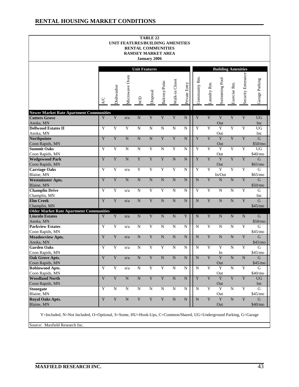#### **RENTAL HOUSING MARKET CONDITIONS**

| Microwave Oven<br>n/a<br>Y<br>${\bf N}$<br>$\overline{N}$<br>$\overline{\text{N}}$<br>n/a<br>${\bf N}$<br>n/a<br>n/a<br>n/a | <b>Unit Features</b><br>WD<br>${\bf N}$<br>$\mathbf N$<br>$\overline{\text{N}}$<br>$\overline{N}$<br>$\overline{\mathbf{Y}}$<br>$\overline{Y}$<br>${\bf N}$<br>$\mathbf N$<br>$\overline{\text{N}}$ | Disposal<br>$\mathbf Y$<br>$\mathbf N$<br>$\overline{\text{N}}$<br>$\overline{Y}$<br>$\overline{\mathbf{Y}}$<br>$\overline{Y}$<br>${\bf N}$<br>$\overline{Y}$<br>$\overline{\mathbf{Y}}$ | Balcony/Patio<br>$\mathbf Y$<br>$\mathbf N$<br>$\overline{\mathbf{Y}}$<br>$\overline{N}$<br>$\overline{\mathbf{Y}}$<br>Y<br>${\bf N}$<br>Y | Walk-in Closet<br>$\mathbf Y$<br>N<br>$\overline{\mathbf{Y}}$<br>$\overline{Y}$<br>${\bf N}$<br>$\overline{Y}$<br>${\bf N}$<br>N | Private Entry<br>N<br>N<br>$\mathbf N$<br>N<br>$\overline{N}$<br>${\bf N}$<br>$\mathbf N$ | Community Rm.<br>$\mathbf Y$<br>Y<br>$\overline{Y}$<br>$\overline{Y}$<br>Y<br>$\overline{Y}$<br>${\bf N}$ | Laundry Rm.<br>$\overline{\mathbf{Y}}$<br>$\overline{Y}$<br>$\overline{Y}$<br>$\overline{Y}$<br>$\overline{Y}$<br>$\overline{Y}$<br>$\overline{\mathbf{Y}}$ | <b>Building Amenities</b><br>Swimming Pool<br>Y<br>Out<br>$\overline{Y}$<br>Out<br>Y<br>Out<br>$\overline{Y}$<br>Out<br>Y<br>Out<br>$\overline{Y}$<br>In/Out | Exercise Rm.<br>$\overline{Y}$<br>$\overline{Y}$<br>$\overline{Y}$<br>$\overline{Y}$<br>$\overline{Y}$<br>$\overline{Y}$ | Security Enterance<br>Y<br>Y<br>$\overline{\mathbf{Y}}$<br>$\overline{Y}$<br>Y<br>$\overline{Y}$ | Garage Parking<br><b>UG</b><br>Inc<br><b>UG</b><br>Inc<br>G<br>\$50/mo<br><b>UG</b><br>\$40/m0<br>G<br>\$65/mo<br>G |
|-----------------------------------------------------------------------------------------------------------------------------|-----------------------------------------------------------------------------------------------------------------------------------------------------------------------------------------------------|------------------------------------------------------------------------------------------------------------------------------------------------------------------------------------------|--------------------------------------------------------------------------------------------------------------------------------------------|----------------------------------------------------------------------------------------------------------------------------------|-------------------------------------------------------------------------------------------|-----------------------------------------------------------------------------------------------------------|-------------------------------------------------------------------------------------------------------------------------------------------------------------|--------------------------------------------------------------------------------------------------------------------------------------------------------------|--------------------------------------------------------------------------------------------------------------------------|--------------------------------------------------------------------------------------------------|---------------------------------------------------------------------------------------------------------------------|
|                                                                                                                             |                                                                                                                                                                                                     |                                                                                                                                                                                          |                                                                                                                                            |                                                                                                                                  |                                                                                           |                                                                                                           |                                                                                                                                                             |                                                                                                                                                              |                                                                                                                          |                                                                                                  |                                                                                                                     |
|                                                                                                                             |                                                                                                                                                                                                     |                                                                                                                                                                                          |                                                                                                                                            |                                                                                                                                  |                                                                                           |                                                                                                           |                                                                                                                                                             |                                                                                                                                                              |                                                                                                                          |                                                                                                  |                                                                                                                     |
|                                                                                                                             |                                                                                                                                                                                                     |                                                                                                                                                                                          |                                                                                                                                            |                                                                                                                                  |                                                                                           |                                                                                                           |                                                                                                                                                             |                                                                                                                                                              |                                                                                                                          |                                                                                                  |                                                                                                                     |
|                                                                                                                             |                                                                                                                                                                                                     |                                                                                                                                                                                          |                                                                                                                                            |                                                                                                                                  |                                                                                           |                                                                                                           |                                                                                                                                                             |                                                                                                                                                              |                                                                                                                          |                                                                                                  |                                                                                                                     |
|                                                                                                                             |                                                                                                                                                                                                     |                                                                                                                                                                                          |                                                                                                                                            |                                                                                                                                  |                                                                                           |                                                                                                           |                                                                                                                                                             |                                                                                                                                                              |                                                                                                                          |                                                                                                  |                                                                                                                     |
|                                                                                                                             |                                                                                                                                                                                                     |                                                                                                                                                                                          |                                                                                                                                            |                                                                                                                                  |                                                                                           |                                                                                                           |                                                                                                                                                             |                                                                                                                                                              |                                                                                                                          |                                                                                                  |                                                                                                                     |
|                                                                                                                             |                                                                                                                                                                                                     |                                                                                                                                                                                          |                                                                                                                                            |                                                                                                                                  |                                                                                           |                                                                                                           |                                                                                                                                                             |                                                                                                                                                              |                                                                                                                          |                                                                                                  |                                                                                                                     |
|                                                                                                                             |                                                                                                                                                                                                     |                                                                                                                                                                                          |                                                                                                                                            |                                                                                                                                  |                                                                                           |                                                                                                           |                                                                                                                                                             |                                                                                                                                                              |                                                                                                                          |                                                                                                  |                                                                                                                     |
|                                                                                                                             |                                                                                                                                                                                                     |                                                                                                                                                                                          |                                                                                                                                            |                                                                                                                                  |                                                                                           |                                                                                                           |                                                                                                                                                             |                                                                                                                                                              |                                                                                                                          |                                                                                                  |                                                                                                                     |
|                                                                                                                             |                                                                                                                                                                                                     |                                                                                                                                                                                          |                                                                                                                                            |                                                                                                                                  |                                                                                           |                                                                                                           |                                                                                                                                                             |                                                                                                                                                              |                                                                                                                          |                                                                                                  |                                                                                                                     |
|                                                                                                                             |                                                                                                                                                                                                     |                                                                                                                                                                                          |                                                                                                                                            |                                                                                                                                  |                                                                                           |                                                                                                           |                                                                                                                                                             |                                                                                                                                                              |                                                                                                                          |                                                                                                  | \$65/mo                                                                                                             |
|                                                                                                                             |                                                                                                                                                                                                     |                                                                                                                                                                                          |                                                                                                                                            |                                                                                                                                  |                                                                                           |                                                                                                           |                                                                                                                                                             | ${\bf N}$                                                                                                                                                    | $\overline{\text{N}}$                                                                                                    | $\overline{Y}$                                                                                   | $\mathbf G$<br>\$50/mo                                                                                              |
|                                                                                                                             |                                                                                                                                                                                                     |                                                                                                                                                                                          |                                                                                                                                            |                                                                                                                                  | ${\bf N}$                                                                                 | $\overline{Y}$                                                                                            | $\overline{\textbf{Y}}$                                                                                                                                     | $\mathbf N$                                                                                                                                                  | N                                                                                                                        | Y                                                                                                | G<br>Inc                                                                                                            |
|                                                                                                                             |                                                                                                                                                                                                     |                                                                                                                                                                                          | $\overline{\text{N}}$                                                                                                                      | $\overline{N}$                                                                                                                   | ${\bf N}$                                                                                 | $\overline{N}$                                                                                            | $\overline{Y}$                                                                                                                                              | $\overline{\text{N}}$                                                                                                                                        | $\overline{\text{N}}$                                                                                                    | $\overline{\mathbf{Y}}$                                                                          | $\mathbf G$<br>\$45/mo                                                                                              |
|                                                                                                                             | ${\bf N}$                                                                                                                                                                                           | $\overline{\mathbf{Y}}$                                                                                                                                                                  | ${\bf N}$                                                                                                                                  | $\mathbf N$                                                                                                                      | Y                                                                                         | ${\bf N}$                                                                                                 | $\mathbf Y$                                                                                                                                                 | ${\bf N}$                                                                                                                                                    | $\mathbf N$                                                                                                              | $\mathbf N$                                                                                      | G                                                                                                                   |
|                                                                                                                             |                                                                                                                                                                                                     |                                                                                                                                                                                          |                                                                                                                                            |                                                                                                                                  |                                                                                           |                                                                                                           |                                                                                                                                                             |                                                                                                                                                              |                                                                                                                          |                                                                                                  | \$50/mo                                                                                                             |
| n/a                                                                                                                         | $\mathbf N$                                                                                                                                                                                         | $\overline{Y}$                                                                                                                                                                           | ${\bf N}$                                                                                                                                  | N                                                                                                                                | $\mathbf N$                                                                               | $\mathbf N$                                                                                               | $\overline{\textbf{Y}}$                                                                                                                                     | $\mathbf N$                                                                                                                                                  | N                                                                                                                        | Y                                                                                                | G                                                                                                                   |
| n/a                                                                                                                         | ${\bf N}$                                                                                                                                                                                           | $\overline{\mathbf{Y}}$                                                                                                                                                                  | $\overline{\text{N}}$                                                                                                                      | N                                                                                                                                | ${\bf N}$                                                                                 | $\overline{\text{N}}$                                                                                     | Y                                                                                                                                                           | $\overline{N}$                                                                                                                                               | $\overline{N}$                                                                                                           | $\overline{Y}$                                                                                   | \$45/mo<br>$\mathsf{G}$                                                                                             |
|                                                                                                                             |                                                                                                                                                                                                     |                                                                                                                                                                                          |                                                                                                                                            |                                                                                                                                  |                                                                                           |                                                                                                           |                                                                                                                                                             |                                                                                                                                                              |                                                                                                                          |                                                                                                  | \$45/mo<br>G                                                                                                        |
|                                                                                                                             |                                                                                                                                                                                                     |                                                                                                                                                                                          |                                                                                                                                            |                                                                                                                                  |                                                                                           |                                                                                                           |                                                                                                                                                             |                                                                                                                                                              |                                                                                                                          |                                                                                                  | \$45/mo                                                                                                             |
| $\mathrm{n}/\mathrm{a}$                                                                                                     | $\overline{\text{N}}$                                                                                                                                                                               | $\mathbf Y$                                                                                                                                                                              | $\overline{\text{N}}$                                                                                                                      | ${\bf N}$                                                                                                                        | ${\bf N}$                                                                                 | $\mathbf N$                                                                                               | $\overline{Y}$                                                                                                                                              | Y                                                                                                                                                            | $\overline{\text{N}}$                                                                                                    | $\overline{\text{N}}$                                                                            | $\mathbf G$                                                                                                         |
|                                                                                                                             |                                                                                                                                                                                                     |                                                                                                                                                                                          |                                                                                                                                            |                                                                                                                                  |                                                                                           |                                                                                                           |                                                                                                                                                             | Out                                                                                                                                                          |                                                                                                                          |                                                                                                  | \$45/mo                                                                                                             |
|                                                                                                                             |                                                                                                                                                                                                     |                                                                                                                                                                                          |                                                                                                                                            |                                                                                                                                  |                                                                                           |                                                                                                           |                                                                                                                                                             |                                                                                                                                                              |                                                                                                                          |                                                                                                  | ${\bf G}$<br>\$40/mo                                                                                                |
|                                                                                                                             |                                                                                                                                                                                                     |                                                                                                                                                                                          |                                                                                                                                            |                                                                                                                                  |                                                                                           |                                                                                                           |                                                                                                                                                             | Y                                                                                                                                                            | Y                                                                                                                        |                                                                                                  | $\overline{UG}$                                                                                                     |
|                                                                                                                             |                                                                                                                                                                                                     |                                                                                                                                                                                          |                                                                                                                                            |                                                                                                                                  |                                                                                           |                                                                                                           |                                                                                                                                                             | Out                                                                                                                                                          |                                                                                                                          |                                                                                                  | Inc                                                                                                                 |
| ${\bf N}$                                                                                                                   |                                                                                                                                                                                                     |                                                                                                                                                                                          |                                                                                                                                            | ${\bf N}$                                                                                                                        | ${\bf N}$                                                                                 | $\mathbf N$                                                                                               | $\overline{Y}$                                                                                                                                              | $\overline{Y}$                                                                                                                                               | $\overline{N}$                                                                                                           | $\overline{Y}$                                                                                   | G                                                                                                                   |
|                                                                                                                             |                                                                                                                                                                                                     |                                                                                                                                                                                          |                                                                                                                                            |                                                                                                                                  |                                                                                           |                                                                                                           |                                                                                                                                                             |                                                                                                                                                              |                                                                                                                          |                                                                                                  | \$45/mo<br>$\mathbf G$                                                                                              |
|                                                                                                                             |                                                                                                                                                                                                     |                                                                                                                                                                                          |                                                                                                                                            |                                                                                                                                  |                                                                                           |                                                                                                           |                                                                                                                                                             |                                                                                                                                                              |                                                                                                                          |                                                                                                  | \$40/mo                                                                                                             |
|                                                                                                                             | n/a<br>n/a<br>$\overline{\text{N}}$<br>$\overline{\text{N}}$                                                                                                                                        | ${\bf N}$<br>$\overline{N}$<br>$\overline{\text{N}}$<br>$\overline{\text{N}}$<br>$\mathbf Y$                                                                                             | $\overline{\textbf{Y}}$<br>$\overline{\mathbf{Y}}$<br>$\overline{\mathbf{Y}}$<br>$\overline{N}$<br>$\overline{\mathbf{Y}}$                 | $\overline{Y}$<br>$\overline{\mathbf{Y}}$<br>$\overline{\mathbf{Y}}$<br>$\overline{\text{N}}$<br>$\mathbf Y$                     | N<br>${\bf N}$<br>${\bf N}$<br>$\mathbf N$                                                | $\mathbf N$<br>${\bf N}$<br>$\overline{\text{N}}$<br>${\bf N}$                                            | ${\bf N}$<br>$\mathbf N$<br>$\overline{\mathbf{Y}}$<br>$\overline{\text{N}}$                                                                                | Y<br>$\overline{Y}$<br>$\mathbf Y$<br>$\overline{\mathbf{Y}}$                                                                                                | $\overline{Y}$<br>In<br>$\overline{Y}$<br>Out<br>Out<br>Y<br>Out                                                         | $\mathbf N$<br>$\overline{N}$<br>$\overline{N}$                                                  | Y<br>$\overline{\textbf{Y}}$<br>$\overline{\mathbf{Y}}$<br>$\overline{\mathbf{Y}}$                                  |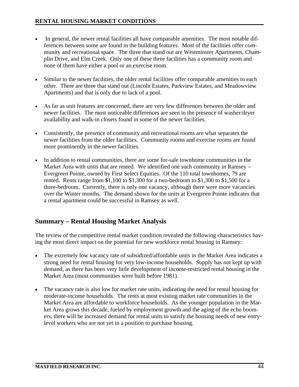- In general, the newer rental facilities all have comparable amenities. The most notable differences between some are found in the building features. Most of the facilities offer community and recreational space. The three that stand out are Westminster Apartments, Champlin Drive, and Elm Creek. Only one of these three facilities has a community room and none of them have either a pool or an exercise room.
- Similar to the newer facilities, the older rental facilities offer comparable amenities to each other. There are three that stand out (Lincoln Estates, Parkview Estates, and Meadowview Apartments) and that is only due to lack of a pool.
- As far as unit features are concerned, there are very few differences between the older and newer facilities. The most noticeable differences are seen in the presence of washer/dryer availability and walk-in closets found in some of the newer facilities.
- Consistently, the presence of community and recreational rooms are what separates the newer facilities from the older facilities. Community rooms and exercise rooms are found more prominently in the newer facilities.
- In addition to rental communities, there are some for-sale townhome communities in the Market Area with units that are rented. We identified one such community in Ramsey – Evergreen Pointe, owned by First Select Equities. Of the 110 total townhomes, 79 are rented. Rents range from \$1,100 to \$1,300 for a two-bedroom to \$1,300 to \$1,500 for a three-bedroom. Currently, there is only one vacancy, although there were more vacancies over the Winter months. The demand shown for the units at Evergreen Pointe indicates that a rental apartment could be successful in Ramsey as well.

# **Summary – Rental Housing Market Analysis**

The review of the competitive rental market condition revealed the following characteristics having the most direct impact on the potential for new workforce rental housing in Ramsey:

- The extremely low vacancy rate of subsidized/affordable units in the Market Area indicates a strong need for rental housing for very low-income households. Supply has not kept up with demand, as there has been very little development of income-restricted rental housing in the Market Area (most communities were built before 1981).
- The vacancy rate is also low for market rate units, indicating the need for rental housing for moderate-income households. The rents at most existing market rate communities in the Market Area are affordable to workforce households. As the younger population in the Market Area grows this decade, fueled by employment growth and the aging of the echo boomers, there will be increased demand for rental units to satisfy the housing needs of new entrylevel workers who are not yet in a position to purchase housing.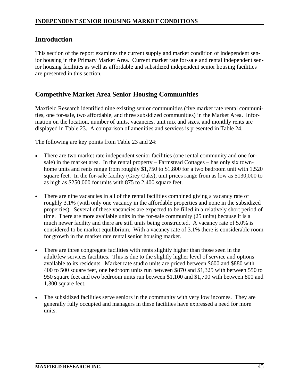## **Introduction**

This section of the report examines the current supply and market condition of independent senior housing in the Primary Market Area. Current market rate for-sale and rental independent senior housing facilities as well as affordable and subsidized independent senior housing facilities are presented in this section.

# **Competitive Market Area Senior Housing Communities**

Maxfield Research identified nine existing senior communities (five market rate rental communities, one for-sale, two affordable, and three subsidized communities) in the Market Area. Information on the location, number of units, vacancies, unit mix and sizes, and monthly rents are displayed in Table 23. A comparison of amenities and services is presented in Table 24.

The following are key points from Table 23 and 24:

- There are two market rate independent senior facilities (one rental community and one forsale) in the market area. In the rental property – Farmstead Cottages – has only six townhome units and rents range from roughly \$1,750 to \$1,800 for a two bedroom unit with 1,520 square feet. In the for-sale facility (Grey Oaks), unit prices range from as low as \$130,000 to as high as \$250,000 for units with 875 to 2,400 square feet.
- There are nine vacancies in all of the rental facilities combined giving a vacancy rate of roughly 3.1% (with only one vacancy in the affordable properties and none in the subsidized properties). Several of these vacancies are expected to be filled in a relatively short period of time. There are more available units in the for-sale community (25 units) because it is a much newer facility and there are still units being constructed. A vacancy rate of 5.0% is considered to be market equilibrium. With a vacancy rate of 3.1% there is considerable room for growth in the market rate rental senior housing market.
- There are three congregate facilities with rents slightly higher than those seen in the adult/few services facilities. This is due to the slightly higher level of service and options available to its residents. Market rate studio units are priced between \$600 and \$880 with 400 to 500 square feet, one bedroom units run between \$870 and \$1,325 with between 550 to 950 square feet and two bedroom units run between \$1,100 and \$1,700 with between 800 and 1,300 square feet.
- The subsidized facilities serve seniors in the community with very low incomes. They are generally fully occupied and managers in these facilities have expressed a need for more units.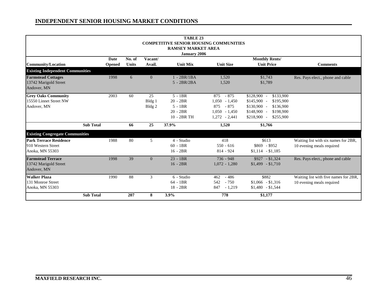|                                         |               |              |                   | <b>TABLE 23</b>                               |                  |                                            |                                       |
|-----------------------------------------|---------------|--------------|-------------------|-----------------------------------------------|------------------|--------------------------------------------|---------------------------------------|
|                                         |               |              |                   | <b>COMPETITIVE SENIOR HOUSING COMMUNITIES</b> |                  |                                            |                                       |
|                                         |               |              |                   | <b>RAMSEY MARKET AREA</b>                     |                  |                                            |                                       |
|                                         |               |              |                   | January 2006                                  |                  |                                            |                                       |
|                                         | Date          | No. of       | Vacant/           |                                               |                  |                                            |                                       |
| <b>Community/Location</b>               | <b>Opened</b> | <b>Units</b> | Avail.            | <b>Unit Mix</b>                               | <b>Unit Size</b> | <b>Monthly Rents/</b><br><b>Unit Price</b> | <b>Comments</b>                       |
|                                         |               |              |                   |                                               |                  |                                            |                                       |
| <b>Existing Independent Communities</b> |               |              |                   |                                               |                  |                                            |                                       |
| <b>Farmstead Cottages</b>               | 1998          | 6            | $\overline{0}$    | $1 - 2BR/1BA$                                 | 1,520            | \$1,743                                    | Res. Pays elect., phone and cable     |
| 13742 Marigold Street                   |               |              |                   | $5 - 2BR/2BA$                                 | 1,520            | \$1,789                                    |                                       |
| Andover, MN                             |               |              |                   |                                               |                  |                                            |                                       |
| <b>Grey Oaks Community</b>              | 2003          | 60           | 25                | $5 - 1BR$                                     | $-875$<br>875    | $$128,900$ -<br>\$133,900                  |                                       |
| 15550 Linnet Street NW                  |               |              | Bldg 1            | $20 - 2BR$                                    | $1,050 - 1,450$  | $$145,900$ -<br>\$195,900                  |                                       |
| Andover, MN                             |               |              | Bldg <sub>2</sub> | $5 - 1BR$                                     | $-875$<br>875    | $$130,900$ -<br>\$136,900                  |                                       |
|                                         |               |              |                   | $20 - 2BR$                                    | $1,050 - 1,450$  | $$148,900 -$<br>\$198,900                  |                                       |
|                                         |               |              |                   | 10 - 2BR TH                                   | $1,272 - 2,441$  | \$218,900 -<br>\$255,900                   |                                       |
| <b>Sub Total</b>                        |               | 66           | 25                | 37.9%                                         | 1,520            | \$1,766                                    |                                       |
| <b>Existing Congregate Communities</b>  |               |              |                   |                                               |                  |                                            |                                       |
| <b>Park Terrace Residence</b>           | 1988          | 80           | 5                 | 4 - Studio                                    | 418              | \$613                                      | Waiting list with six names for 2BR,  |
| 910 Western Street                      |               |              |                   | $60 - 1BR$                                    | $550 - 616$      | $$869$ - \$952                             | 10 evening meals required             |
| Anoka, MN 55303                         |               |              |                   | $16 - 2BR$                                    | $814 - 924$      | $$1,114$ - \$1,185                         |                                       |
| <b>Farmstead Terrace</b>                | 1998          | 39           | $\overline{0}$    | $23 - 1BR$                                    | $736 - 948$      | $$927 - $1,324$                            | Res. Pays elect., phone and cable     |
| 13742 Marigold Street                   |               |              |                   | $16 - 2BR$                                    | $1,072 - 1,280$  | $$1,499$ - \$1,710                         |                                       |
| Andover, MN                             |               |              |                   |                                               |                  |                                            |                                       |
| <b>Walker Plaza</b>                     | 1990          | 88           | 3                 | 6 - Studio                                    | $-486$<br>462    | \$882                                      | Waiting list with five names for 2BR, |
| 131 Monroe Street                       |               |              |                   | $64 - 1BR$                                    | 542<br>$-750$    | $$1,066$ - \$1,316                         | 10 evening meals required             |
| Anoka, MN 55303                         |               |              |                   | $18 - 2BR$                                    | 847<br>$-1,219$  | $$1,480$ - \$1,544                         |                                       |
| <b>Sub Total</b>                        |               | 207          | 8                 | 3.9%                                          | 778              | \$1,177                                    |                                       |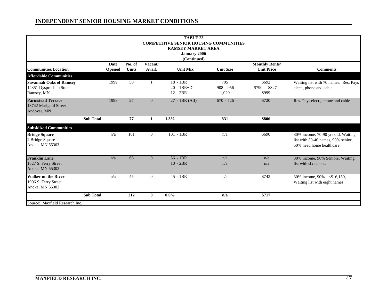|                                |                  |               |              |                | <b>TABLE 23</b>                               |                  |                       |                                       |
|--------------------------------|------------------|---------------|--------------|----------------|-----------------------------------------------|------------------|-----------------------|---------------------------------------|
|                                |                  |               |              |                | <b>COMPETITIVE SENIOR HOUSING COMMUNITIES</b> |                  |                       |                                       |
|                                |                  |               |              |                | <b>RAMSEY MARKET AREA</b>                     |                  |                       |                                       |
|                                |                  |               |              |                | <b>January 2006</b>                           |                  |                       |                                       |
|                                |                  | Date          | No. of       | Vacant/        | (Continued)                                   |                  | <b>Monthly Rents/</b> |                                       |
| <b>Communities/Location</b>    |                  | <b>Opened</b> | <b>Units</b> | Avail.         | <b>Unit Mix</b>                               | <b>Unit Size</b> | <b>Unit Price</b>     | <b>Comments</b>                       |
| <b>Affordable Communities</b>  |                  |               |              |                |                                               |                  |                       |                                       |
| <b>Savannah Oaks of Ramsey</b> |                  | 1999          | 50           | $\mathbf{1}$   | 18 - 1BR                                      | 705              | \$692                 | Waiting list with 70 names. Res. Pays |
| 14351 Dysprosium Street        |                  |               |              |                | $20 - 1BR + D$                                | $908 - 956$      | $$790 - $827$         | elect., phone and cable               |
| Ramsey, MN                     |                  |               |              |                | $12 - 2BR$                                    | 1,020            | \$999                 |                                       |
| <b>Farmstead Terrace</b>       |                  | 1998          | 27           | $\overline{0}$ | $27 - 1BR(Aff)$                               | $670 - 726$      | \$720                 | Res. Pays elect., phone and cable     |
| 13742 Marigold Street          |                  |               |              |                |                                               |                  |                       |                                       |
| Andover, MN                    |                  |               |              |                |                                               |                  |                       |                                       |
|                                | <b>Sub Total</b> |               | 77           | $\mathbf{1}$   | 1.3%                                          | 831              | \$806                 |                                       |
| <b>Subsidized Communities</b>  |                  |               |              |                |                                               |                  |                       |                                       |
| <b>Bridge Square</b>           |                  | n/a           | 101          | $\overline{0}$ | $101 - 1BR$                                   | n/a              | \$690                 | 30% income, 70-90 yrs old, Waiting    |
| 2 Bridge Square                |                  |               |              |                |                                               |                  |                       | list with 30-40 names, 90% senior,    |
| Anoka, MN 55303                |                  |               |              |                |                                               |                  |                       | 50% need home healthcare              |
|                                |                  |               |              |                |                                               |                  |                       |                                       |
| <b>Franklin Lane</b>           |                  | n/a           | 66           | $\overline{0}$ | $56 - 1BR$                                    | n/a              | n/a                   | 30% income, 90% Seniors, Waiting      |
| 1827 S. Ferry Street           |                  |               |              |                | $10 - 2BR$                                    | n/a              | n/a                   | list with six names.                  |
| Anoka, MN 55303                |                  |               |              |                |                                               |                  |                       |                                       |
| <b>Walker on the River</b>     |                  | n/a           | 45           | $\overline{0}$ | $45 - 1BR$                                    | n/a              | \$743                 | 30% income, 90% - <\$16,150,          |
| 1906 S. Ferry Street           |                  |               |              |                |                                               |                  |                       | Waiting list with eight names         |
| Anoka, MN 55303                |                  |               |              |                |                                               |                  |                       |                                       |
|                                | <b>Sub Total</b> |               | 212          | $\bf{0}$       | $0.0\%$                                       | n/a              | \$717                 |                                       |
| Source: Maxfield Research Inc. |                  |               |              |                |                                               |                  |                       |                                       |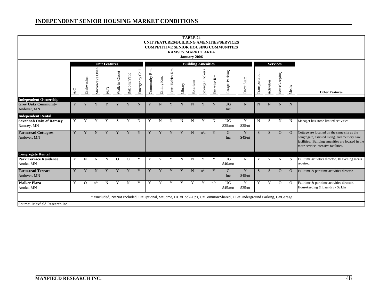|                                                                           |   |            |                            |                      |                   |               |                  |                 |             |                  |        | <b>TABLE 24</b><br>January 2006 | <b>RAMSEY MARKET AREA</b> |              | UNIT FEATURES/BUILDING AMENITIES/SERVICES<br><b>COMPETITIVE SENIOR HOUSING COMMUNITIES</b>                     |              |                |             |                 |                |                                                                                                                                                                                         |
|---------------------------------------------------------------------------|---|------------|----------------------------|----------------------|-------------------|---------------|------------------|-----------------|-------------|------------------|--------|---------------------------------|---------------------------|--------------|----------------------------------------------------------------------------------------------------------------|--------------|----------------|-------------|-----------------|----------------|-----------------------------------------------------------------------------------------------------------------------------------------------------------------------------------------|
|                                                                           |   |            |                            | <b>Unit Features</b> |                   |               |                  |                 |             |                  |        |                                 | <b>Building Amenities</b> |              |                                                                                                                |              |                |             | <b>Services</b> |                |                                                                                                                                                                                         |
|                                                                           |   | Dishwasher | ven<br>C<br>ave<br>Microwa | $\sum_{i=1}^{n}$     | Closet<br>Walk-in | Balcony/Patio | Cal<br>Emergency | Rm.<br>ommunity | Dining Rm.  | Rm.<br>aft/Hobby | ibrary | Solarium                        | Storage Lockers           | Exercise Rm. | Garage Parking                                                                                                 | Juest Suite  | Transportation | Activities  | Housekeeping    | Meals          | <b>Other Features</b>                                                                                                                                                                   |
| <b>Independent Ownership</b><br><b>Grey Oaks Community</b><br>Andover, MN | Y | Y          | Y                          | Y                    | Y                 | Y             | $\mathbf N$      |                 | N           | Y                | N      | N                               | Y                         | N            | <b>UG</b><br>Inc                                                                                               | N            | $\mathbf N$    | $\mathbf N$ | N               | N              |                                                                                                                                                                                         |
| <b>Independent Rental</b><br><b>Savannah Oaks of Ramsey</b><br>Ramsey, MN | Y | Y          | $\overline{Y}$             | $\overline{Y}$       | S                 | Y             | N                | Y               | $\mathbf N$ | $\mathbf N$      | N      | N                               | Y                         | $\mathbf N$  | UG<br>\$35/mo                                                                                                  | Y<br>\$35/nt | $\mathbf N$    | S           | $\mathbf N$     | N <sub>1</sub> | Manager has some limited activities                                                                                                                                                     |
| <b>Farmstead Cottagees</b><br>Andover, MN                                 | Y | Y          | N                          |                      | Y                 | Y             | Y                | Y               | Y           | Y                | Y      | N                               | n/a                       | Y            | G<br>Inc                                                                                                       | Y<br>\$45/nt | <sub>S</sub>   | S           | $\Omega$        | $\Omega$       | Cottage are locatted on the same site as the<br>congregate, assisted living, and memory care<br>facilities. Building amenities are located in the<br>more service intensive facilities. |
| <b>Congregate Rental</b>                                                  |   |            |                            |                      |                   |               |                  |                 |             |                  |        |                                 |                           |              |                                                                                                                |              |                |             |                 |                |                                                                                                                                                                                         |
| <b>Park Terrace Residence</b><br>Anoka, MN                                | Y | N          | N                          | N                    | $\Omega$          | $\Omega$      | Y                | Y               | Y           | Y                | N      | N                               | Y                         | Y            | <b>UG</b><br>\$40/m <sub>o</sub>                                                                               | N            | Y              | Y           | N               | S              | Full time activities director, 10 evening meals<br>required                                                                                                                             |
| <b>Farmstead Terrace</b><br>Andover, MN                                   | Y | Y          | N                          |                      | Y                 | Y             | Y                | Y               | Y           | Y                | Y      | N                               | n/a                       | Y            | G<br>Inc                                                                                                       | Y<br>\$45/nt | S.             | S           | $\Omega$        | $\Omega$       | Full time & part time activities director                                                                                                                                               |
| <b>Walker Plaza</b><br>Anoka, MN                                          | Y | $\Omega$   | n/a                        | N                    | Y                 | N             | Y                | Y               | Y           | Y                |        |                                 | Y                         | n/a          | <b>UG</b><br>\$45/m <sub>o</sub>                                                                               | Y<br>\$35/nt | Y              | Y           | $\Omega$        | $\Omega$       | Full time & part time activities director,<br>Housekeeping & Laundry - \$21/hr                                                                                                          |
| Source: Maxfield Research Inc.                                            |   |            |                            |                      |                   |               |                  |                 |             |                  |        |                                 |                           |              | Y=Included, N=Not Included, O=Optional, S=Some, HU=Hook-Ups, C=Common/Shared, UG=Underground Parking, G=Garage |              |                |             |                 |                |                                                                                                                                                                                         |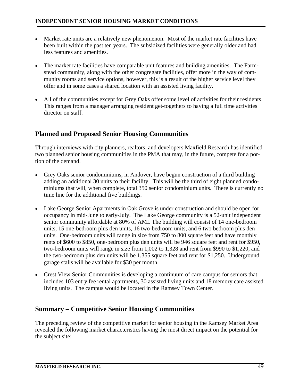- Market rate units are a relatively new phenomenon. Most of the market rate facilities have been built within the past ten years. The subsidized facilities were generally older and had less features and amenities.
- The market rate facilities have comparable unit features and building amenities. The Farmstead community, along with the other congregate facilities, offer more in the way of community rooms and service options, however, this is a result of the higher service level they offer and in some cases a shared location with an assisted living facility.
- All of the communities except for Grey Oaks offer some level of activities for their residents. This ranges from a manager arranging resident get-togethers to having a full time activities director on staff.

# **Planned and Proposed Senior Housing Communities**

Through interviews with city planners, realtors, and developers Maxfield Research has identified two planned senior housing communities in the PMA that may, in the future, compete for a portion of the demand.

- Grey Oaks senior condominiums, in Andover, have begun construction of a third building adding an additional 30 units to their facility. This will be the third of eight planned condominiums that will, when complete, total 350 senior condominium units. There is currently no time line for the additional five buildings.
- Lake George Senior Apartments in Oak Grove is under construction and should be open for occupancy in mid-June to early-July. The Lake George community is a 52-unit independent senior community affordable at 80% of AMI. The building will consist of 14 one-bedroom units, 15 one-bedroom plus den units, 16 two-bedroom units, and 6 two bedroom plus den units. One-bedroom units will range in size from 750 to 800 square feet and have monthly rents of \$600 to \$850, one-bedroom plus den units will be 946 square feet and rent for \$950, two-bedroom units will range in size from 1,002 to 1,328 and rent from \$990 to \$1,220, and the two-bedroom plus den units will be 1,355 square feet and rent for \$1,250. Underground garage stalls will be available for \$30 per month.
- Crest View Senior Communities is developing a continuum of care campus for seniors that includes 103 entry fee rental apartments, 30 assisted living units and 18 memory care assisted living units. The campus would be located in the Ramsey Town Center.

# **Summary – Competitive Senior Housing Communities**

The preceding review of the competitive market for senior housing in the Ramsey Market Area revealed the following market characteristics having the most direct impact on the potential for the subject site: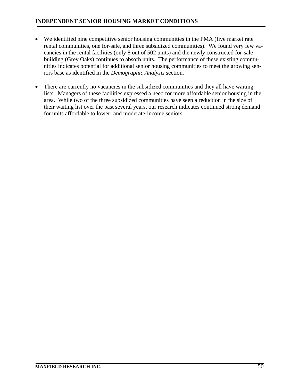- We identified nine competitive senior housing communities in the PMA (five market rate rental communities, one for-sale, and three subsidized communities). We found very few vacancies in the rental facilities (only 8 out of 502 units) and the newly constructed for-sale building (Grey Oaks) continues to absorb units. The performance of these existing communities indicates potential for additional senior housing communities to meet the growing seniors base as identified in the *Demographic Analysis* section.
- There are currently no vacancies in the subsidized communities and they all have waiting lists. Managers of these facilities expressed a need for more affordable senior housing in the area. While two of the three subsidized communities have seen a reduction in the size of their waiting list over the past several years, our research indicates continued strong demand for units affordable to lower- and moderate-income seniors.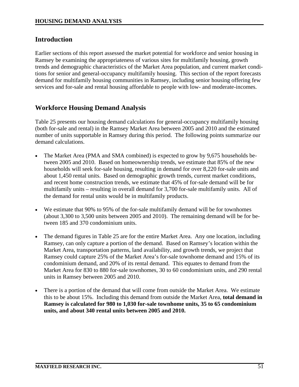### **Introduction**

Earlier sections of this report assessed the market potential for workforce and senior housing in Ramsey be examining the appropriateness of various sites for multifamily housing, growth trends and demographic characteristics of the Market Area population, and current market conditions for senior and general-occupancy multifamily housing. This section of the report forecasts demand for multifamily housing communities in Ramsey, including senior housing offering few services and for-sale and rental housing affordable to people with low- and moderate-incomes.

### **Workforce Housing Demand Analysis**

Table 25 presents our housing demand calculations for general-occupancy multifamily housing (both for-sale and rental) in the Ramsey Market Area between 2005 and 2010 and the estimated number of units supportable in Ramsey during this period. The following points summarize our demand calculations.

- The Market Area (PMA and SMA combined) is expected to grow by 9,675 households between 2005 and 2010. Based on homeownership trends, we estimate that 85% of the new households will seek for-sale housing, resulting in demand for over 8,220 for-sale units and about 1,450 rental units. Based on demographic growth trends, current market conditions, and recent home construction trends, we estimate that 45% of for-sale demand will be for multifamily units – resulting in overall demand for 3,700 for-sale multifamily units. All of the demand for rental units would be in multifamily products.
- We estimate that 90% to 95% of the for-sale multifamily demand will be for townhomes (about 3,300 to 3,500 units between 2005 and 2010). The remaining demand will be for between 185 and 370 condominium units.
- The demand figures in Table 25 are for the entire Market Area. Any one location, including Ramsey, can only capture a portion of the demand. Based on Ramsey's location within the Market Area, transportation patterns, land availability, and growth trends, we project that Ramsey could capture 25% of the Market Area's for-sale townhome demand and 15% of its condominium demand, and 20% of its rental demand. This equates to demand from the Market Area for 830 to 880 for-sale townhomes, 30 to 60 condominium units, and 290 rental units in Ramsey between 2005 and 2010.
- There is a portion of the demand that will come from outside the Market Area. We estimate this to be about 15%. Including this demand from outside the Market Area, **total demand in Ramsey is calculated for 980 to 1,030 for-sale townhome units, 35 to 65 condominium units, and about 340 rental units between 2005 and 2010.**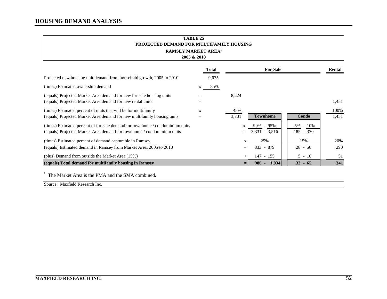| <b>TABLE 25</b><br>PROJECTED DEMAND FOR MULTIFAMILY HOUSING                                                                                             |                     |              |              |                                  |                         |               |
|---------------------------------------------------------------------------------------------------------------------------------------------------------|---------------------|--------------|--------------|----------------------------------|-------------------------|---------------|
| <b>RAMSEY MARKET AREA<sup>1</sup></b><br>2005 & 2010                                                                                                    |                     |              |              |                                  |                         |               |
|                                                                                                                                                         |                     | <b>Total</b> |              | <b>For-Sale</b>                  |                         | Rental        |
| Projected new housing unit demand from household growth, 2005 to 2010                                                                                   |                     | 9,675        |              |                                  |                         |               |
| (times) Estimated ownership demand                                                                                                                      | X                   | 85%          |              |                                  |                         |               |
| (equals) Projected Market Area demand for new for-sale housing units<br>(equals) Projected Market Area demand for new rental units                      |                     |              | 8,224        |                                  |                         | 1,451         |
| (times) Estimated percent of units that will be for multifamily<br>(equals) Projected Market Area demand for new multifamily housing units              | $\mathbf{x}$<br>$=$ |              | 45%<br>3,701 | <b>Townhome</b>                  | Condo                   | 100%<br>1,451 |
| (times) Estimated percent of for-sale demand for townhome / condominium units<br>(equals) Projected Market Area demand for townhome / condominium units |                     |              | X            | $90\% - 95\%$<br>$3,331 - 3,516$ | 5% - 10%<br>$185 - 370$ |               |
| (times) Estimated percent of demand capturable in Ramsey                                                                                                |                     |              | X            | 25%                              | 15%                     | 20%           |
| (equals) Estimated demand in Ramsey from Market Area, 2005 to 2010                                                                                      |                     |              | $=$          | $833 - 879$                      | $28 - 56$               | 290           |
| (plus) Demand from outside the Market Area $(15\%)$                                                                                                     |                     |              |              | 147 - 155                        | $5 - 10$                | 51            |
| (equals) Total demand for multifamily housing in Ramsey                                                                                                 |                     |              | $=$          | $980 -$<br>1.034                 | $33 - 65$               | 341           |
| The Market Area is the PMA and the SMA combined.                                                                                                        |                     |              |              |                                  |                         |               |
| Source: Maxfield Research Inc.                                                                                                                          |                     |              |              |                                  |                         |               |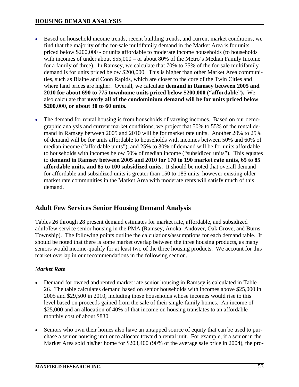- Based on household income trends, recent building trends, and current market conditions, we find that the majority of the for-sale multifamily demand in the Market Area is for units priced below \$200,000 - or units affordable to moderate income households (to households with incomes of under about \$55,000 – or about 80% of the Metro's Median Family Income for a family of three). In Ramsey, we calculate that 70% to 75% of the for-sale multifamily demand is for units priced below \$200,000. This is higher than other Market Area communities, such as Blaine and Coon Rapids, which are closer to the core of the Twin Cities and where land prices are higher. Overall, we calculate **demand in Ramsey between 2005 and 2010 for about 690 to 775 townhome units priced below \$200,000 ("affordable").** We also calculate that **nearly all of the condominium demand will be for units priced below \$200,000, or about 30 to 60 units.**
- The demand for rental housing is from households of varying incomes. Based on our demographic analysis and current market conditions, we project that 50% to 55% of the rental demand in Ramsey between 2005 and 2010 will be for market rate units. Another 20% to 25% of demand will be for units affordable to households with incomes between 50% and 60% of median income ("affordable units"), and 25% to 30% of demand will be for units affordable to households with incomes below 50% of median income ("subsidized units"). This equates to **demand in Ramsey between 2005 and 2010 for 170 to 190 market rate units, 65 to 85 affordable units, and 85 to 100 subsidized units.** It should be noted that overall demand for affordable and subsidized units is greater than 150 to 185 units, however existing older market rate communities in the Market Area with moderate rents will satisfy much of this demand.

# **Adult Few Services Senior Housing Demand Analysis**

Tables 26 through 28 present demand estimates for market rate, affordable, and subsidized adult/few-service senior housing in the PMA (Ramsey, Anoka, Andover, Oak Grove, and Burns Township). The following points outline the calculations/assumptions for each demand table. It should be noted that there is some market overlap between the three housing products, as many seniors would income-qualify for at least two of the three housing products. We account for this market overlap in our recommendations in the following section.

# *Market Rate*

- Demand for owned and rented market rate senior housing in Ramsey is calculated in Table 26. The table calculates demand based on senior households with incomes above \$25,000 in 2005 and \$29,500 in 2010, including those households whose incomes would rise to this level based on proceeds gained from the sale of their single-family homes. An income of \$25,000 and an allocation of 40% of that income on housing translates to an affordable monthly cost of about \$830.
- Seniors who own their homes also have an untapped source of equity that can be used to purchase a senior housing unit or to allocate toward a rental unit. For example, if a senior in the Market Area sold his/her home for \$203,400 (90% of the average sale price in 2004), the pro-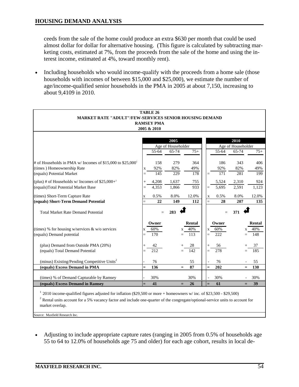ceeds from the sale of the home could produce an extra \$630 per month that could be used almost dollar for dollar for alternative housing. (This figure is calculated by subtracting marketing costs, estimated at 7%, from the proceeds from the sale of the home and using the interest income, estimated at 4%, toward monthly rent).

• Including households who would income-qualify with the proceeds from a home sale (those households with incomes of between \$15,000 and \$25,000), we estimate the number of age/income-qualified senior households in the PMA in 2005 at about 7,150, increasing to about 9,4109 in 2010.

| <b>TABLE 26</b><br><b>MARKET RATE "ADULT"/FEW-SERVICES SENIOR HOUSING DEMAND</b><br><b>RAMSEY PMA</b><br>2005 & 2010<br>2005<br>2010<br>Age of Householder<br>Age of Householder<br>65-74<br>65-74<br>$75+$<br>55-64<br>$75+$<br>55-64 |
|----------------------------------------------------------------------------------------------------------------------------------------------------------------------------------------------------------------------------------------|
|                                                                                                                                                                                                                                        |
|                                                                                                                                                                                                                                        |
|                                                                                                                                                                                                                                        |
|                                                                                                                                                                                                                                        |
|                                                                                                                                                                                                                                        |
|                                                                                                                                                                                                                                        |
|                                                                                                                                                                                                                                        |
| # of Households in PMA w/ Incomes of \$15,000 to \$25,000 <sup>1</sup><br>158<br>186<br>279<br>364<br>343<br>406                                                                                                                       |
| (times) Homeownership Rate<br>92%<br>92%<br>82%<br>49%<br>82%<br>49%<br>X                                                                                                                                                              |
| 145<br>(equals) Potential Market<br>229<br>171<br>281<br>178<br>199<br>$=$<br>$=$                                                                                                                                                      |
| (plus) # of Households w/ Incomes of $$25,000+^1$<br>4,208<br>1,637<br>755<br>5,524<br>2,310<br>924                                                                                                                                    |
| (equals)Total Potential Market Base<br>4,353<br>1,866<br>933<br>5,695<br>2,591<br>1,123                                                                                                                                                |
| (times) Short-Term Capture Rate<br>0.5%<br>8.0%<br>12.0%<br>0.5%<br>8.0%<br>12.0%<br>$\mathbf X$<br>$\mathbf X$                                                                                                                        |
| (equals) Short-Term Demand Potential<br>22<br>149<br>28<br>207<br>112<br>$=$<br>135<br>$=$                                                                                                                                             |
| 283<br>371<br><b>Total Market Rate Demand Potential</b>                                                                                                                                                                                |
| $=$<br>$=$                                                                                                                                                                                                                             |
| Rental<br>Owner<br>Rental<br>Owner                                                                                                                                                                                                     |
| (times) % for housing w/services & w/o services<br>40%<br>60%<br>40%<br>60%<br>X<br>X<br>X                                                                                                                                             |
| (equals) Demand potential<br>170<br>113<br>222<br>148<br>$=$<br>$=$                                                                                                                                                                    |
|                                                                                                                                                                                                                                        |
| (plus) Demand from Outside PMA (20%)<br>42<br>28<br>56<br>37                                                                                                                                                                           |
| (equals) Total Demand Potential<br>185<br>212<br>142<br>278<br>$=$                                                                                                                                                                     |
| (minus) Existing/Pending Competitive Units <sup>2</sup><br>76<br>55<br>76<br>55                                                                                                                                                        |
| 136<br>87<br>202<br>(equals) Excess Demand in PMA<br>130<br>$=$<br>$=$<br>$=$<br>$=$                                                                                                                                                   |
|                                                                                                                                                                                                                                        |
| (times) % of Demand Capturable by Ramsey<br>30%<br>30%<br>30%<br>30%                                                                                                                                                                   |
| (equals) Excess Demand in Ramsey<br>41<br>39<br>26<br>61<br>$=$<br>$=$<br>$=$                                                                                                                                                          |
| $12010$ income-qualified figures adjusted for inflation (\$29,500 or more + homeowners w/ inc. of \$23,500 - \$29,500)                                                                                                                 |
|                                                                                                                                                                                                                                        |
| $2^2$ Rental units account for a 5% vacancy factor and include one-quarter of the congregate/optional-service units to account for<br>market overlap.                                                                                  |

Source: Maxfield Research Inc.

• Adjusting to include appropriate capture rates (ranging in 2005 from 0.5% of households age 55 to 64 to 12.0% of households age 75 and older) for each age cohort, results in local de-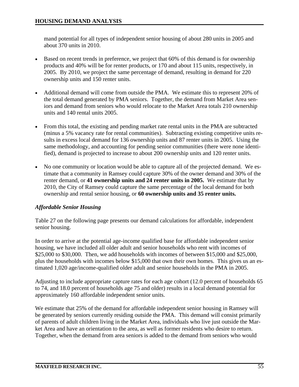mand potential for all types of independent senior housing of about 280 units in 2005 and about 370 units in 2010.

- Based on recent trends in preference, we project that 60% of this demand is for ownership products and 40% will be for renter products, or 170 and about 115 units, respectively, in 2005. By 2010, we project the same percentage of demand, resulting in demand for 220 ownership units and 150 renter units.
- Additional demand will come from outside the PMA. We estimate this to represent 20% of the total demand generated by PMA seniors. Together, the demand from Market Area seniors and demand from seniors who would relocate to the Market Area totals 210 ownership units and 140 rental units 2005.
- From this total, the existing and pending market rate rental units in the PMA are subtracted (minus a 5% vacancy rate for rental communities). Subtracting existing competitive units results in excess local demand for 136 ownership units and 87 renter units in 2005. Using the same methodology, and accounting for pending senior communities (there were none identified), demand is projected to increase to about 200 ownership units and 120 renter units.
- No one community or location would be able to capture all of the projected demand. We estimate that a community in Ramsey could capture 30% of the owner demand and 30% of the renter demand, or **41 ownership units and 24 renter units in 2005.** We estimate that by 2010, the City of Ramsey could capture the same percentage of the local demand for both ownership and rental senior housing, or **60 ownership units and 35 renter units.**

# *Affordable Senior Housing*

Table 27 on the following page presents our demand calculations for affordable, independent senior housing.

In order to arrive at the potential age-income qualified base for affordable independent senior housing, we have included all older adult and senior households who rent with incomes of \$25,000 to \$30,000. Then, we add households with incomes of between \$15,000 and \$25,000, plus the households with incomes below \$15,000 that own their own homes. This gives us an estimated 1,020 age/income-qualified older adult and senior households in the PMA in 2005.

Adjusting to include appropriate capture rates for each age cohort (12.0 percent of households 65 to 74, and 18.0 percent of households age 75 and older) results in a local demand potential for approximately 160 affordable independent senior units.

We estimate that 25% of the demand for affordable independent senior housing in Ramsey will be generated by seniors currently residing outside the PMA. This demand will consist primarily of parents of adult children living in the Market Area, individuals who live just outside the Market Area and have an orientation to the area, as well as former residents who desire to return. Together, when the demand from area seniors is added to the demand from seniors who would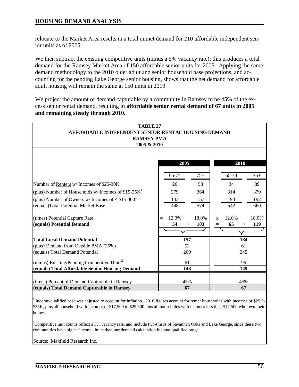relocate to the Market Area results in a total unmet demand for 210 affordable independent senior units as of 2005.

We then subtract the existing competitive units (minus a 5% vacancy rate); this produces a total demand for the Ramsey Market Area of 150 affordable senior units for 2005. Applying the same demand methodology to the 2010 older adult and senior household base projections, and accounting for the pending Lake George senior housing, shows that the net demand for affordable adult housing will remain the same at 150 units in 2010.

We project the amount of demand capturable by a community in Ramsey to be 45% of the excess senior rental demand, resulting in **affordable senior rental demand of 67 units in 2005 and remaining steady through 2010.** 

| <b>TABLE 27</b>                                                                              |       |           |       |     |       |           |       |
|----------------------------------------------------------------------------------------------|-------|-----------|-------|-----|-------|-----------|-------|
| AFFORDABLE INDEPENDENT SENIOR RENTAL HOUSING DEMAND<br><b>RAMSEY PMA</b>                     |       |           |       |     |       |           |       |
| 2005 & 2010                                                                                  |       |           |       |     |       |           |       |
|                                                                                              |       |           |       |     |       |           |       |
|                                                                                              |       |           |       |     |       |           |       |
|                                                                                              |       | 2005      |       |     |       | 2010      |       |
|                                                                                              | 65-74 |           | $75+$ |     | 65-74 |           | $75+$ |
| Number of Renters w/ Incomes of \$25-30K                                                     | 26    |           | 53    |     | 34    |           | 89    |
| (plus) Number of Households w/ Incomes of $$15-25K^1$                                        | 279   |           | 364   |     | 314   |           | 379   |
| (plus) Number of <u>Owners</u> w/ Incomes of $<$ \$15,000 <sup>1</sup>                       | 143   |           | 157   |     | 194   |           | 192   |
| (equals)Total Potential Market Base                                                          | 448   |           | 574   |     | 542   |           | 660   |
| (times) Potential Capture Rate                                                               | 12.0% |           | 18.0% | X   | 12.0% |           | 18.0% |
| (equals) Potential Demand                                                                    | 54    | $+$       | 103   | $=$ | 65    | $+$       | 119   |
|                                                                                              |       |           |       |     |       |           |       |
| <b>Total Local Demand Potential</b>                                                          |       | 157       |       |     |       | 184       |       |
| (plus) Demand from Outside PMA (25%)                                                         |       | 52        |       |     |       | 61        |       |
| (equals) Total Demand Potential                                                              |       | 209       |       |     |       | 245       |       |
| (minus) Existing/Pending Competitive Units <sup>2</sup>                                      |       | 61        |       |     |       | 96        |       |
| (equals) Total Affordable Senior Housing Demand                                              |       | 148       |       |     |       | 149       |       |
|                                                                                              |       |           |       |     |       |           |       |
| (times) Percent of Demand Capturable in Ramsey<br>(equals) Total Demand Capturable in Ramsey |       | 45%<br>67 |       |     |       | 45%<br>67 |       |
|                                                                                              |       |           |       |     |       |           |       |

<sup>1</sup> Income-qualified base was adjusted to account for inflation. 2010 figures account for renter households with incomes of \$29.5-\$35K, plus all household with incomes of \$17,500 to \$29,500 plus all households with incomes less than \$17,500 who own their homes.

<sup>2</sup>Competitive unit counts reflect a 5% vacancy rate, and include two-thirds of Savannah Oaks and Lake George, since these two communities have higher income limits than our demand calculation income-qualified range.

Source: Maxfield Research Inc.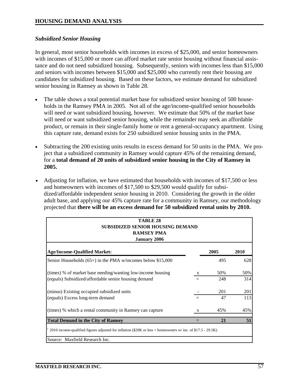#### *Subsidized Senior Housing*

In general, most senior households with incomes in excess of \$25,000, and senior homeowners with incomes of \$15,000 or more can afford market rate senior housing without financial assistance and do not need subsidized housing. Subsequently, seniors with incomes less than \$15,000 and seniors with incomes between \$15,000 and \$25,000 who currently rent their housing are candidates for subsidized housing. Based on these factors, we estimate demand for subsidized senior housing in Ramsey as shown in Table 28.

- The table shows a total potential market base for subsidized senior housing of 500 households in the Ramsey PMA in 2005. Not all of the age/income-qualified senior households will need or want subsidized housing, however. We estimate that 50% of the market base will need or want subsidized senior housing, while the remainder may seek an affordable product, or remain in their single-family home or rent a general-occupancy apartment. Using this capture rate, demand exists for 250 subsidized senior housing units in the PMA.
- Subtracting the 200 existing units results in excess demand for 50 units in the PMA. We project that a subsidized community in Ramsey would capture 45% of the remaining demand, for a **total demand of 20 units of subsidized senior housing in the City of Ramsey in 2005.**
- Adjusting for inflation, we have estimated that households with incomes of \$17,500 or less and homeowners with incomes of \$17,500 to \$29,500 would qualify for subsidized/affordable independent senior housing in 2010. Considering the growth in the older adult base, and applying our 45% capture rate for a community in Ramsey, our methodology projected that **there will be an excess demand for 50 subsidized rental units by 2010.**

| <b>TABLE 28</b><br><b>SUBSIDIZED SENIOR HOUSING DEMAND</b><br><b>RAMSEY PMA</b><br><b>January 2006</b>      |     |      |      |
|-------------------------------------------------------------------------------------------------------------|-----|------|------|
| <b>Age/Income-Qualified Market:</b>                                                                         |     | 2005 | 2010 |
| Senior Households $(65+)$ in the PMA w/incomes below \$15,000                                               |     | 495  | 628  |
| (times) % of market base needing/wanting low-income housing                                                 | X   | 50%  | 50%  |
| (equals) Subsidized/affordable senior housing demand                                                        | $=$ | 248  | 314  |
| (minus) Existing occupied subsidized units                                                                  |     | 201  | 201  |
| (equals) Excess long-term demand                                                                            | $=$ | 47   | 113  |
| (times) % which a rental community in Ramsey can capture                                                    | X   | 45%  | 45%  |
| <b>Total Demand in the City of Ramsey</b>                                                                   |     | 21   | 51   |
| 2010 income-qualified figures adjusted for inflation (\$20K or less + homeowners w/ inc. of \$17.5 - 29.5K) |     |      |      |
| Source: Maxfield Research Inc.                                                                              |     |      |      |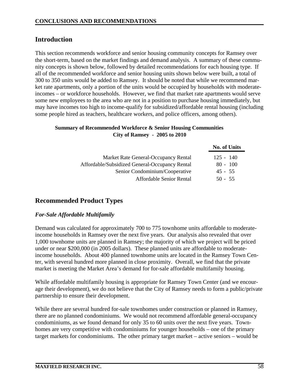# **Introduction**

This section recommends workforce and senior housing community concepts for Ramsey over the short-term, based on the market findings and demand analysis. A summary of these community concepts is shown below, followed by detailed recommendations for each housing type. If all of the recommended workforce and senior housing units shown below were built, a total of 300 to 350 units would be added to Ramsey. It should be noted that while we recommend market rate apartments, only a portion of the units would be occupied by households with moderateincomes – or workforce households. However, we find that market rate apartments would serve some new employees to the area who are not in a position to purchase housing immediately, but may have incomes too high to income-qualify for subsidized/affordable rental housing (including some people hired as teachers, healthcare workers, and police officers, among others).

#### **Summary of Recommended Workforce & Senior Housing Communities City of Ramsey - 2005 to 2010**

|                                                | <b>No. of Units</b> |
|------------------------------------------------|---------------------|
| Market Rate General-Occupancy Rental           | $125 - 140$         |
| Affordable/Subsidized General-Occupancy Rental | $80 - 100$          |
| Senior Condominium/Cooperative                 | $45 - 55$           |
| Affordable Senior Rental                       | $50 - 55$           |

# **Recommended Product Types**

#### *For-Sale Affordable Multifamily*

Demand was calculated for approximately 700 to 775 townhome units affordable to moderateincome households in Ramsey over the next five years. Our analysis also revealed that over 1,000 townhome units are planned in Ramsey; the majority of which we project will be priced under or near \$200,000 (in 2005 dollars). These planned units are affordable to moderateincome households. About 400 planned townhome units are located in the Ramsey Town Center, with several hundred more planned in close proximity. Overall, we find that the private market is meeting the Market Area's demand for for-sale affordable multifamily housing.

While affordable multifamily housing is appropriate for Ramsey Town Center (and we encourage their development), we do not believe that the City of Ramsey needs to form a public/private partnership to ensure their development.

While there are several hundred for-sale townhomes under construction or planned in Ramsey, there are no planned condominiums. We would not recommend affordable general-occupancy condominiums, as we found demand for only 35 to 60 units over the next five years. Townhomes are very competitive with condominiums for younger households – one of the primary target markets for condominiums. The other primary target market – active seniors – would be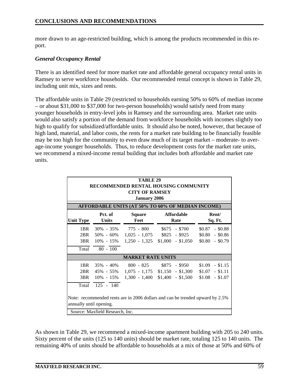more drawn to an age-restricted building, which is among the products recommended in this report.

#### *General Occupancy Rental*

There is an identified need for more market rate and affordable general occupancy rental units in Ramsey to serve workforce households. Our recommended rental concept is shown in Table 29, including unit mix, sizes and rents.

The affordable units in Table 29 (restricted to households earning 50% to 60% of median income – or about \$31,000 to \$37,000 for two-person households) would satisfy need from many younger households in entry-level jobs in Ramsey and the surrounding area. Market rate units would also satisfy a portion of the demand from workforce households with incomes slightly too high to qualify for subsidized/affordable units. It should also be noted, however, that because of high land, material, and labor costs, the rents for a market rate building to be financially feasible may be too high for the community to even draw much of its target market – moderate- to average-income younger households. Thus, to reduce development costs for the market rate units, we recommend a mixed-income rental building that includes both affordable and market rate units.

|                                                                                                             | <b>TABLE 29</b><br>RECOMMENDED RENTAL HOUSING COMMUNITY<br><b>CITY OF RAMSEY</b><br><b>January 2006</b>                                                                       |                          |                                                                                                 |                                                              |  |  |  |  |  |  |
|-------------------------------------------------------------------------------------------------------------|-------------------------------------------------------------------------------------------------------------------------------------------------------------------------------|--------------------------|-------------------------------------------------------------------------------------------------|--------------------------------------------------------------|--|--|--|--|--|--|
| AFFORDABLE UNITS (AT 50% TO 60% OF MEDIAN INCOME)<br>Pct. of<br><b>Affordable</b><br>Rent/<br><b>Square</b> |                                                                                                                                                                               |                          |                                                                                                 |                                                              |  |  |  |  |  |  |
| <b>Unit Type</b>                                                                                            | <b>Units</b>                                                                                                                                                                  | Feet                     | Rate                                                                                            | Sq. Ft.                                                      |  |  |  |  |  |  |
| 1BR<br>2BR                                                                                                  | $30\% - 35\%$<br>50% - 60%<br>3BR 10% - 15%                                                                                                                                   |                          | $775 - 800$ \$675 - \$700<br>$1,025 - 1,075$ \$825 - \$925<br>$1,250 - 1,325$ \$1,000 - \$1,050 | $-$ \$0.88<br>\$0.87<br>$$0.80$ - \$0.86<br>$$0.80$ - \$0.79 |  |  |  |  |  |  |
|                                                                                                             | Total 80 - 100                                                                                                                                                                |                          |                                                                                                 |                                                              |  |  |  |  |  |  |
|                                                                                                             |                                                                                                                                                                               | <b>MARKET RATE UNITS</b> |                                                                                                 |                                                              |  |  |  |  |  |  |
| 1BR                                                                                                         |                                                                                                                                                                               |                          | $35\% - 40\%$ $800 - 825$ $$875 - $950$<br>2BR 45% - 55% 1,075 - 1,175 \$1,150 - \$1,300        | \$1.09<br>$-$ \$1.15<br>$$1.07$ - \$1.11<br>$$1.08$ - \$1.07 |  |  |  |  |  |  |
| Total<br>Source: Maxfield Research, Inc.                                                                    | $1,300 - 1,400$ \$1,400 - \$1,500<br>3BR 10% - 15%<br>$125 - 140$<br>Note: recommended rents are in 2006 dollars and can be trended upward by 2.5%<br>annually until opening. |                          |                                                                                                 |                                                              |  |  |  |  |  |  |

As shown in Table 29, we recommend a mixed-income apartment building with 205 to 240 units. Sixty percent of the units (125 to 140 units) should be market rate, totaling 125 to 140 units. The remaining 40% of units should be affordable to households at a mix of those at 50% and 60% of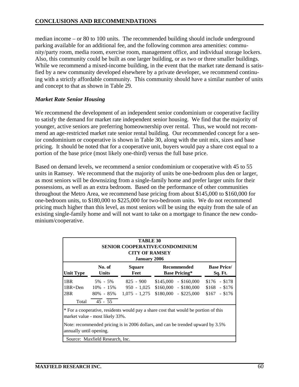median income – or 80 to 100 units. The recommended building should include underground parking available for an additional fee, and the following common area amenities: community/party room, media room, exercise room, management office, and individual storage lockers. Also, this community could be built as one larger building, or as two or three smaller buildings. While we recommend a mixed-income building, in the event that the market rate demand is satisfied by a new community developed elsewhere by a private developer, we recommend continuing with a strictly affordable community. This community should have a similar number of units and concept to that as shown in Table 29.

#### *Market Rate Senior Housing*

We recommend the development of an independent senior condominium or cooperative facility to satisfy the demand for market rate independent senior housing. We find that the majority of younger, active seniors are preferring homeownership over rental. Thus, we would not recommend an age-restricted market rate senior rental building. Our recommended concept for a senior condominium or cooperative is shown in Table 30, along with the unit mix, sizes and base pricing. It should be noted that for a cooperative unit, buyers would pay a share cost equal to a portion of the base price (most likely one-third) versus the full base price.

Based on demand levels, we recommend a senior condominium or cooperative with 45 to 55 units in Ramsey. We recommend that the majority of units be one-bedroom plus den or larger, as most seniors will be downsizing from a single-family home and prefer larger units for their possessions, as well as an extra bedroom. Based on the performance of other communities throughout the Metro Area, we recommend base pricing from about \$145,000 to \$160,000 for one-bedroom units, to \$180,000 to \$225,000 for two-bedroom units. We do not recommend pricing much higher than this level, as most seniors will be using the equity from the sale of an existing single-family home and will not want to take on a mortgage to finance the new condominium/cooperative.

|                                                                                                                                      |                                                                                                                        | <b>TABLE 30</b><br><b>CITY OF RAMSEY</b><br><b>January 2006</b> | SENIOR COOPERATIVE/CONDOMINIUM                                          |                                                    |  |  |  |  |  |  |
|--------------------------------------------------------------------------------------------------------------------------------------|------------------------------------------------------------------------------------------------------------------------|-----------------------------------------------------------------|-------------------------------------------------------------------------|----------------------------------------------------|--|--|--|--|--|--|
| No. of<br><b>Base Price/</b><br>Square<br>Recommended<br><b>Unit Type</b><br><b>Units</b><br><b>Base Pricing*</b><br>Feet<br>Sq. Ft. |                                                                                                                        |                                                                 |                                                                         |                                                    |  |  |  |  |  |  |
| 1BR<br>2BR<br>Total                                                                                                                  | 5% - 5%<br>$1BR + Den$ $10\% - 15\%$<br>$45 - 55$                                                                      | 825 - 900<br>$950 - 1,025$<br>$80\% - 85\% - 1,075 - 1,275$     | $$145,000 - $160,000$<br>$$160,000 - $180,000$<br>$$180,000 - $225,000$ | $$176$ - \$178<br>$$168$ - \$176<br>$$167$ - \$176 |  |  |  |  |  |  |
|                                                                                                                                      | * For a cooperative, residents would pay a share cost that would be portion of this<br>market value - most likely 33%. |                                                                 |                                                                         |                                                    |  |  |  |  |  |  |
|                                                                                                                                      | Note: recommended pricing is in 2006 dollars, and can be trended upward by 3.5%<br>annually until opening.             |                                                                 |                                                                         |                                                    |  |  |  |  |  |  |
|                                                                                                                                      | Source: Maxfield Research, Inc.                                                                                        |                                                                 |                                                                         |                                                    |  |  |  |  |  |  |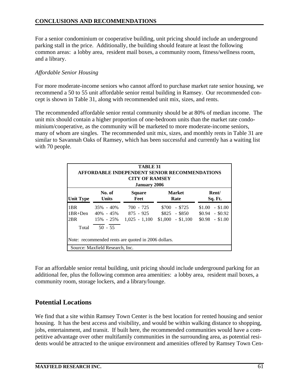For a senior condominium or cooperative building, unit pricing should include an underground parking stall in the price. Additionally, the building should feature at least the following common areas: a lobby area, resident mail boxes, a community room, fitness/wellness room, and a library.

#### *Affordable Senior Housing*

For more moderate-income seniors who cannot afford to purchase market rate senior housing, we recommend a 50 to 55 unit affordable senior rental building in Ramsey. Our recommended concept is shown in Table 31, along with recommended unit mix, sizes, and rents.

The recommended affordable senior rental community should be at 80% of median income. The unit mix should contain a higher proportion of one-bedroom units than the market rate condominium/cooperative, as the community will be marketed to more moderate-income seniors, many of whom are singles. The recommended unit mix, sizes, and monthly rents in Table 31 are similar to Savannah Oaks of Ramsey, which has been successful and currently has a waiting list with 70 people.

| TABLE 31<br><b>AFFORDABLE INDEPENDENT SENIOR RECOMMENDATIONS</b><br><b>CITY OF RAMSEY</b><br><b>January 2006</b> |                                                              |                                               |                                                           |                                                         |
|------------------------------------------------------------------------------------------------------------------|--------------------------------------------------------------|-----------------------------------------------|-----------------------------------------------------------|---------------------------------------------------------|
| <b>Unit Type</b>                                                                                                 | No. of<br><b>Units</b>                                       | <b>Square</b><br>Feet                         | <b>Market</b><br>Rate                                     | Rent/<br>Sq. Ft.                                        |
| 1 <sub>BR</sub><br>$1BR+Den$<br>2BR<br>Total                                                                     | $35\% - 40\%$<br>$40\% - 45\%$<br>$15\% - 25\%$<br>$50 - 55$ | $700 - 725$<br>$875 - 925$<br>$1,025 - 1,100$ | $-$ \$725<br>\$700<br>$$825$ - \$850<br>$$1,000 - $1,100$ | $$1.00 - $1.00$<br>$$0.94$ - \$0.92<br>$$0.98$ - \$1.00 |
| Note: recommended rents are quoted in 2006 dollars.<br>Source: Maxfield Research, Inc.                           |                                                              |                                               |                                                           |                                                         |

For an affordable senior rental building, unit pricing should include underground parking for an additional fee, plus the following common area amenities: a lobby area, resident mail boxes, a community room, storage lockers, and a library/lounge.

# **Potential Locations**

We find that a site within Ramsey Town Center is the best location for rented housing and senior housing. It has the best access and visibility, and would be within walking distance to shopping, jobs, entertainment, and transit. If built here, the recommended communities would have a competitive advantage over other multifamily communities in the surrounding area, as potential residents would be attracted to the unique environment and amenities offered by Ramsey Town Cen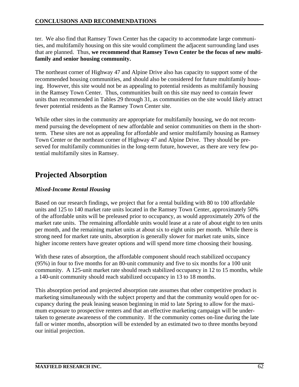ter. We also find that Ramsey Town Center has the capacity to accommodate large communities, and multifamily housing on this site would compliment the adjacent surrounding land uses that are planned. Thus, **we recommend that Ramsey Town Center be the focus of new multifamily and senior housing community.** 

The northeast corner of Highway 47 and Alpine Drive also has capacity to support some of the recommended housing communities, and should also be considered for future multifamily housing. However, this site would not be as appealing to potential residents as multifamily housing in the Ramsey Town Center. Thus, communities built on this site may need to contain fewer units than recommended in Tables 29 through 31, as communities on the site would likely attract fewer potential residents as the Ramsey Town Center site.

While other sites in the community are appropriate for multifamily housing, we do not recommend pursuing the development of new affordable and senior communities on them in the shortterm. These sites are not as appealing for affordable and senior multifamily housing as Ramsey Town Center or the northeast corner of Highway 47 and Alpine Drive. They should be preserved for multifamily communities in the long-term future, however, as there are very few potential multifamily sites in Ramsey.

# **Projected Absorption**

### *Mixed-Income Rental Housing*

Based on our research findings, we project that for a rental building with 80 to 100 affordable units and 125 to 140 market rate units located in the Ramsey Town Center, approximately 50% of the affordable units will be preleased prior to occupancy, as would approximately 20% of the market rate units. The remaining affordable units would lease at a rate of about eight to ten units per month, and the remaining market units at about six to eight units per month. While there is strong need for market rate units, absorption is generally slower for market rate units, since higher income renters have greater options and will spend more time choosing their housing.

With these rates of absorption, the affordable component should reach stabilized occupancy (95%) in four to five months for an 80-unit community and five to six months for a 100 unit community. A 125-unit market rate should reach stabilized occupancy in 12 to 15 months, while a 140-unit community should reach stabilized occupancy in 13 to 18 months.

This absorption period and projected absorption rate assumes that other competitive product is marketing simultaneously with the subject property and that the community would open for occupancy during the peak leasing season beginning in mid to late Spring to allow for the maximum exposure to prospective renters and that an effective marketing campaign will be undertaken to generate awareness of the community. If the community comes on-line during the late fall or winter months, absorption will be extended by an estimated two to three months beyond our initial projection.